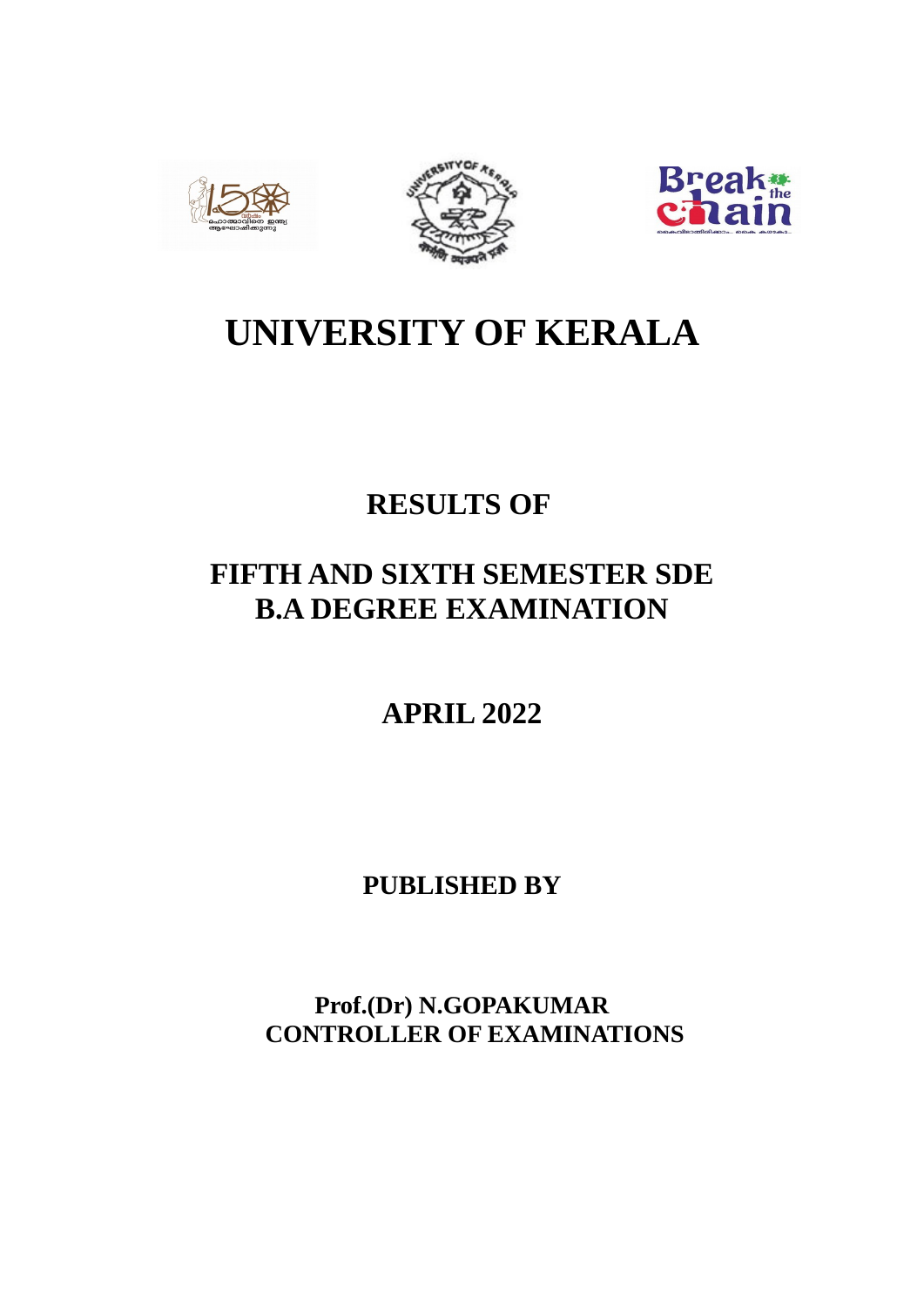





# **UNIVERSITY OF KERALA**

# **RESULTS OF**

# **FIFTH AND SIXTH SEMESTER SDE B.A DEGREE EXAMINATION**

**APRIL 2022**

**PUBLISHED BY**

**Prof.(Dr) N.GOPAKUMAR CONTROLLER OF EXAMINATIONS**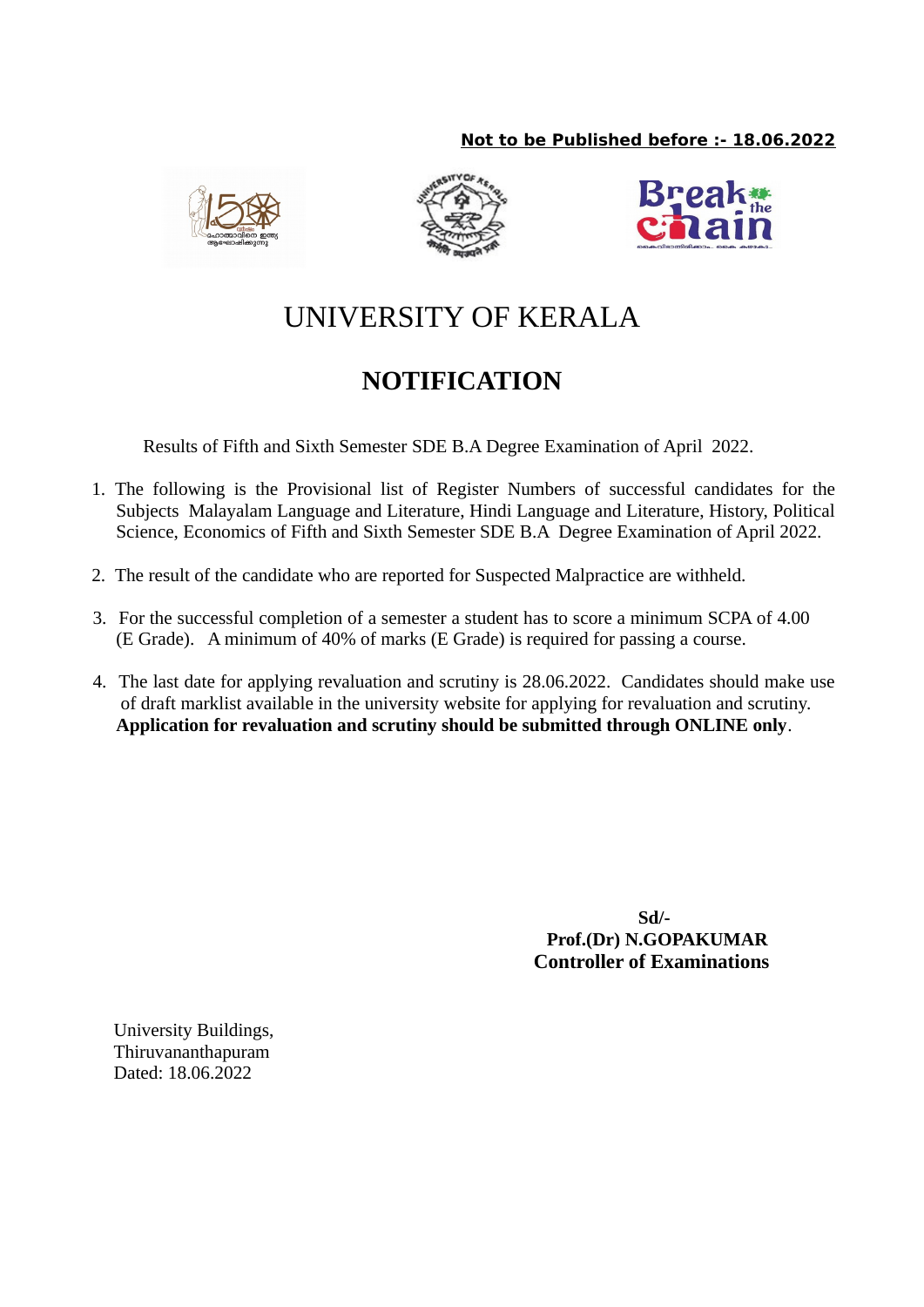# **Not to be Published before :- 18.06.2022**







# UNIVERSITY OF KERALA

# **NOTIFICATION**

Results of Fifth and Sixth Semester SDE B.A Degree Examination of April 2022.

- 1. The following is the Provisional list of Register Numbers of successful candidates for the Subjects Malayalam Language and Literature, Hindi Language and Literature, History, Political Science, Economics of Fifth and Sixth Semester SDE B.A Degree Examination of April 2022.
- 2. The result of the candidate who are reported for Suspected Malpractice are withheld.
- 3. For the successful completion of a semester a student has to score a minimum SCPA of 4.00 (E Grade). A minimum of 40% of marks (E Grade) is required for passing a course.
- 4. The last date for applying revaluation and scrutiny is 28.06.2022. Candidates should make use of draft marklist available in the university website for applying for revaluation and scrutiny. **Application for revaluation and scrutiny should be submitted through ONLINE only**.

 **Sd/- Prof.(Dr) N.GOPAKUMAR Controller of Examinations**

University Buildings, Thiruvananthapuram Dated: 18.06.2022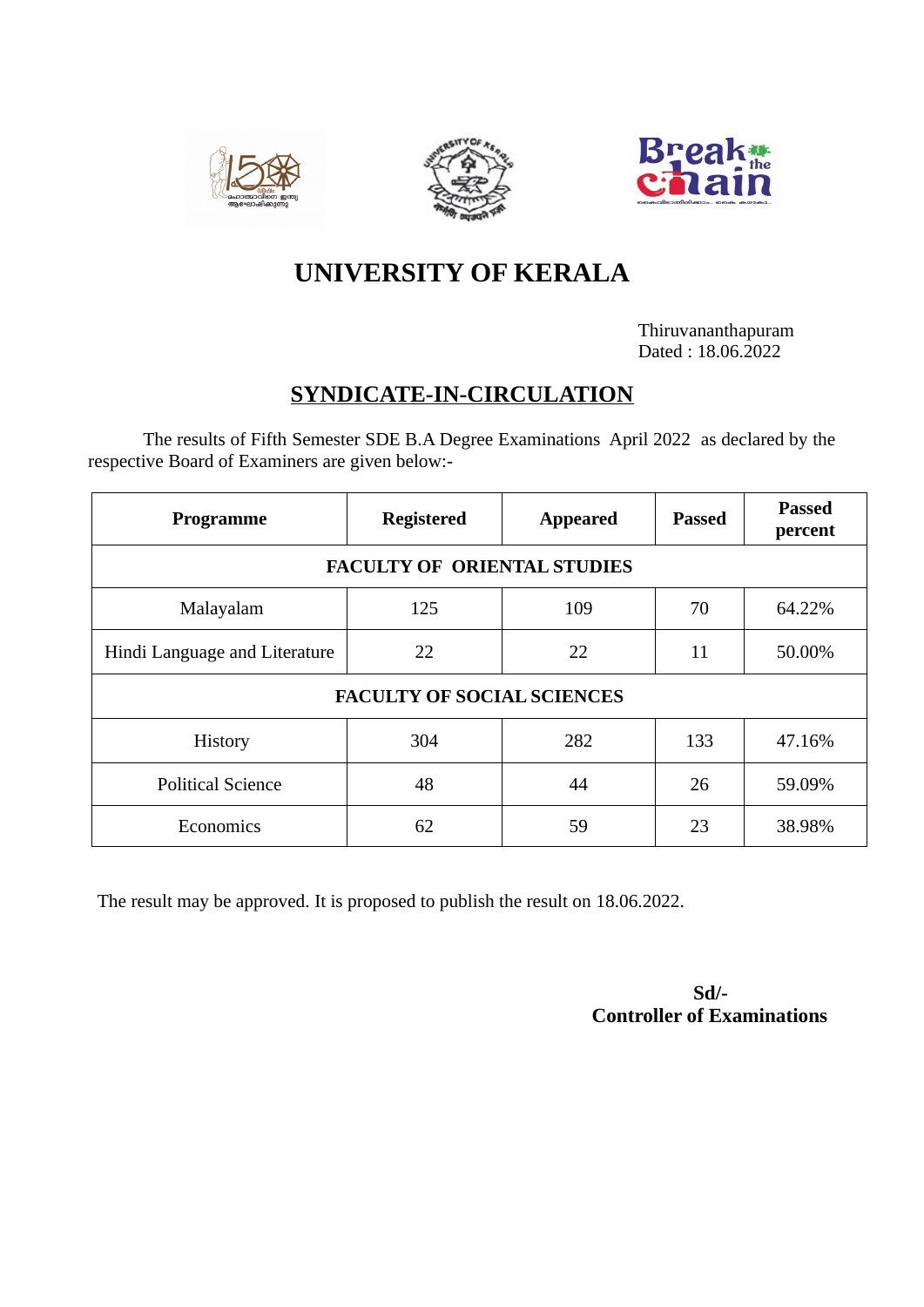





# **UNIVERSITY OF KERALA**

Thiruvananthapuram Dated : 18.06.2022

# **SYNDICATE-IN-CIRCULATION**

The results of Fifth Semester SDE B.A Degree Examinations April 2022 as declared by the respective Board of Examiners are given below:-

| Programme                          | <b>Registered</b>                 | <b>Appeared</b> | <b>Passed</b> | <b>Passed</b><br>percent |  |  |
|------------------------------------|-----------------------------------|-----------------|---------------|--------------------------|--|--|
| <b>FACULTY OF ORIENTAL STUDIES</b> |                                   |                 |               |                          |  |  |
| Malayalam                          | 125                               | 109             | 70            | 64.22%                   |  |  |
| Hindi Language and Literature      | 22                                | 22              | 11            | 50.00%                   |  |  |
|                                    | <b>FACULTY OF SOCIAL SCIENCES</b> |                 |               |                          |  |  |
| History                            | 304                               | 282             | 133           | 47.16%                   |  |  |
| <b>Political Science</b>           | 48                                | 44              | 26            | 59.09%                   |  |  |
| Economics                          | 62                                | 59              | 23            | 38.98%                   |  |  |

The result may be approved. It is proposed to publish the result on 18.06.2022.

**Sd/- Controller of Examinations**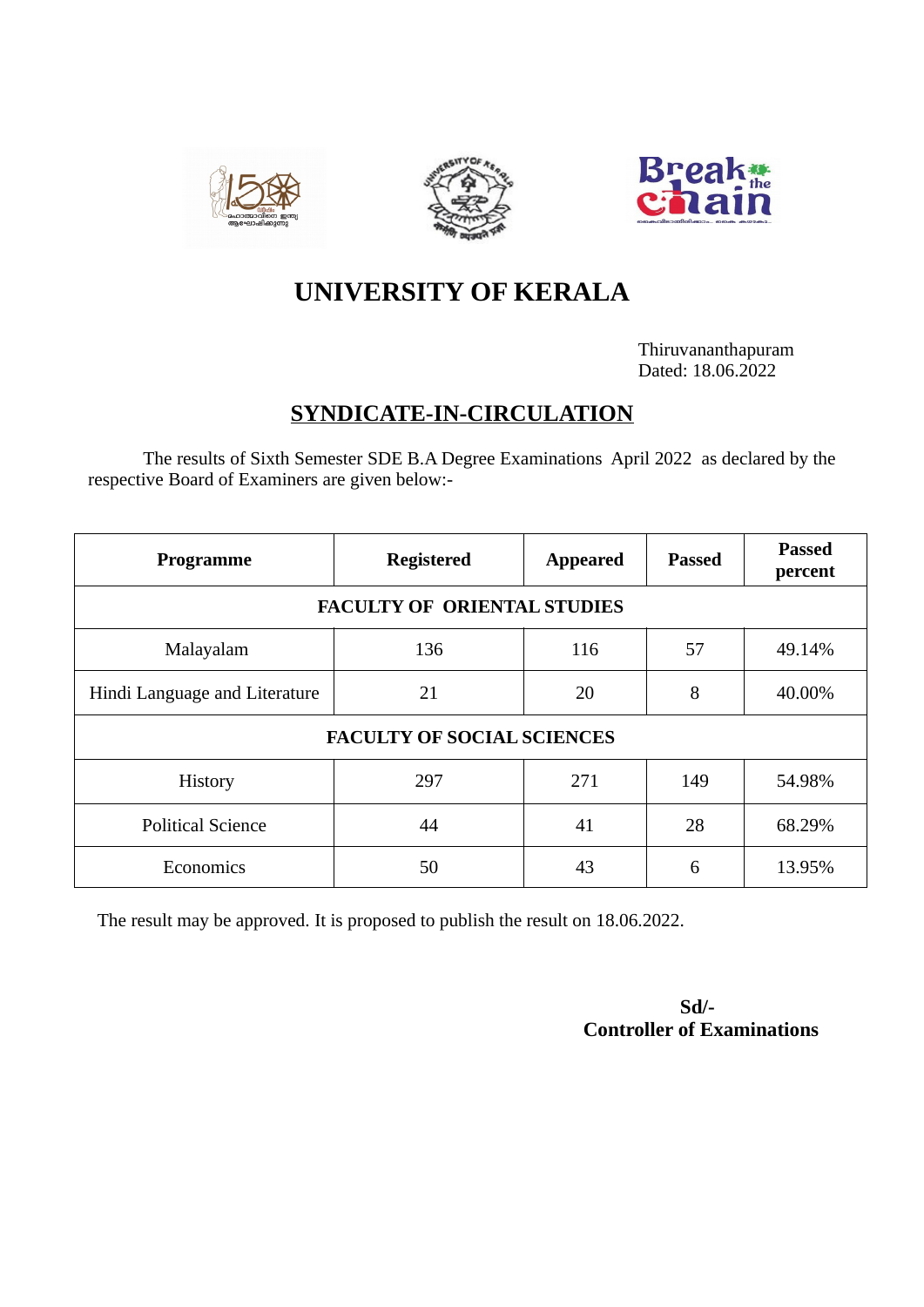





# **UNIVERSITY OF KERALA**

Thiruvananthapuram Dated: 18.06.2022

# **SYNDICATE-IN-CIRCULATION**

The results of Sixth Semester SDE B.A Degree Examinations April 2022 as declared by the respective Board of Examiners are given below:-

| Programme                          | <b>Registered</b> | <b>Appeared</b> | <b>Passed</b> | <b>Passed</b><br>percent |  |  |
|------------------------------------|-------------------|-----------------|---------------|--------------------------|--|--|
| <b>FACULTY OF ORIENTAL STUDIES</b> |                   |                 |               |                          |  |  |
| Malayalam                          | 136               | 116             | 57            | 49.14%                   |  |  |
| Hindi Language and Literature      | 21                | 20              | 8             | 40.00%                   |  |  |
| <b>FACULTY OF SOCIAL SCIENCES</b>  |                   |                 |               |                          |  |  |
| History                            | 297               | 271             | 149           | 54.98%                   |  |  |
| <b>Political Science</b>           | 44                | 41              | 28            | 68.29%                   |  |  |
| Economics                          | 50                | 43              | 6             | 13.95%                   |  |  |

The result may be approved. It is proposed to publish the result on 18.06.2022.

 **Sd/- Controller of Examinations**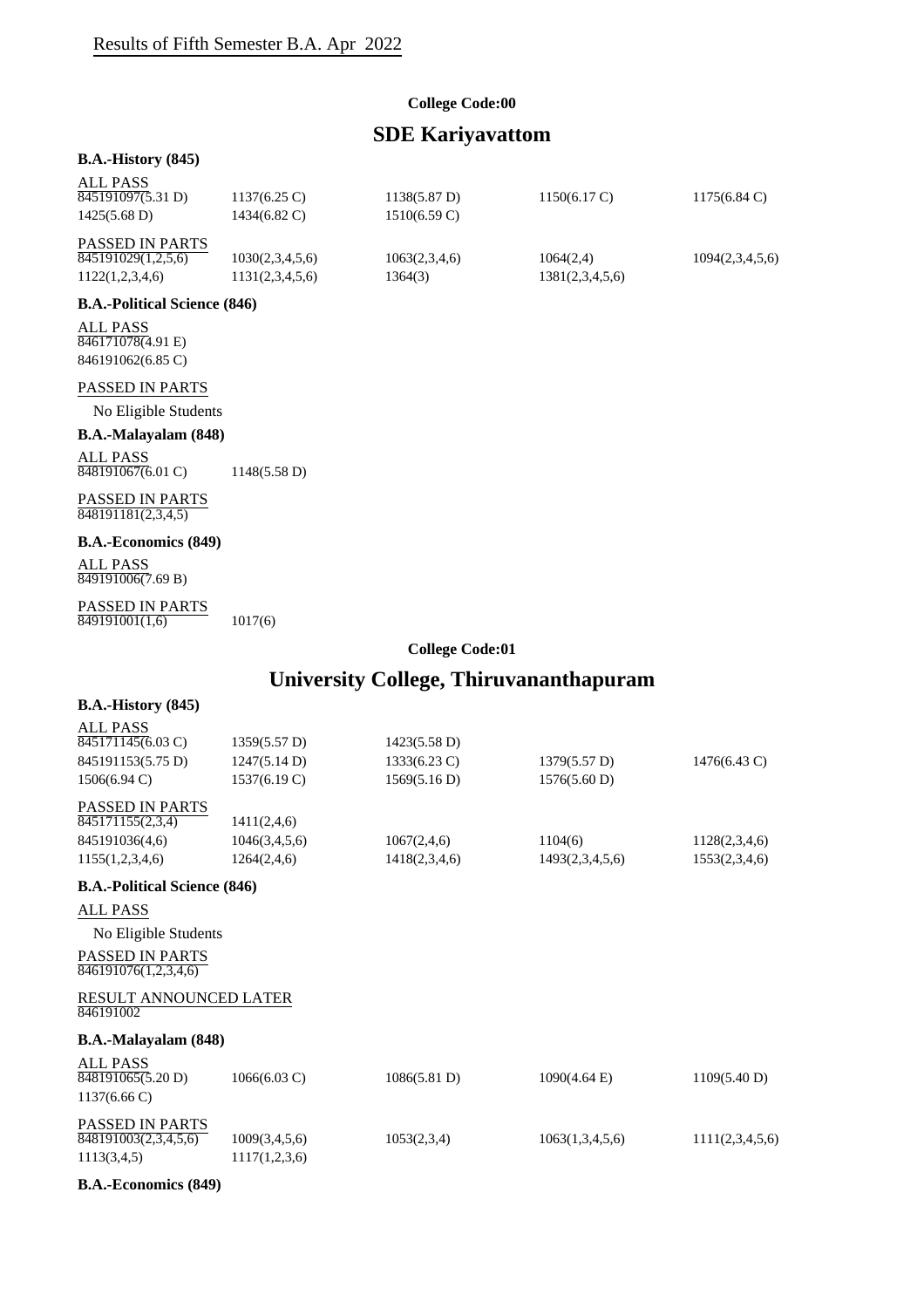### **College Code:00**

# **SDE Kariyavattom**

#### **B.A.-History (845)**

| ALL PASS               |                        |                        |                        |                        |
|------------------------|------------------------|------------------------|------------------------|------------------------|
| 845191097(5.31 D)      | $1137(6.25 \text{ C})$ | $1138(5.87 \text{ D})$ | $1150(6.17 \text{ C})$ | $1175(6.84 \text{ C})$ |
| $1425(5.68 \text{ D})$ | 1434(6.82 C)           | $1510(6.59 \text{ C})$ |                        |                        |
| <b>PASSED IN PARTS</b> |                        |                        |                        |                        |
| 845191029(1,2,5,6)     | 1030(2,3,4,5,6)        | 1063(2,3,4,6)          | 1064(2,4)              | 1094(2,3,4,5,6)        |
|                        |                        |                        |                        |                        |
| 1122(1,2,3,4,6)        | 1131(2,3,4,5,6)        | 1364(3)                | 1381(2,3,4,5,6)        |                        |

#### **B.A.-Political Science (846)**

ALL PASS 846171078(4.91 E) 846191062(6.85 C)

## PASSED IN PARTS

No Eligible Students

## **B.A.-Malayalam (848)**

ALL PASS 848191067(6.01 C) 1148(5.58 D)

#### PASSED IN PARTS 848191181(2,3,4,5)

## **B.A.-Economics (849)**

ALL PASS 849191006(7.69 B)

#### PASSED IN PARTS  $849191001(1,6)$  1017(6)

## **College Code:01**

# **University College, Thiruvananthapuram**

| <b>B.A.-History (845)</b>                      |                  |                        |                        |                 |
|------------------------------------------------|------------------|------------------------|------------------------|-----------------|
| <b>ALL PASS</b>                                |                  |                        |                        |                 |
| 845171145(6.03 C)                              | 1359(5.57 D)     | 1423(5.58 D)           |                        |                 |
| 845191153(5.75 D)                              | 1247(5.14 D)     | $1333(6.23 \text{ C})$ | 1379(5.57 D)           | 1476(6.43 C)    |
| 1506(6.94 C)                                   | 1537(6.19 C)     | 1569(5.16 D)           | 1576(5.60 D)           |                 |
| <b>PASSED IN PARTS</b>                         |                  |                        |                        |                 |
| 845171155(2,3,4)                               | 1411(2,4,6)      |                        |                        |                 |
| 845191036(4,6)                                 | 1046(3, 4, 5, 6) | 1067(2,4,6)            | 1104(6)                | 1128(2,3,4,6)   |
| 1155(1,2,3,4,6)                                | 1264(2,4,6)      | 1418(2,3,4,6)          | 1493(2,3,4,5,6)        | 1553(2,3,4,6)   |
| <b>B.A.-Political Science (846)</b>            |                  |                        |                        |                 |
| ALL PASS                                       |                  |                        |                        |                 |
| No Eligible Students                           |                  |                        |                        |                 |
| <b>PASSED IN PARTS</b><br>846191076(1,2,3,4,6) |                  |                        |                        |                 |
| RESULT ANNOUNCED LATER                         |                  |                        |                        |                 |
| 846191002                                      |                  |                        |                        |                 |
| B.A.-Malayalam (848)                           |                  |                        |                        |                 |
| <b>ALL PASS</b>                                |                  |                        |                        |                 |
| $\overline{848191065(5.20 \text{ D})}$         | 1066(6.03 C)     | 1086(5.81 D)           | $1090(4.64 \text{ E})$ | 1109(5.40 D)    |
| $1137(6.66 \text{ C})$                         |                  |                        |                        |                 |
| <b>PASSED IN PARTS</b>                         |                  |                        |                        |                 |
| 848191003(2,3,4,5,6)                           | 1009(3,4,5,6)    | 1053(2,3,4)            | 1063(1,3,4,5,6)        | 1111(2,3,4,5,6) |
| 1113(3,4,5)                                    | 1117(1,2,3,6)    |                        |                        |                 |

#### **B.A.-Economics (849)**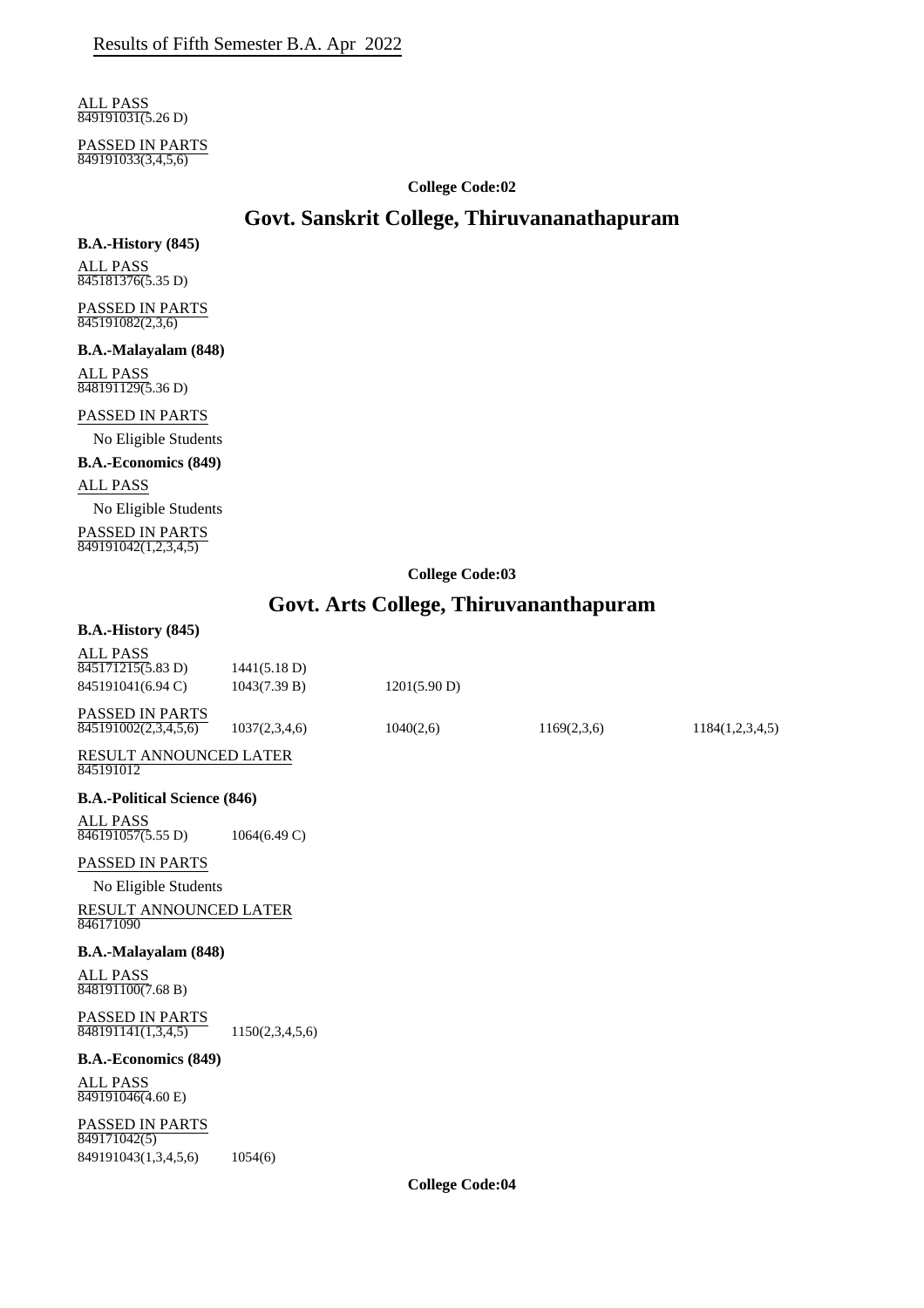ALL PASS 849191031(5.26 D)

PASSED IN PARTS 849191033(3,4,5,6)

#### **College Code:02**

# **Govt. Sanskrit College, Thiruvananathapuram**

#### **B.A.-History (845)**

ALL PASS 845181376(5.35 D)

PASSED IN PARTS  $\frac{112221}{845191082(2,3,6)}$ 

**B.A.-Malayalam (848)** ALL PASS 848191129(5.36 D)

## PASSED IN PARTS

No Eligible Students

#### **B.A.-Economics (849)**

ALL PASS

No Eligible Students

PASSED IN PARTS 849191042(1,2,3,4,5)

## **College Code:03**

# **Govt. Arts College, Thiruvananthapuram**

## **B.A.-History (845)**

| <b>ALL PASS</b><br>$\overline{845171215(5.83 \text{ D})}$   | 1441(5.18 D)    |                                              |             |                 |
|-------------------------------------------------------------|-----------------|----------------------------------------------|-------------|-----------------|
| 845191041(6.94 C)                                           | 1043(7.39 B)    | 1201(5.90 D)                                 |             |                 |
|                                                             |                 |                                              |             |                 |
| <b>PASSED IN PARTS</b><br>$\overline{845191002(2,3,4,5,6)}$ | 1037(2,3,4,6)   | 1040(2,6)                                    | 1169(2,3,6) | 1184(1,2,3,4,5) |
| <b>RESULT ANNOUNCED LATER</b><br>845191012                  |                 |                                              |             |                 |
| <b>B.A.-Political Science (846)</b>                         |                 |                                              |             |                 |
| <b>ALL PASS</b><br>$\overline{846191057(5.55 \text{ D})}$   | 1064(6.49 C)    |                                              |             |                 |
| PASSED IN PARTS                                             |                 |                                              |             |                 |
| No Eligible Students                                        |                 |                                              |             |                 |
| RESULT ANNOUNCED LATER<br>846171090                         |                 |                                              |             |                 |
| <b>B.A.-Malayalam (848)</b>                                 |                 |                                              |             |                 |
| <b>ALL PASS</b><br>848191100(7.68 B)                        |                 |                                              |             |                 |
| PASSED IN PARTS<br>848191141(1,3,4,5)                       | 1150(2,3,4,5,6) |                                              |             |                 |
| <b>B.A.-Economics (849)</b>                                 |                 |                                              |             |                 |
| <b>ALL PASS</b><br>$\overline{849191046(4.60)}$ E)          |                 |                                              |             |                 |
| PASSED IN PARTS<br>849171042(5)                             |                 |                                              |             |                 |
| 849191043(1,3,4,5,6)                                        | 1054(6)         |                                              |             |                 |
|                                                             |                 | $\alpha$ $\bf{u}$ $\alpha$ $\bf{v}$ $\alpha$ |             |                 |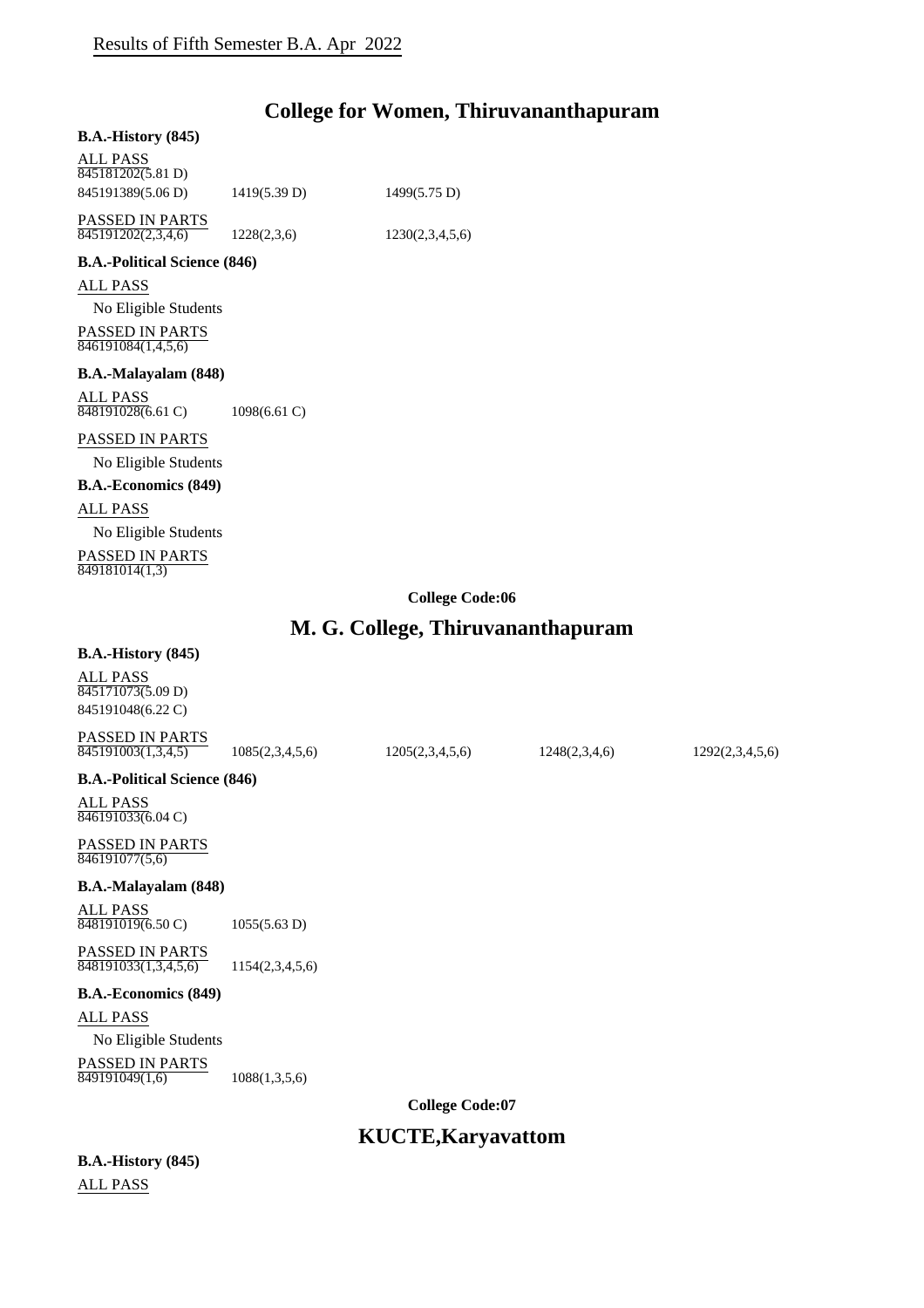# **College for Women, Thiruvananthapuram**

#### **B.A.-History (845)**

| ALL PASS<br>845181202(5.81 D)         |              |                 |
|---------------------------------------|--------------|-----------------|
| 845191389(5.06 D)                     | 1419(5.39 D) | 1499(5.75 D)    |
| PASSED IN PARTS<br>845191202(2,3,4,6) | 1228(2,3,6)  | 1230(2,3,4,5,6) |

## **B.A.-Political Science (846)**

ALL PASS

No Eligible Students PASSED IN PARTS  $\frac{846191084(1,4,5,6)}{846191084(1,4,5,6)}$ 

#### **B.A.-Malayalam (848)**

ALL PASS 848191028(6.61 C) 1098(6.61 C)

## PASSED IN PARTS

No Eligible Students

**B.A.-Economics (849)**

ALL PASS

No Eligible Students

PASSED IN PARTS 849181014(1,3)

**College Code:06**

## **M. G. College, Thiruvananthapuram**

1085(2,3,4,5,6) 1205(2,3,4,5,6) 1248(2,3,4,6) 1292(2,3,4,5,6)

## **B.A.-History (845)**

ALL PASS 845171073(5.09 D) 845191048(6.22 C)

| PASSED IN PARTS    |
|--------------------|
| 845191003(1,3,4,5) |

**B.A.-Political Science (846)**

ALL PASS 846191033(6.04 C)

#### PASSED IN PARTS 846191077(5,6)

#### **B.A.-Malayalam (848)**

ALL PASS 848191019(6.50 C) 1055(5.63 D)

PASSED IN PARTS  $\overline{848191033(1,3,4,5,6)}$  1154(2,3,4,5,6)

#### **B.A.-Economics (849)**

ALL PASS

No Eligible Students

PASSED IN PARTS

 $\overline{849191049(1,6)}$  1088(1,3,5,6)

**College Code:07**

# **KUCTE,Karyavattom**

**B.A.-History (845)** ALL PASS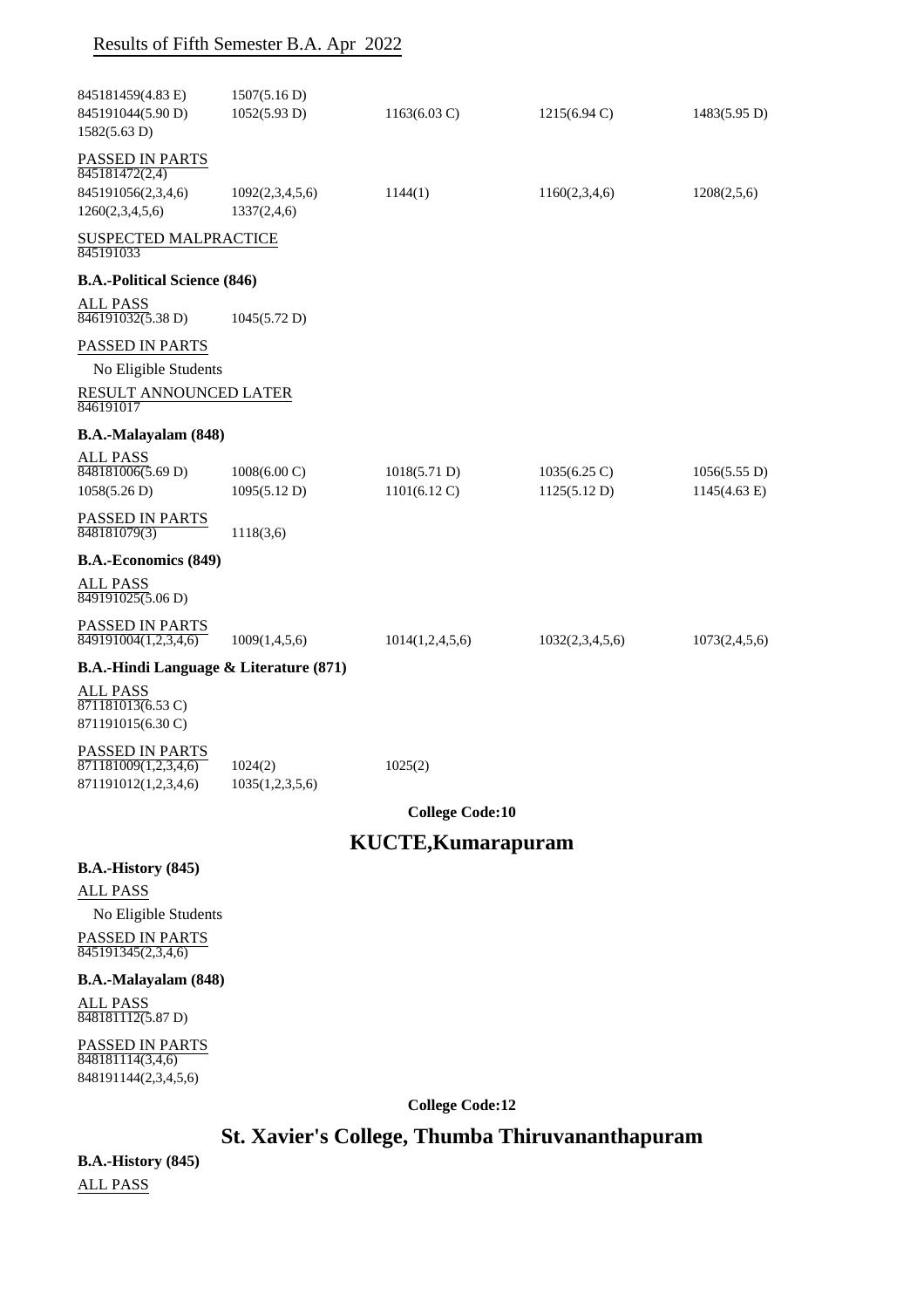| 845181459(4.83 E)                                  | 1507(5.16 D)           |                           |                        |               |
|----------------------------------------------------|------------------------|---------------------------|------------------------|---------------|
| 845191044(5.90 D)                                  | 1052(5.93 D)           | $1163(6.03 \text{ C})$    | $1215(6.94 \text{ C})$ | 1483(5.95 D)  |
| 1582(5.63 D)                                       |                        |                           |                        |               |
| PASSED IN PARTS<br>845181472(2,4)                  |                        |                           |                        |               |
| 845191056(2,3,4,6)                                 | 1092(2,3,4,5,6)        | 1144(1)                   | 1160(2,3,4,6)          | 1208(2,5,6)   |
| 1260(2,3,4,5,6)                                    | 1337(2,4,6)            |                           |                        |               |
| SUSPECTED MALPRACTICE<br>845191033                 |                        |                           |                        |               |
| <b>B.A.-Political Science (846)</b>                |                        |                           |                        |               |
| ALL PASS<br>$\overline{846191032(5.38 \text{ D})}$ | 1045(5.72 D)           |                           |                        |               |
| PASSED IN PARTS                                    |                        |                           |                        |               |
| No Eligible Students                               |                        |                           |                        |               |
| RESULT ANNOUNCED LATER<br>846191017                |                        |                           |                        |               |
| B.A.-Malayalam (848)                               |                        |                           |                        |               |
| ALL PASS                                           |                        |                           |                        |               |
| 848181006(5.69 D)                                  | $1008(6.00 \text{ C})$ | 1018(5.71 D)              | $1035(6.25 \text{ C})$ | 1056(5.55 D)  |
| 1058(5.26 D)                                       | 1095(5.12 D)           | $1101(6.12 \text{ C})$    | 1125(5.12 D)           | 1145(4.63 E)  |
| PASSED IN PARTS                                    |                        |                           |                        |               |
| 848181079(3)                                       | 1118(3,6)              |                           |                        |               |
| <b>B.A.-Economics (849)</b>                        |                        |                           |                        |               |
| ALL PASS<br>$\overline{849191025(5.06 \text{ D})}$ |                        |                           |                        |               |
| PASSED IN PARTS                                    |                        |                           |                        |               |
| $\overline{849191004(1,2,3,4,6)}$                  | 1009(1,4,5,6)          | 1014(1,2,4,5,6)           | 1032(2,3,4,5,6)        | 1073(2,4,5,6) |
| <b>B.A.-Hindi Language &amp; Literature (871)</b>  |                        |                           |                        |               |
| ALL PASS                                           |                        |                           |                        |               |
| 871181013(6.53 C)<br>871191015(6.30 C)             |                        |                           |                        |               |
|                                                    |                        |                           |                        |               |
| PASSED IN PARTS<br>871181009(1,2,3,4,6)            | 1024(2)                | 1025(2)                   |                        |               |
| 871191012(1,2,3,4,6)                               | 1035(1,2,3,5,6)        |                           |                        |               |
|                                                    |                        |                           |                        |               |
|                                                    |                        | <b>College Code:10</b>    |                        |               |
|                                                    |                        | <b>KUCTE, Kumarapuram</b> |                        |               |
| <b>B.A.-History (845)</b>                          |                        |                           |                        |               |
| <b>ALL PASS</b>                                    |                        |                           |                        |               |

No Eligible Students

PASSED IN PARTS 845191345(2,3,4,6)

## **B.A.-Malayalam (848)**

ALL PASS 848181112(5.87 D)

PASSED IN PARTS 848181114(3,4,6) 848191144(2,3,4,5,6)

**College Code:12**

# **St. Xavier's College, Thumba Thiruvananthapuram**

**B.A.-History (845)** ALL PASS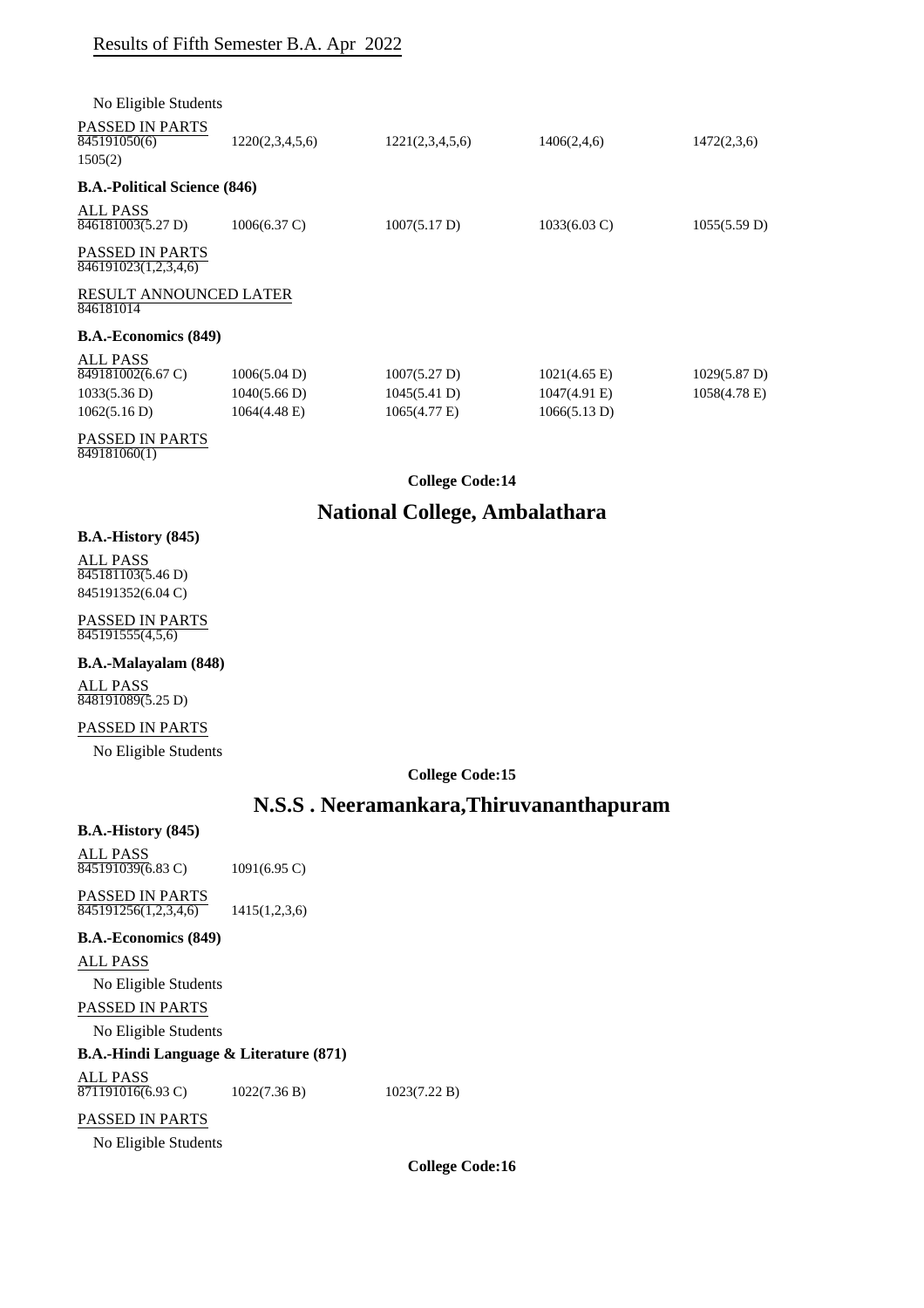| No Eligible Students                              |                              |                              |                                    |                                           |
|---------------------------------------------------|------------------------------|------------------------------|------------------------------------|-------------------------------------------|
| <b>PASSED IN PARTS</b><br>845191050(6)<br>1505(2) | 1220(2,3,4,5,6)              | 1221(2,3,4,5,6)              | 1406(2,4,6)                        | 1472(2,3,6)                               |
| <b>B.A.-Political Science (846)</b>               |                              |                              |                                    |                                           |
| ALL PASS<br>846181003(5.27 D)                     | $1006(6.37 \text{ C})$       | 1007(5.17 D)                 | $1033(6.03 \text{ C})$             | 1055(5.59 D)                              |
| <b>PASSED IN PARTS</b><br>846191023(1,2,3,4,6)    |                              |                              |                                    |                                           |
| <b>RESULT ANNOUNCED LATER</b><br>846181014        |                              |                              |                                    |                                           |
| <b>B.A.-Economics (849)</b>                       |                              |                              |                                    |                                           |
| ALL PASS<br>849181002(6.67 C)<br>1033(5.36 D)     | 1006(5.04 D)<br>1040(5.66 D) | 1007(5.27 D)<br>1045(5.41 D) | $1021(4.65)$ E)<br>$1047(4.91)$ E) | $1029(5.87 \text{ D})$<br>$1058(4.78)$ E) |
| 1062(5.16 D)                                      | 1064(4.48 E)                 | $1065(4.77)$ E)              | 1066(5.13 D)                       |                                           |
|                                                   |                              |                              |                                    |                                           |

PASSED IN PARTS 849181060(1)

## **College Code:14**

# **National College, Ambalathara**

## **B.A.-History (845)**

ALL PASS 845181103(5.46 D) 845191352(6.04 C)

PASSED IN PARTS 845191555(4,5,6)

# **B.A.-Malayalam (848)**

ALL PASS 848191089(5.25 D)

## PASSED IN PARTS

No Eligible Students

**College Code:15**

## **N.S.S . Neeramankara,Thiruvananthapuram**

#### **B.A.-History (845)**

ALL PASS 845191039(6.83 C) 1091(6.95 C)

PASSED IN PARTS  $\overline{845191256(1,2,3,4,6)}$  1415(1,2,3,6)

## **B.A.-Economics (849)**

ALL PASS

No Eligible Students

## PASSED IN PARTS

No Eligible Students

## **B.A.-Hindi Language & Literature (871)**

ALL PASS

 $\overline{871191016(6.93 \text{ C})}$  1022(7.36 B) 1023(7.22 B)

# PASSED IN PARTS

No Eligible Students

**College Code:16**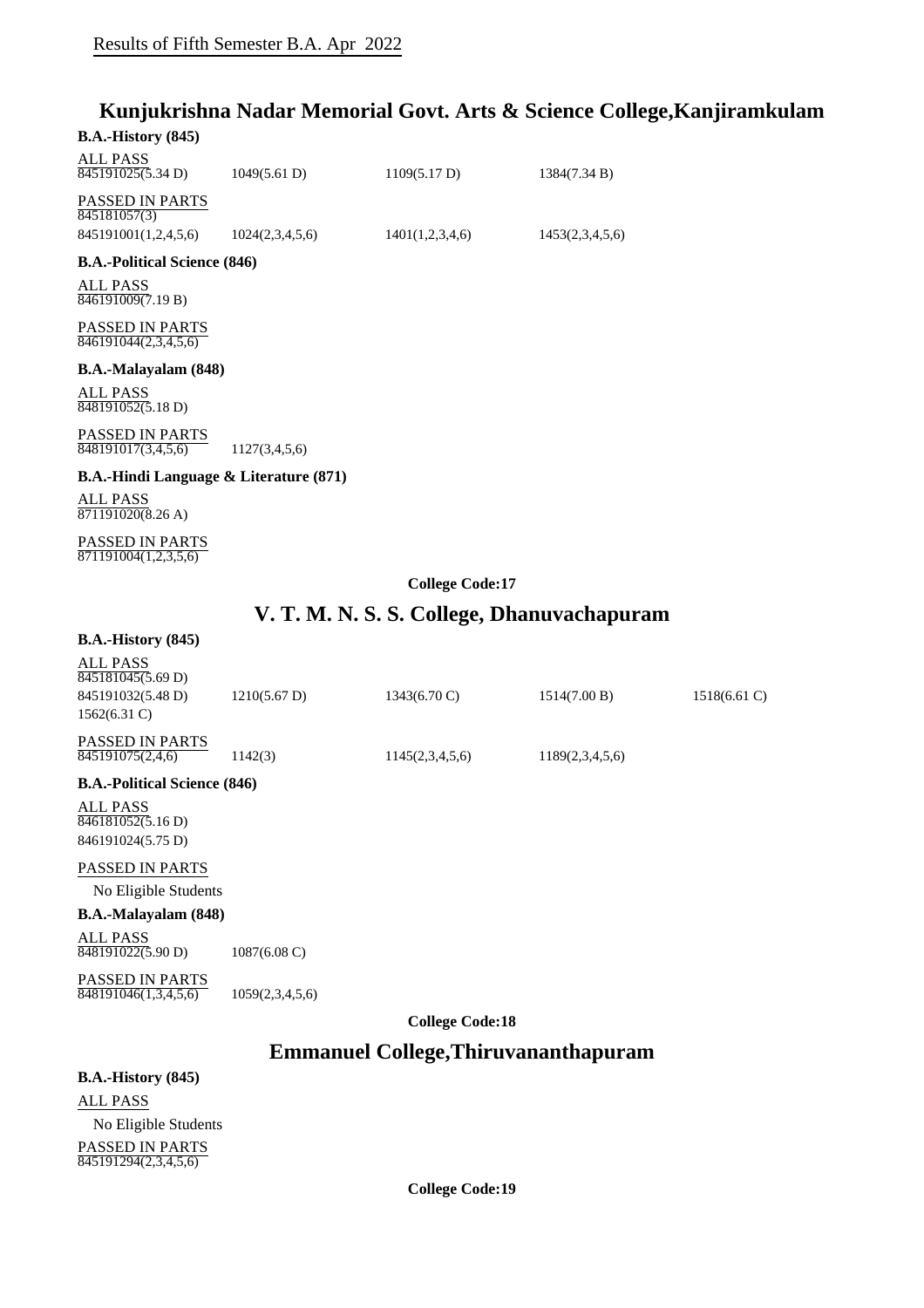# **Kunjukrishna Nadar Memorial Govt. Arts & Science College,Kanjiramkulam**

## **B.A.-History (845)**

| ALL PASS<br>845191025(5.34 D)   | 1049(5.61 D)    | 1109(5.17 D)    | 1384(7.34 B)    |
|---------------------------------|-----------------|-----------------|-----------------|
| PASSED IN PARTS<br>845181057(3) |                 |                 |                 |
| 845191001(1,2,4,5,6)            | 1024(2,3,4,5,6) | 1401(1,2,3,4,6) | 1453(2,3,4,5,6) |
|                                 |                 |                 |                 |

## **B.A.-Political Science (846)**

ALL PASS 846191009(7.19 B)

PASSED IN PARTS 846191044(2,3,4,5,6)

#### **B.A.-Malayalam (848)**

ALL PASS 848191052(5.18 D)

PASSED IN PARTS  $\overline{848191017(3,4,5,6)}$  1127(3,4,5,6)

## **B.A.-Hindi Language & Literature (871)**

ALL PASS 871191020(8.26 A)

PASSED IN PARTS 871191004(1,2,3,5,6)

**College Code:17**

# **V. T. M. N. S. S. College, Dhanuvachapuram**

## **B.A.-History (845)**

|                                                |                        | <b>College Code:18</b> |                 |                 |
|------------------------------------------------|------------------------|------------------------|-----------------|-----------------|
| <b>PASSED IN PARTS</b><br>848191046(1,3,4,5,6) | 1059(2,3,4,5,6)        |                        |                 |                 |
| <b>ALL PASS</b><br>848191022(5.90 D)           | $1087(6.08 \text{ C})$ |                        |                 |                 |
| <b>B.A.-Malayalam (848)</b>                    |                        |                        |                 |                 |
| No Eligible Students                           |                        |                        |                 |                 |
| PASSED IN PARTS                                |                        |                        |                 |                 |
| 846191024(5.75 D)                              |                        |                        |                 |                 |
| <b>ALL PASS</b><br>846181052(5.16 D)           |                        |                        |                 |                 |
| <b>B.A.-Political Science (846)</b>            |                        |                        |                 |                 |
| <b>PASSED IN PARTS</b><br>845191075(2,4,6)     | 1142(3)                | 1145(2,3,4,5,6)        | 1189(2,3,4,5,6) |                 |
| $1562(6.31)$ C)                                |                        |                        |                 |                 |
| 845181045(5.69 D)<br>845191032(5.48 D)         | $1210(5.67 \text{ D})$ | $1343(6.70 \text{ C})$ | 1514(7.00 B)    | $1518(6.61)$ C) |
| ALL PASS                                       |                        |                        |                 |                 |

**Emmanuel College,Thiruvananthapuram**

## **B.A.-History (845)**

ALL PASS No Eligible Students PASSED IN PARTS 845191294(2,3,4,5,6)

**College Code:19**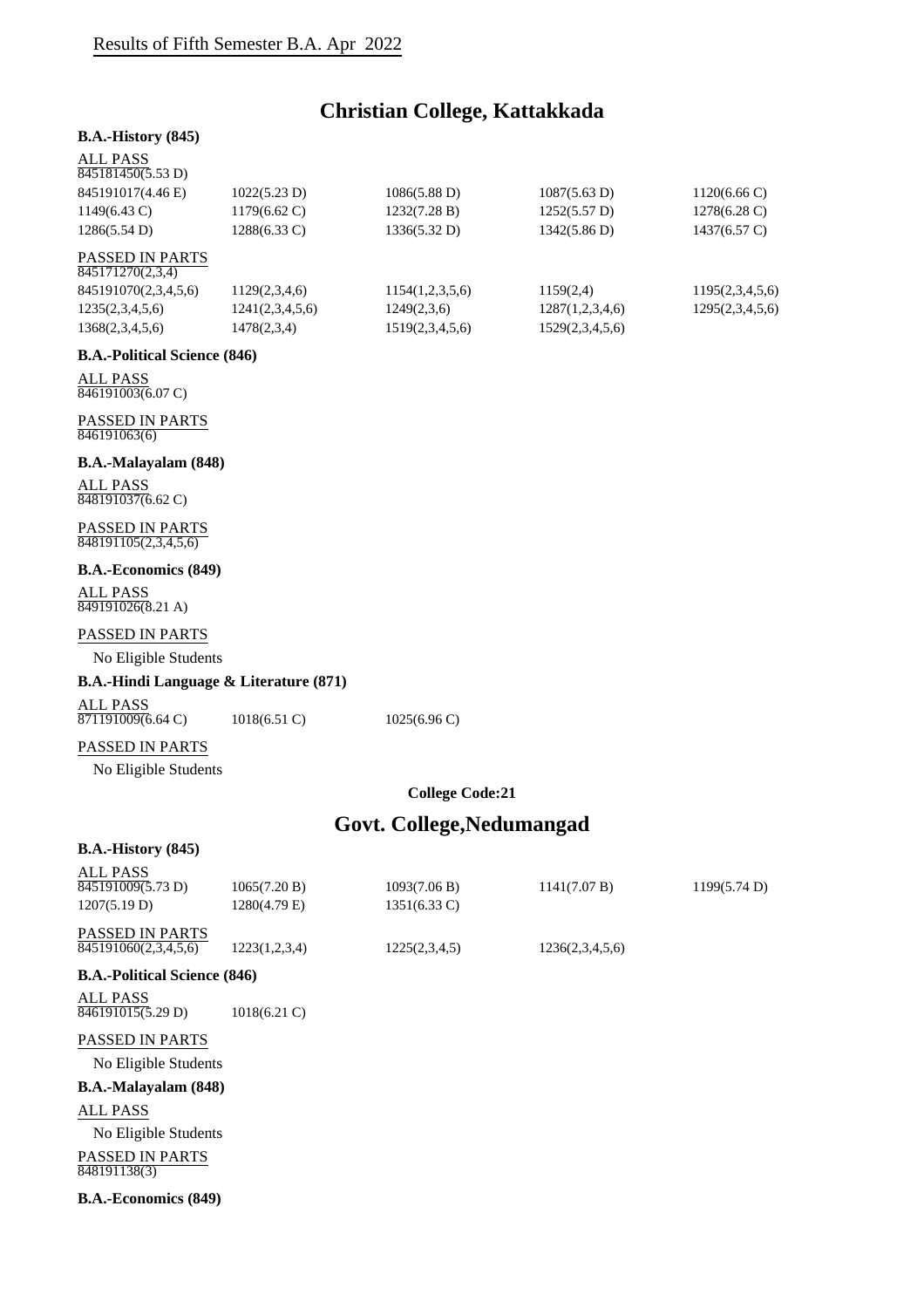# **Christian College, Kattakkada**

## **B.A.-History (845)**

#### ALL PASS

| 845181450(5.53 D)      |                        |                        |                        |                        |
|------------------------|------------------------|------------------------|------------------------|------------------------|
| 845191017(4.46 E)      | 1022(5.23 D)           | $1086(5.88 \text{ D})$ | $1087(5.63 \text{ D})$ | $1120(6.66 \text{ C})$ |
| $1149(6.43 \text{ C})$ | $1179(6.62 \text{ C})$ | 1232(7.28 B)           | 1252(5.57 D)           | $1278(6.28 \text{ C})$ |
| 1286(5.54 D)           | $1288(6.33 \text{ C})$ | 1336(5.32 D)           | 1342(5.86 D)           | $1437(6.57 \text{ C})$ |
| <b>DACCED IN DADTC</b> |                        |                        |                        |                        |

## PASSED IN PARTS

| 845171270(2,3,4)     |                 |                 |                 |                 |
|----------------------|-----------------|-----------------|-----------------|-----------------|
| 845191070(2,3,4,5,6) | 1129(2,3,4,6)   | 1154(1,2,3,5,6) | 1159(2,4)       | 1195(2,3,4,5,6) |
| 1235(2,3,4,5,6)      | 1241(2,3,4,5,6) | 1249(2,3,6)     | 1287(1,2,3,4,6) | 1295(2,3,4,5,6) |
| 1368(2,3,4,5,6)      | 1478(2,3,4)     | 1519(2,3,4,5,6) | 1529(2,3,4,5,6) |                 |

#### **B.A.-Political Science (846)**

ALL PASS 846191003(6.07 C)

#### PASSED IN PARTS 846191063(6)

#### **B.A.-Malayalam (848)**

ALL PASS 848191037(6.62 C)

#### PASSED IN PARTS 848191105(2,3,4,5,6)

## **B.A.-Economics (849)**

ALL PASS 849191026(8.21 A)

#### PASSED IN PARTS

No Eligible Students

## **B.A.-Hindi Language & Literature (871)**

ALL PASS  $\overline{871191009(6.64 \text{ C})}$  1018(6.51 C) 1025(6.96 C)

## PASSED IN PARTS

No Eligible Students

## **College Code:21**

# **Govt. College,Nedumangad**

#### **B.A.-History (845)**

| <b>ALL PASS</b>                        |                 |                        |                 |              |
|----------------------------------------|-----------------|------------------------|-----------------|--------------|
| 845191009(5.73 D)                      | 1065(7.20 B)    | 1093(7.06 B)           | 1141(7.07 B)    | 1199(5.74 D) |
| 1207(5.19 D)                           | 1280(4.79 E)    | $1351(6.33 \text{ C})$ |                 |              |
| <b>PASSED IN PARTS</b>                 |                 |                        |                 |              |
| 845191060(2,3,4,5,6)                   | 1223(1,2,3,4)   | 1225(2,3,4,5)          | 1236(2,3,4,5,6) |              |
| <b>B.A.-Political Science (846)</b>    |                 |                        |                 |              |
| <b>ALL PASS</b>                        |                 |                        |                 |              |
| 846191015(5.29 D)                      | $1018(6.21)$ C) |                        |                 |              |
| PASSED IN PARTS                        |                 |                        |                 |              |
| No Eligible Students                   |                 |                        |                 |              |
| <b>B.A.-Malayalam (848)</b>            |                 |                        |                 |              |
| <b>ALL PASS</b>                        |                 |                        |                 |              |
| No Eligible Students                   |                 |                        |                 |              |
| <b>PASSED IN PARTS</b><br>848191138(3) |                 |                        |                 |              |
| <b>B.A.-Economics (849)</b>            |                 |                        |                 |              |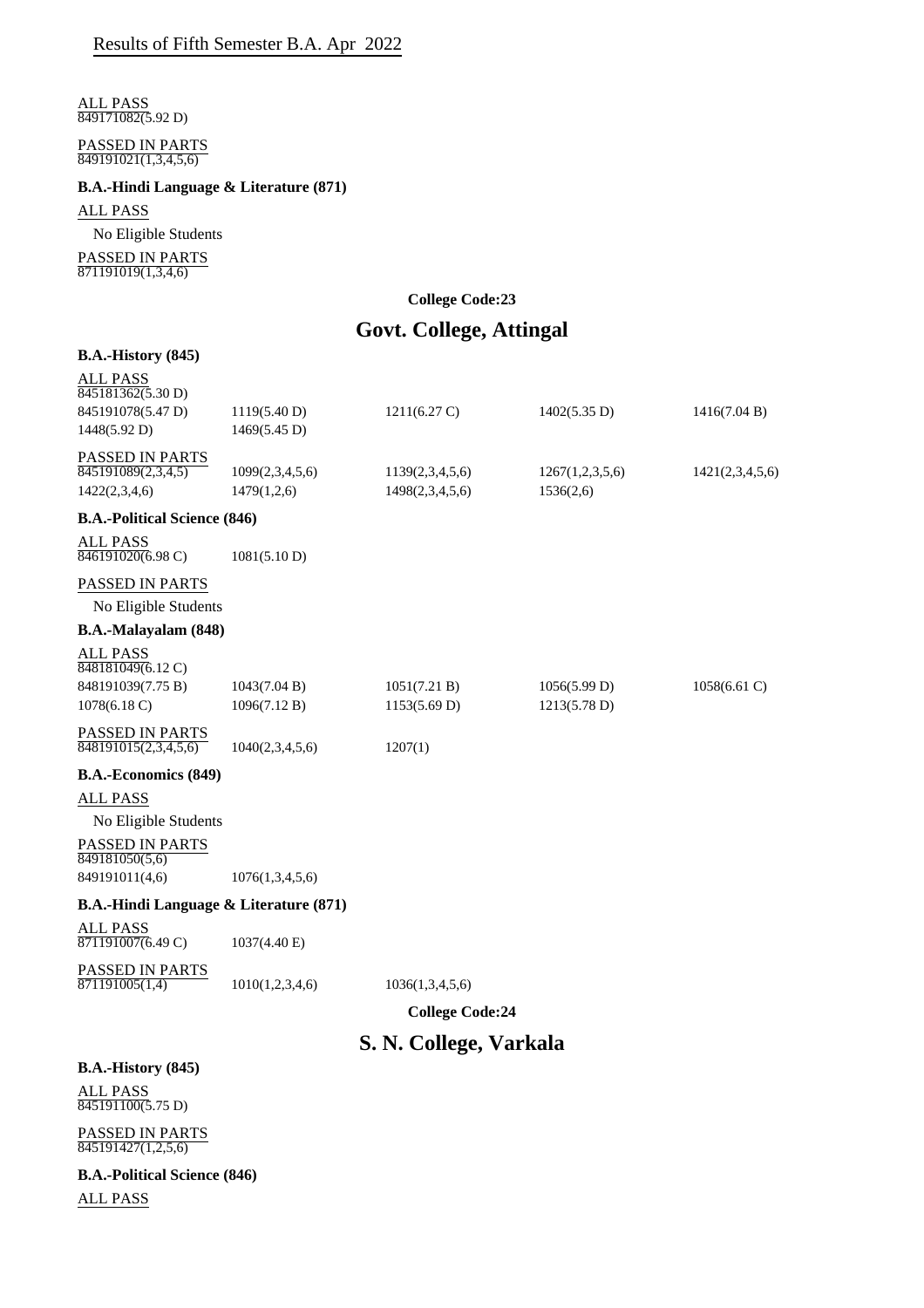ALL PASS  $849171082(5.92 D)$ 

#### PASSED IN PARTS 849191021(1,3,4,5,6)

#### **B.A.-Hindi Language & Literature (871)**

## ALL PASS

No Eligible Students

PASSED IN PARTS  $\frac{871191019(1,3,4,6)}{871191019(1,3,4,6)}$ 

### **College Code:23**

# **Govt. College, Attingal**

#### **B.A.-History (845)**

| ALL PASS<br>845181362(5.30 D) |                 |                        |                 |                 |
|-------------------------------|-----------------|------------------------|-----------------|-----------------|
| 845191078(5.47 D)             | 1119(5.40 D)    | $1211(6.27 \text{ C})$ | 1402(5.35 D)    | 1416(7.04 B)    |
| 1448(5.92 D)                  | 1469(5.45 D)    |                        |                 |                 |
| <b>PASSED IN PARTS</b>        |                 |                        |                 |                 |
| 845191089(2,3,4,5)            | 1099(2,3,4,5,6) | 1139(2,3,4,5,6)        | 1267(1,2,3,5,6) | 1421(2,3,4,5,6) |
| 1422(2,3,4,6)                 | 1479(1,2,6)     | 1498(2,3,4,5,6)        | 1536(2,6)       |                 |
|                               |                 |                        |                 |                 |

## **B.A.-Political Science (846)**

| <b>ALL PASS</b>   |              |
|-------------------|--------------|
| 846191020(6.98 C) | 1081(5.10 D) |

## PASSED IN PARTS

No Eligible Students

## **B.A.-Malayalam (848)**

| ALL PASS<br>848181049(6.12 C) |              |              |              |                 |
|-------------------------------|--------------|--------------|--------------|-----------------|
| 848191039(7.75 B)             | 1043(7.04 B) | 1051(7.21 B) | 1056(5.99 D) | $1058(6.61)$ C) |
| $1078(6.18 \text{ C})$        | 1096(7.12 B) | 1153(5.69 D) | 1213(5.78 D) |                 |

 $1207(1)$ 

| PASSED IN PARTS      |                 |
|----------------------|-----------------|
| 848191015(2,3,4,5,6) | 1040(2,3,4,5,6) |

#### **B.A.-Economics (849)**

ALL PASS

No Eligible Students

PASSED IN PARTS 849181050(5,6)

849191011(4,6) 1076(1,3,4,5,6)

## **B.A.-Hindi Language & Literature (871)**

ALL PASS 871191007(6.49 C) 1037(4.40 E)

PASSED IN PARTS

 $\overline{871191005(1,4)}$  1010(1,2,3,4,6) 1036(1,3,4,5,6)

**College Code:24**

# **S. N. College, Varkala**

# **B.A.-History (845)** ALL PASS

845191100(5.75 D)

PASSED IN PARTS 845191427(1,2,5,6)

**B.A.-Political Science (846)** ALL PASS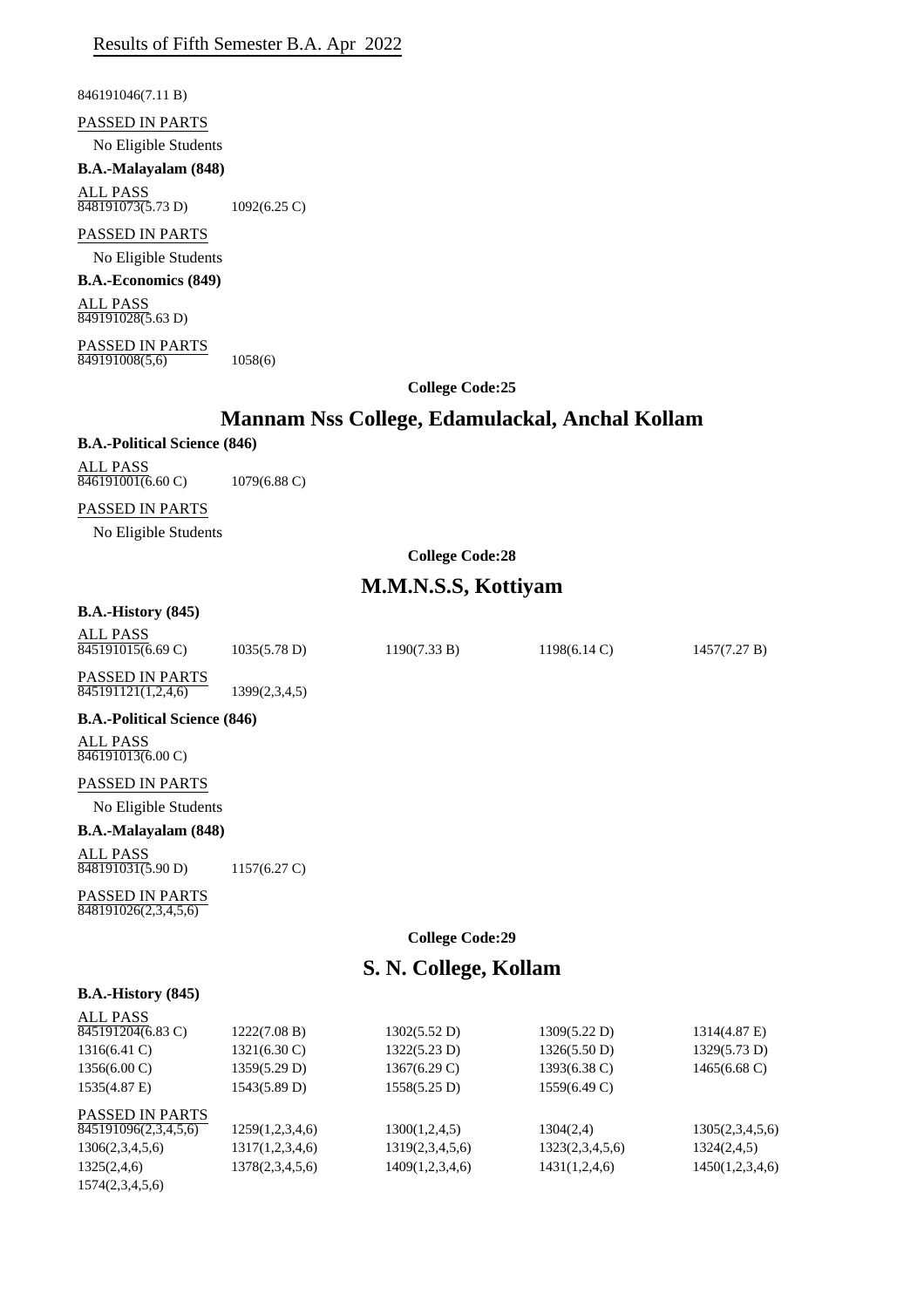846191046(7.11 B)

PASSED IN PARTS

No Eligible Students

**B.A.-Malayalam (848)** ALL PASS

848191073(5.73 D) 1092(6.25 C)

## PASSED IN PARTS

No Eligible Students

**B.A.-Economics (849)**

ALL PASS 849191028(5.63 D)

PASSED IN PARTS 849191008(5,6) 1058(6)

**College Code:25**

# **Mannam Nss College, Edamulackal, Anchal Kollam**

## **B.A.-Political Science (846)**

ALL PASS 846191001(6.60 C) 1079(6.88 C)

#### PASSED IN PARTS

No Eligible Students

## **College Code:28**

## **M.M.N.S.S, Kottiyam**

## **B.A.-History (845)**

| ALL PASS<br>$\overline{845191015(6.69 \text{ C})}$ | 1035(5.78 D)  | 1190(7.33 B) | $1198(6.14 \text{ C})$ | 1457(7.27 B) |
|----------------------------------------------------|---------------|--------------|------------------------|--------------|
| <b>PASSED IN PARTS</b><br>845191121(1,2,4,6)       | 1399(2,3,4,5) |              |                        |              |
| <b>B.A.-Political Science (846)</b>                |               |              |                        |              |
| ALL PASS<br>846191013(6.00 C)                      |               |              |                        |              |

### PASSED IN PARTS

No Eligible Students

### **B.A.-Malayalam (848)**

ALL PASS 848191031(5.90 D) 1157(6.27 C)

PASSED IN PARTS 848191026(2,3,4,5,6)

### **College Code:29**

## **S. N. College, Kollam**

#### **B.A.-History (845)**

| <b>ALL PASS</b><br>845191204(6.83 C) | 1222(7.08 B)    | 1302(5.52 D)    | 1309(5.22 D)    | 1314(4.87 E)           |
|--------------------------------------|-----------------|-----------------|-----------------|------------------------|
|                                      |                 |                 |                 |                        |
| $1316(6.41)$ C)                      | 1321(6.30 C)    | 1322(5.23 D)    | 1326(5.50 D)    | 1329(5.73 D)           |
| $1356(6.00 \text{ C})$               | 1359(5.29 D)    | 1367(6.29 C)    | 1393(6.38 C)    | $1465(6.68 \text{ C})$ |
| 1535(4.87 E)                         | 1543(5.89 D)    | 1558(5.25 D)    | 1559(6.49 C)    |                        |
| <b>PASSED IN PARTS</b>               |                 |                 |                 |                        |
| 845191096(2,3,4,5,6)                 | 1259(1,2,3,4,6) | 1300(1,2,4,5)   | 1304(2,4)       | 1305(2,3,4,5,6)        |
| 1306(2,3,4,5,6)                      | 1317(1,2,3,4,6) | 1319(2,3,4,5,6) | 1323(2,3,4,5,6) | 1324(2,4,5)            |
| 1325(2,4,6)                          | 1378(2,3,4,5,6) | 1409(1,2,3,4,6) | 1431(1,2,4,6)   | 1450(1,2,3,4,6)        |
| 1574(2,3,4,5,6)                      |                 |                 |                 |                        |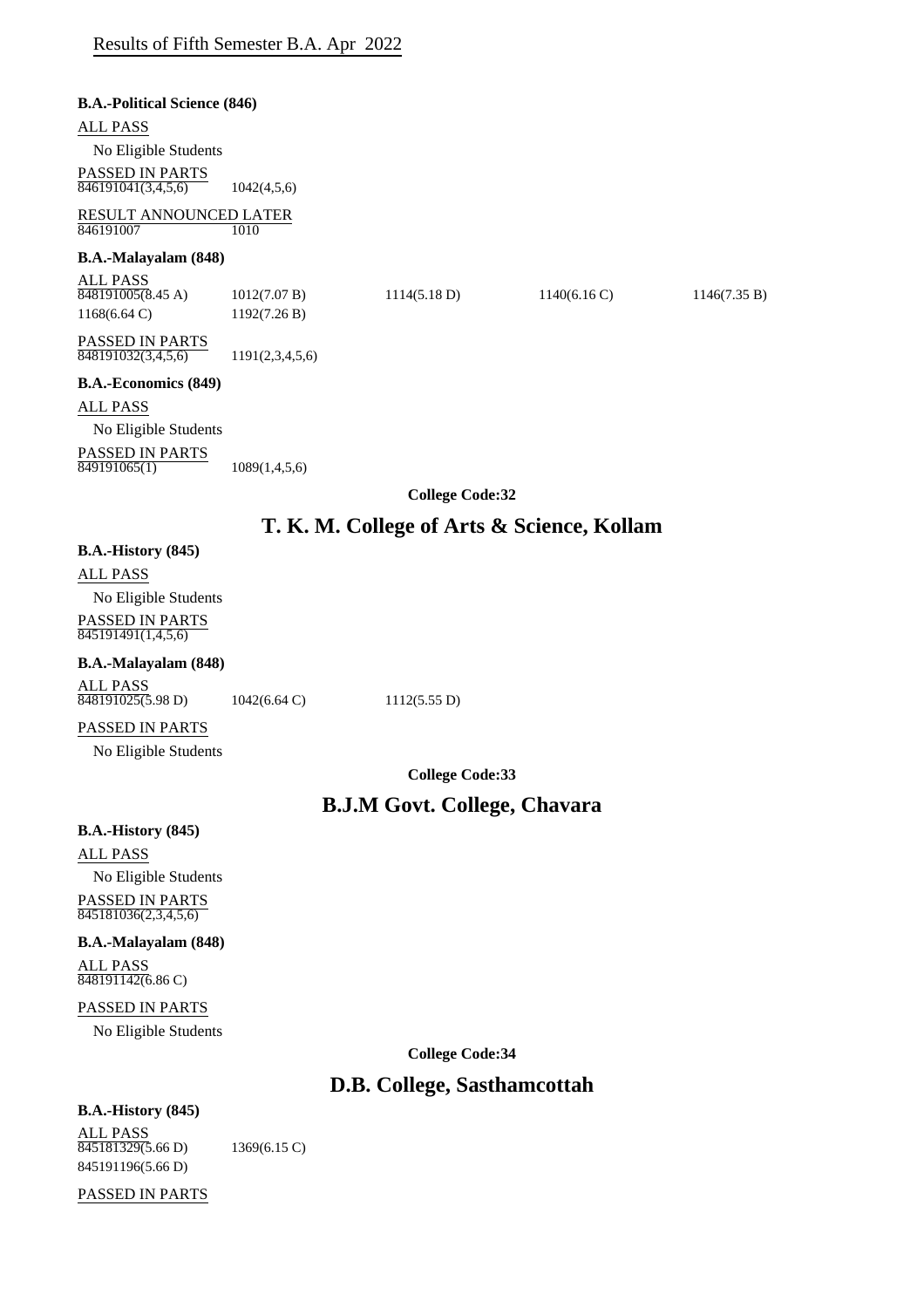| <b>B.A.-Political Science (846)</b>                       |                 |                                            |            |              |
|-----------------------------------------------------------|-----------------|--------------------------------------------|------------|--------------|
| <b>ALL PASS</b>                                           |                 |                                            |            |              |
| No Eligible Students                                      |                 |                                            |            |              |
| <b>PASSED IN PARTS</b><br>$\overline{846191041(3,4,5,6)}$ | 1042(4,5,6)     |                                            |            |              |
| RESULT ANNOUNCED LATER<br>846191007                       | 1010            |                                            |            |              |
| B.A.-Malayalam (848)                                      |                 |                                            |            |              |
| <b>ALL PASS</b><br>$848191005(8.45 \text{ A})$            | 1012(7.07 B)    | 1114(5.18 D)                               | 1140(6.16) | 1146(7.35 B) |
| $1168(6.64 \text{ C})$                                    | 1192(7.26 B)    |                                            |            |              |
| <b>PASSED IN PARTS</b><br>848191032(3,4,5,6)              | 1191(2,3,4,5,6) |                                            |            |              |
| <b>B.A.-Economics (849)</b>                               |                 |                                            |            |              |
| ALL PASS                                                  |                 |                                            |            |              |
| No Eligible Students                                      |                 |                                            |            |              |
| PASSED IN PARTS<br>849191065(1)                           | 1089(1,4,5,6)   |                                            |            |              |
|                                                           |                 | <b>College Code:32</b>                     |            |              |
|                                                           |                 | T. K. M. College of Arts & Science, Kollam |            |              |
| <b>B.A.-History (845)</b>                                 |                 |                                            |            |              |

# ALL PASS

No Eligible Students PASSED IN PARTS 845191491(1,4,5,6)

## **B.A.-Malayalam (848)**

| ALL PASS          |           |
|-------------------|-----------|
| 848191025(5.98 D) | 1042(6.64 |

4 C) 1112(5.55 D)

## PASSED IN PARTS

No Eligible Students

**College Code:33**

# **B.J.M Govt. College, Chavara**

## **B.A.-History (845)**

ALL PASS No Eligible Students PASSED IN PARTS 845181036(2,3,4,5,6)

## **B.A.-Malayalam (848)**

ALL PASS  $\sqrt{848191142(6.86C)}$ 

## PASSED IN PARTS

No Eligible Students

**College Code:34**

# **D.B. College, Sasthamcottah**

## **B.A.-History (845)**

ALL PASS 845181329(5.66 D) 1369(6.15 C) 845191196(5.66 D)

PASSED IN PARTS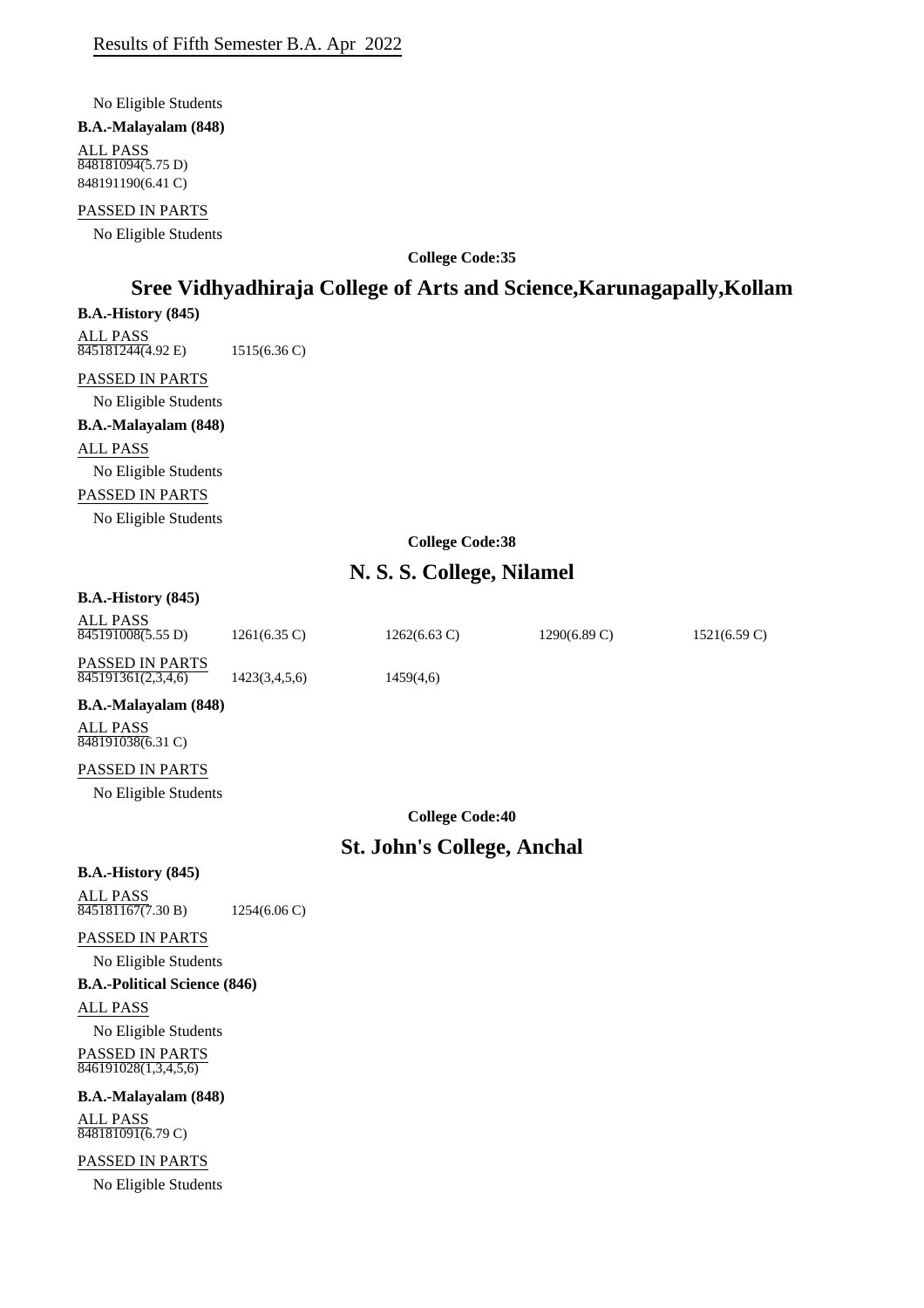No Eligible Students

#### **B.A.-Malayalam (848)**

ALL PASS 848181094(5.75 D) 848191190(6.41 C)

### PASSED IN PARTS

No Eligible Students

**College Code:35**

# **Sree Vidhyadhiraja College of Arts and Science,Karunagapally,Kollam**

#### **B.A.-History (845)**

ALL PASS 845181244(4.92 E) 1515(6.36 C)

## PASSED IN PARTS

No Eligible Students

# **B.A.-Malayalam (848)**

ALL PASS No Eligible Students PASSED IN PARTS No Eligible Students

**College Code:38**

# **N. S. S. College, Nilamel**

## **B.A.-History (845)**

| ALL PASS<br>845191008(5.55 D)                | $1261(6.35 \text{ C})$ | $1262(6.63 \text{ C})$ | $1290(6.89 \text{ C})$ | $1521(6.59 \text{ C})$ |
|----------------------------------------------|------------------------|------------------------|------------------------|------------------------|
| <b>PASSED IN PARTS</b><br>845191361(2,3,4,6) | 1423(3,4,5,6)          | 1459(4,6)              |                        |                        |

## **B.A.-Malayalam (848)**

ALL PASS 848191038(6.31 C)

## PASSED IN PARTS

No Eligible Students

**College Code:40**

# **St. John's College, Anchal**

## **B.A.-History (845)**

ALL PASS 845181167(7.30 B) 1254(6.06 C)

PASSED IN PARTS

No Eligible Students

## **B.A.-Political Science (846)**

ALL PASS

No Eligible Students PASSED IN PARTS 846191028(1,3,4,5,6)

## **B.A.-Malayalam (848)**

ALL PASS 848181091(6.79 C)

PASSED IN PARTS

No Eligible Students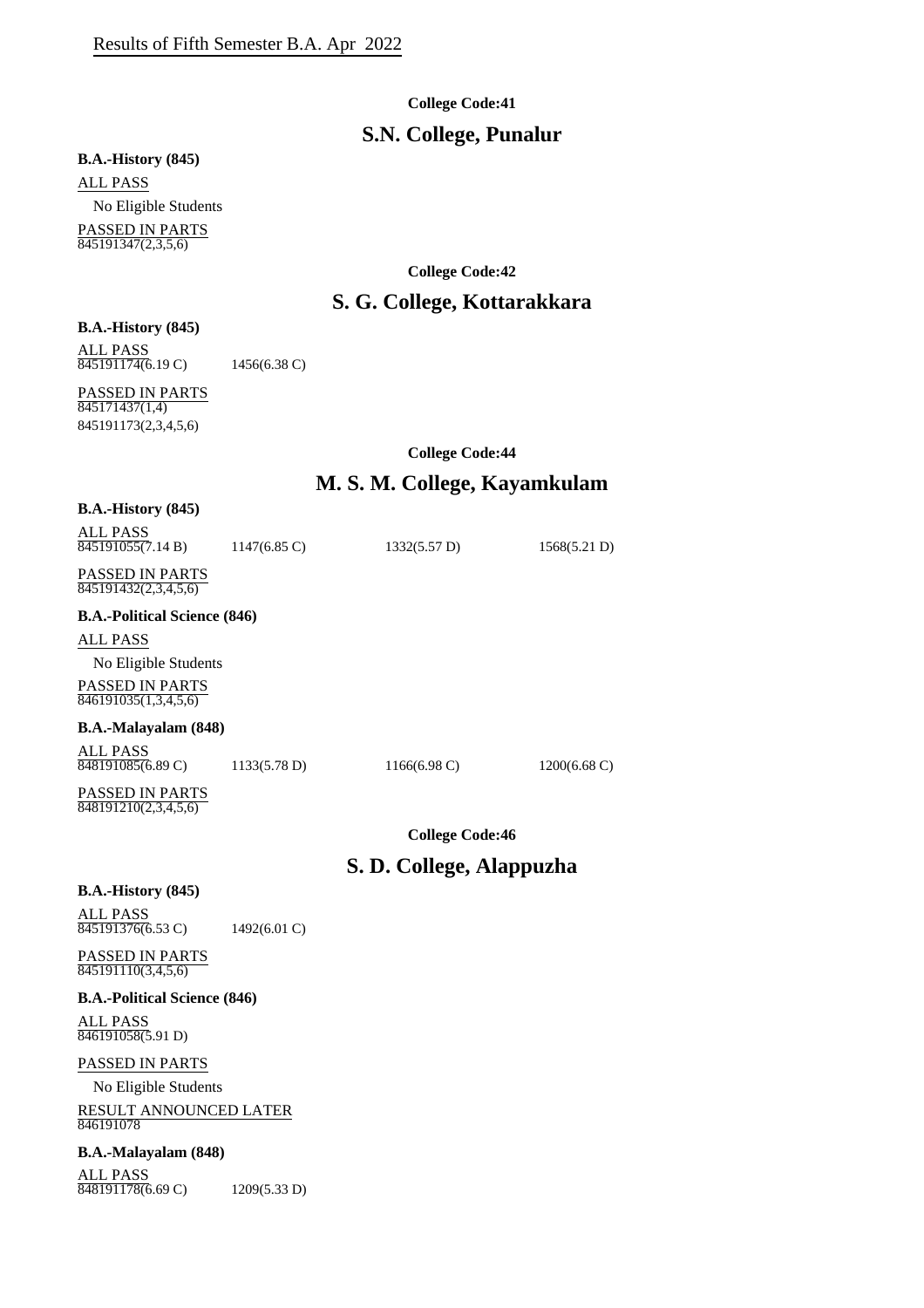#### **College Code:41**

## **S.N. College, Punalur**

## **B.A.-History (845)**

ALL PASS No Eligible Students PASSED IN PARTS  $845191347(2,3,5,6)$ 

**College Code:42**

## **S. G. College, Kottarakkara**

#### **B.A.-History (845)**

ALL PASS

845191174(6.19 C) 1456(6.38 C)

PASSED IN PARTS  $\frac{11155}{845171437(1,4)}$ 845191173(2,3,4,5,6)

**College Code:44**

## **M. S. M. College, Kayamkulam**

| $B.A.-History (845)$                           |                        |                 |                        |
|------------------------------------------------|------------------------|-----------------|------------------------|
| ALL PASS<br>845191055(7.14 B)                  | $1147(6.85 \text{ C})$ | 1332(5.57 D)    | 1568(5.21 D)           |
| <b>PASSED IN PARTS</b><br>845191432(2,3,4,5,6) |                        |                 |                        |
| <b>B.A.-Political Science (846)</b>            |                        |                 |                        |
| <b>ALL PASS</b>                                |                        |                 |                        |
| No Eligible Students                           |                        |                 |                        |
| <b>PASSED IN PARTS</b><br>846191035(1,3,4,5,6) |                        |                 |                        |
| <b>B.A.-Malayalam (848)</b>                    |                        |                 |                        |
| ALL PASS<br>848191085(6.89 C)                  | 1133(5.78 D)           | $1166(6.98)$ C) | $1200(6.68 \text{ C})$ |

PASSED IN PARTS 848191210(2,3,4,5,6)

**College Code:46**

## **S. D. College, Alappuzha**

#### **B.A.-History (845)**

ALL PASS 845191376(6.53 C) 1492(6.01 C)

#### PASSED IN PARTS 845191110(3,4,5,6)

#### **B.A.-Political Science (846)**

ALL PASS 846191058(5.91 D)

## PASSED IN PARTS

No Eligible Students

RESULT ANNOUNCED LATER 846191078

## **B.A.-Malayalam (848)**

ALL PASS 848191178(6.69 C) 1209(5.33 D)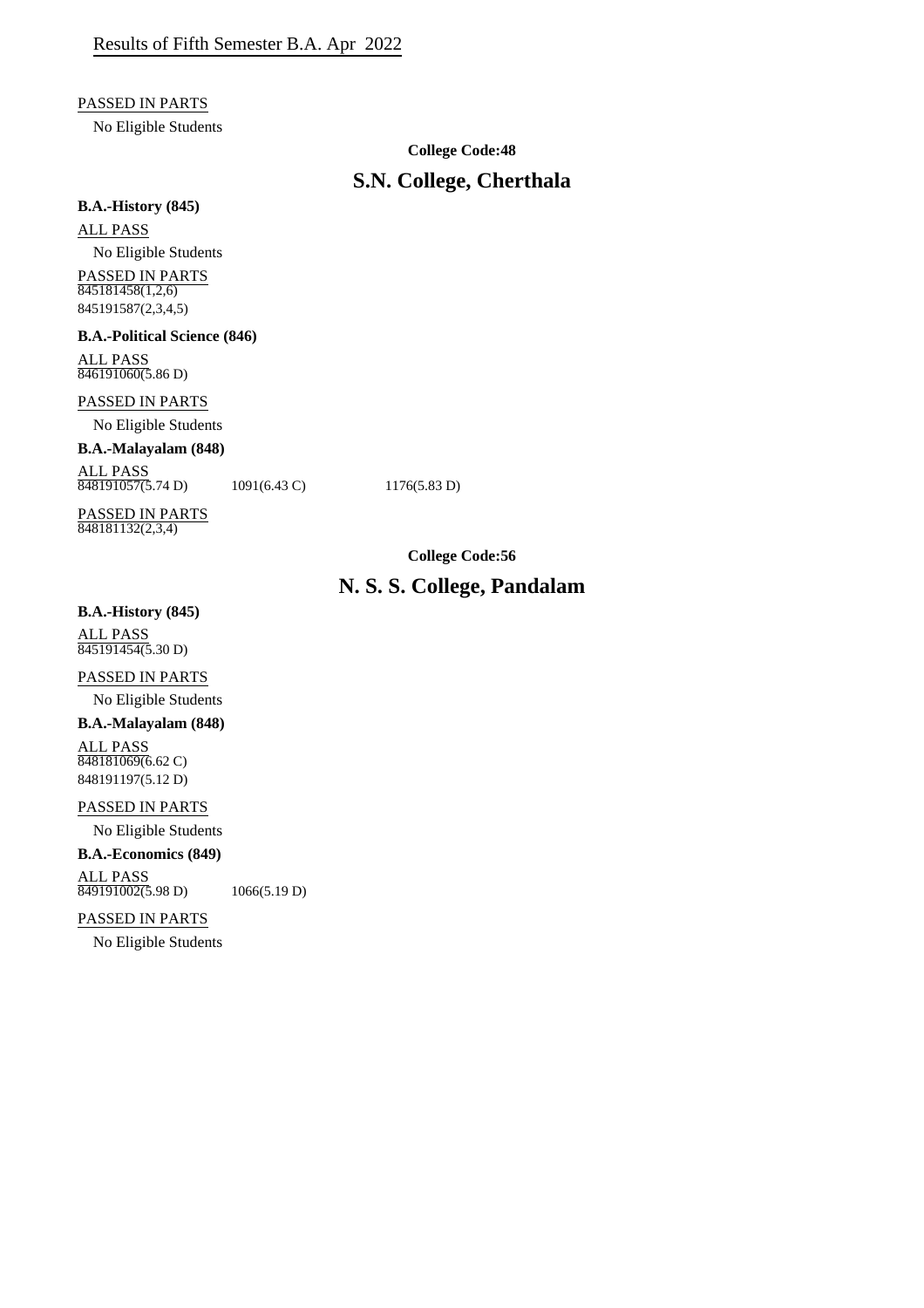#### PASSED IN PARTS

No Eligible Students

## **College Code:48**

# **S.N. College, Cherthala**

#### **B.A.-History (845)**

ALL PASS

No Eligible Students PASSED IN PARTS  $845181458(1,2,6)$ 845191587(2,3,4,5)

**B.A.-Political Science (846)**

ALL PASS 846191060(5.86 D)

## PASSED IN PARTS

No Eligible Students

## **B.A.-Malayalam (848)**

ALL PASS  $848191057(5.74 \text{ D})$  1091(6.43 C) 1176(5.83 D)

PASSED IN PARTS  $848181132(2,3,4)$ 

**College Code:56**

# **N. S. S. College, Pandalam**

### **B.A.-History (845)**

ALL PASS 845191454(5.30 D)

## PASSED IN PARTS

No Eligible Students

## **B.A.-Malayalam (848)**

ALL PASS 848181069(6.62 C) 848191197(5.12 D)

### PASSED IN PARTS

No Eligible Students

## **B.A.-Economics (849)**

ALL PASS  $\overline{849191002(5.98 \text{ D})}$  1066(5.19 D)

## PASSED IN PARTS

No Eligible Students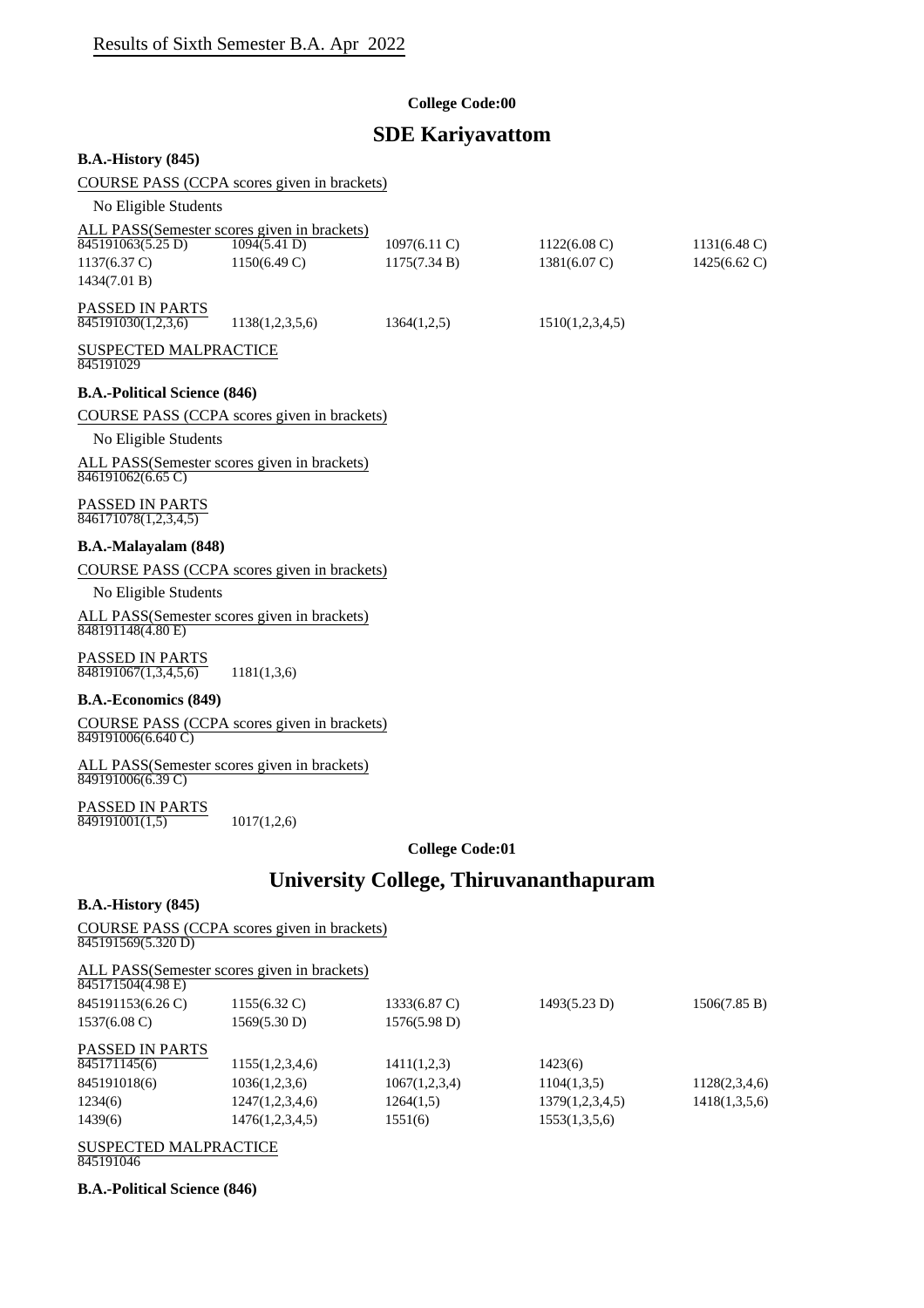## **College Code:00**

# **SDE Kariyavattom**

| <b>B.A.-History (845)</b>                                                                                                       |                                             |                                               |                                                  |                                                  |
|---------------------------------------------------------------------------------------------------------------------------------|---------------------------------------------|-----------------------------------------------|--------------------------------------------------|--------------------------------------------------|
|                                                                                                                                 | COURSE PASS (CCPA scores given in brackets) |                                               |                                                  |                                                  |
| No Eligible Students                                                                                                            |                                             |                                               |                                                  |                                                  |
| ALL PASS(Semester scores given in brackets)<br>$\overline{845191063(5.25 \text{ D})}$<br>$1137(6.37 \text{ C})$<br>1434(7.01 B) | 1094(5.41 D)<br>1150(6.49 C)                | $1097(6.11)$ C)<br>1175(7.34 B)               | $1122(6.08 \text{ C})$<br>$1381(6.07 \text{ C})$ | $1131(6.48 \text{ C})$<br>$1425(6.62 \text{ C})$ |
| PASSED IN PARTS<br>845191030(1,2,3,6)                                                                                           | 1138(1,2,3,5,6)                             | 1364(1,2,5)                                   | 1510(1,2,3,4,5)                                  |                                                  |
| <b>SUSPECTED MALPRACTICE</b><br>845191029                                                                                       |                                             |                                               |                                                  |                                                  |
| <b>B.A.-Political Science (846)</b>                                                                                             |                                             |                                               |                                                  |                                                  |
| No Eligible Students<br>ALL PASS(Semester scores given in brackets)                                                             | COURSE PASS (CCPA scores given in brackets) |                                               |                                                  |                                                  |
| 846191062(6.65 C)                                                                                                               |                                             |                                               |                                                  |                                                  |
| PASSED IN PARTS<br>$\overline{846171078(1,2,3,4,5)}$                                                                            |                                             |                                               |                                                  |                                                  |
| B.A.-Malayalam (848)                                                                                                            |                                             |                                               |                                                  |                                                  |
|                                                                                                                                 | COURSE PASS (CCPA scores given in brackets) |                                               |                                                  |                                                  |
| No Eligible Students                                                                                                            |                                             |                                               |                                                  |                                                  |
| ALL PASS(Semester scores given in brackets)<br>848191148(4.80 E)                                                                |                                             |                                               |                                                  |                                                  |
| PASSED IN PARTS<br>848191067(1,3,4,5,6)                                                                                         | 1181(1,3,6)                                 |                                               |                                                  |                                                  |
| <b>B.A.-Economics (849)</b>                                                                                                     |                                             |                                               |                                                  |                                                  |
| $849191006(6.640 \text{ C})$                                                                                                    | COURSE PASS (CCPA scores given in brackets) |                                               |                                                  |                                                  |
| ALL PASS(Semester scores given in brackets)<br>$\overline{849191006(6.39 \text{ C})}$                                           |                                             |                                               |                                                  |                                                  |
| PASSED IN PARTS<br>$\overline{849191001(1,5)}$                                                                                  | 1017(1,2,6)                                 |                                               |                                                  |                                                  |
|                                                                                                                                 |                                             | <b>College Code:01</b>                        |                                                  |                                                  |
|                                                                                                                                 |                                             | <b>University College, Thiruvananthapuram</b> |                                                  |                                                  |
| <b>B.A.-History (845)</b>                                                                                                       |                                             |                                               |                                                  |                                                  |

COURSE PASS (CCPA scores given in brackets) 845191569(5.320 D)

ALL PASS(Semester scores given in brackets)

| 845171504(4.98 E)      |                        |               |                 |               |
|------------------------|------------------------|---------------|-----------------|---------------|
| 845191153(6.26 C)      | $1155(6.32 \text{ C})$ | 1333(6.87 C)  | 1493(5.23 D)    | 1506(7.85 B)  |
| $1537(6.08 \text{ C})$ | 1569(5.30 D)           | 1576(5.98 D)  |                 |               |
| <b>PASSED IN PARTS</b> |                        |               |                 |               |
| 845171145(6)           | 1155(1,2,3,4,6)        | 1411(1,2,3)   | 1423(6)         |               |
| 845191018(6)           | 1036(1,2,3,6)          | 1067(1,2,3,4) | 1104(1,3,5)     | 1128(2,3,4,6) |
| 1234(6)                | 1247(1,2,3,4,6)        | 1264(1,5)     | 1379(1,2,3,4,5) | 1418(1,3,5,6) |
| 1439(6)                | 1476(1,2,3,4,5)        | 1551(6)       | 1553(1,3,5,6)   |               |
|                        |                        |               |                 |               |

SUSPECTED MALPRACTICE 845191046

**B.A.-Political Science (846)**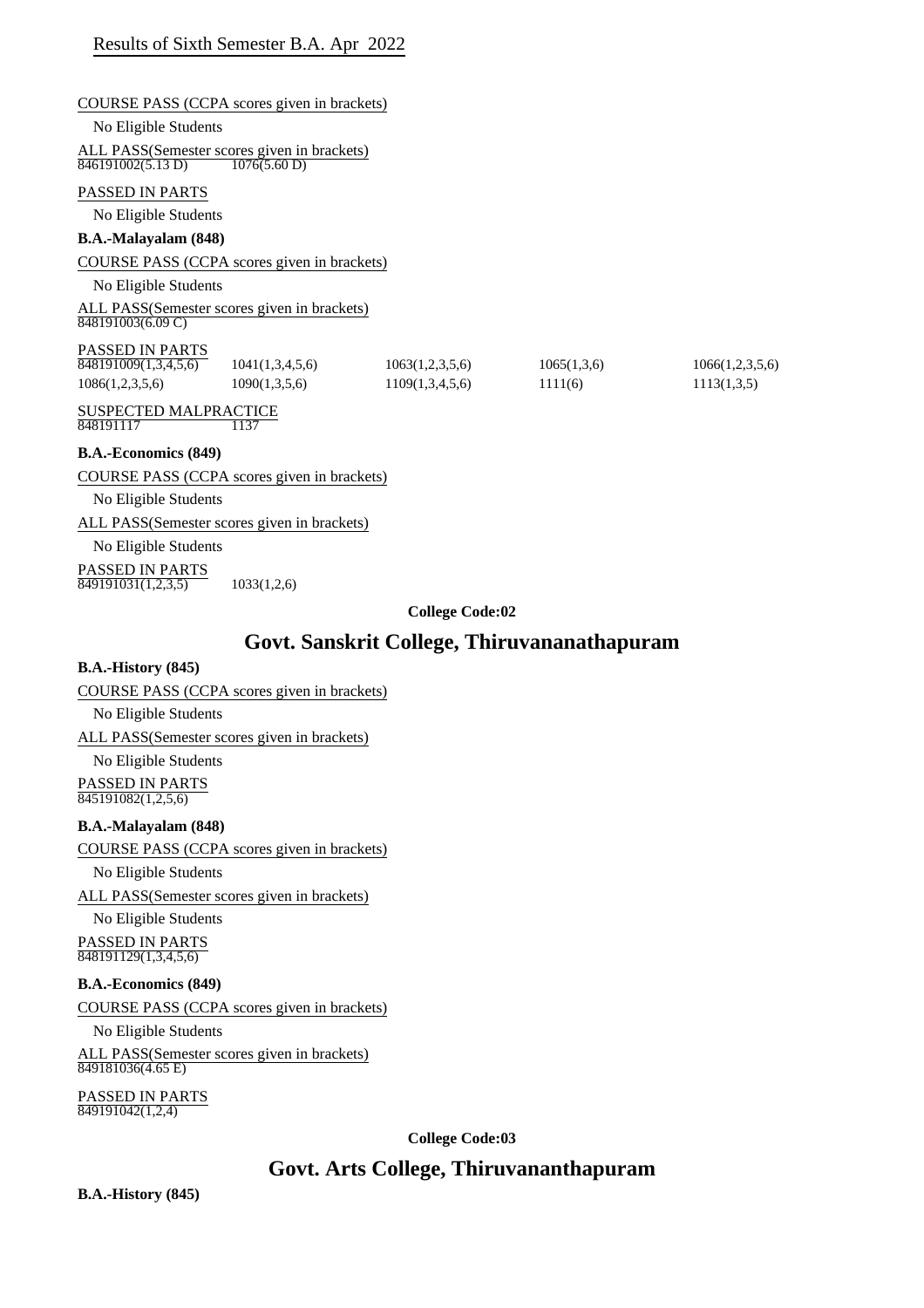# COURSE PASS (CCPA scores given in brackets) No Eligible Students ALL PASS(Semester scores given in brackets) PASSED IN PARTS No Eligible Students **B.A.-Malayalam (848)** COURSE PASS (CCPA scores given in brackets) No Eligible Students ALL PASS(Semester scores given in brackets) PASSED IN PARTS SUSPECTED MALPRACTICE **B.A.-Economics (849)** COURSE PASS (CCPA scores given in brackets) No Eligible Students 846191002(5.13 D) 1076(5.60 D)  $848191003(6.09 \text{ C})$  $\overline{848191009(1,3,4,5,6)}$  1041(1,3,4,5,6) 1063(1,2,3,5,6) 1065(1,3,6) 1066(1,2,3,5,6) 1086(1,2,3,5,6) 1090(1,3,5,6) 1109(1,3,4,5,6) 1111(6) 1113(1,3,5) 848191117 1137

ALL PASS(Semester scores given in brackets)

No Eligible Students

PASSED IN PARTS  $\overline{849191031(1,2,3,5)}$  1033(1,2,6)

## **College Code:02**

## **Govt. Sanskrit College, Thiruvananathapuram**

## **B.A.-History (845)**

## COURSE PASS (CCPA scores given in brackets)

No Eligible Students

ALL PASS(Semester scores given in brackets)

No Eligible Students PASSED IN PARTS 845191082(1,2,5,6)

## **B.A.-Malayalam (848)**

COURSE PASS (CCPA scores given in brackets)

No Eligible Students

ALL PASS(Semester scores given in brackets)

No Eligible Students PASSED IN PARTS 848191129(1,3,4,5,6)

## **B.A.-Economics (849)**

COURSE PASS (CCPA scores given in brackets)

No Eligible Students

ALL PASS(Semester scores given in brackets) 849181036(4.65 E)

PASSED IN PARTS 849191042(1,2,4)

**College Code:03**

# **Govt. Arts College, Thiruvananthapuram**

**B.A.-History (845)**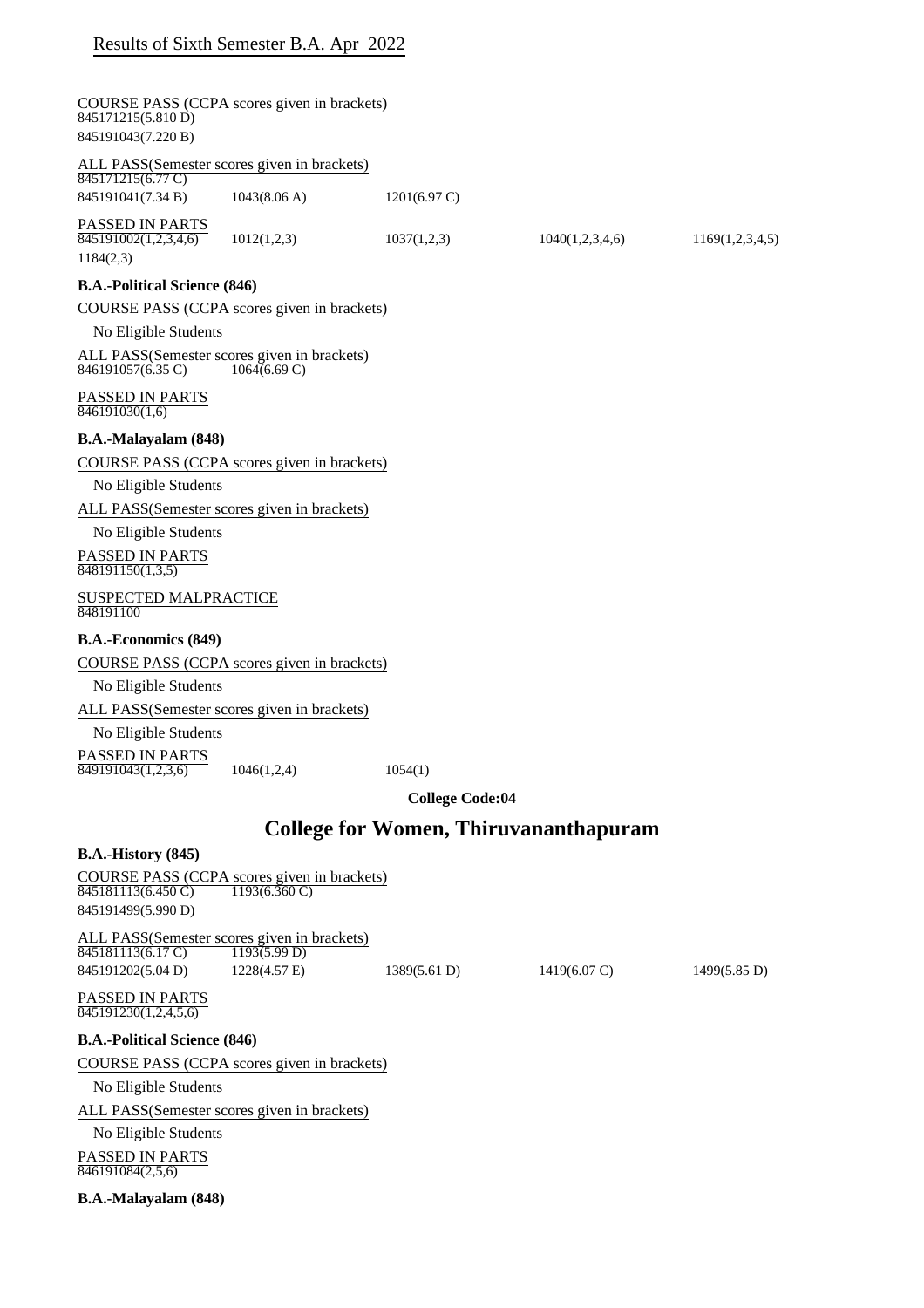| 845171215(5.810 D)<br>845191043(7.220 B)             | COURSE PASS (CCPA scores given in brackets)                              |                                              |                        |                        |
|------------------------------------------------------|--------------------------------------------------------------------------|----------------------------------------------|------------------------|------------------------|
|                                                      | ALL PASS(Semester scores given in brackets)                              |                                              |                        |                        |
| 845171215(6.77 C)<br>845191041(7.34 B)               | 1043(8.06 A)                                                             | $1201(6.97 \text{ C})$                       |                        |                        |
| PASSED IN PARTS<br>845191002(1,2,3,4,6)<br>1184(2,3) | 1012(1,2,3)                                                              | 1037(1,2,3)                                  | 1040(1,2,3,4,6)        | 1169(1,2,3,4,5)        |
| <b>B.A.-Political Science (846)</b>                  |                                                                          |                                              |                        |                        |
|                                                      | COURSE PASS (CCPA scores given in brackets)                              |                                              |                        |                        |
| No Eligible Students                                 |                                                                          |                                              |                        |                        |
| 846191057(6.35 C)                                    | ALL PASS(Semester scores given in brackets)<br>1064(6.69 C)              |                                              |                        |                        |
| PASSED IN PARTS<br>846191030(1,6)                    |                                                                          |                                              |                        |                        |
| B.A.-Malayalam (848)                                 |                                                                          |                                              |                        |                        |
|                                                      | COURSE PASS (CCPA scores given in brackets)                              |                                              |                        |                        |
| No Eligible Students                                 |                                                                          |                                              |                        |                        |
|                                                      | ALL PASS(Semester scores given in brackets)                              |                                              |                        |                        |
| No Eligible Students                                 |                                                                          |                                              |                        |                        |
| PASSED IN PARTS<br>$\overline{848191150(1,3,5)}$     |                                                                          |                                              |                        |                        |
| <b>SUSPECTED MALPRACTICE</b><br>848191100            |                                                                          |                                              |                        |                        |
| <b>B.A.-Economics (849)</b>                          |                                                                          |                                              |                        |                        |
|                                                      | COURSE PASS (CCPA scores given in brackets)                              |                                              |                        |                        |
| No Eligible Students                                 |                                                                          |                                              |                        |                        |
|                                                      | ALL PASS(Semester scores given in brackets)                              |                                              |                        |                        |
| No Eligible Students                                 |                                                                          |                                              |                        |                        |
| PASSED IN PARTS<br>$\overline{849191043(1,2,3,6)}$   | 1046(1,2,4)                                                              | 1054(1)                                      |                        |                        |
|                                                      |                                                                          | <b>College Code:04</b>                       |                        |                        |
|                                                      |                                                                          |                                              |                        |                        |
|                                                      |                                                                          | <b>College for Women, Thiruvananthapuram</b> |                        |                        |
| <b>B.A.-History (845)</b>                            |                                                                          |                                              |                        |                        |
| 845181113(6.450 C)                                   | COURSE PASS (CCPA scores given in brackets)<br>$1193(6.360 \text{ C})$   |                                              |                        |                        |
| 845191499(5.990 D)                                   |                                                                          |                                              |                        |                        |
| 845181113(6.17 C)                                    | ALL PASS(Semester scores given in brackets)<br>$\overline{1193(5.99 D)}$ |                                              |                        |                        |
| 845191202(5.04 D)                                    | 1228(4.57 E)                                                             | 1389(5.61 D)                                 | $1419(6.07 \text{ C})$ | $1499(5.85 \text{ D})$ |
| PASSED IN PARTS<br>845191230(1,2,4,5,6)              |                                                                          |                                              |                        |                        |
| <b>B.A.-Political Science (846)</b>                  |                                                                          |                                              |                        |                        |
|                                                      | COURSE PASS (CCPA scores given in brackets)                              |                                              |                        |                        |
| No Eligible Students                                 |                                                                          |                                              |                        |                        |
|                                                      | ALL PASS(Semester scores given in brackets)                              |                                              |                        |                        |
| No Eligible Students                                 |                                                                          |                                              |                        |                        |
| PASSED IN PARTS                                      |                                                                          |                                              |                        |                        |
| 846191084(2,5,6)                                     |                                                                          |                                              |                        |                        |

**B.A.-Malayalam (848)**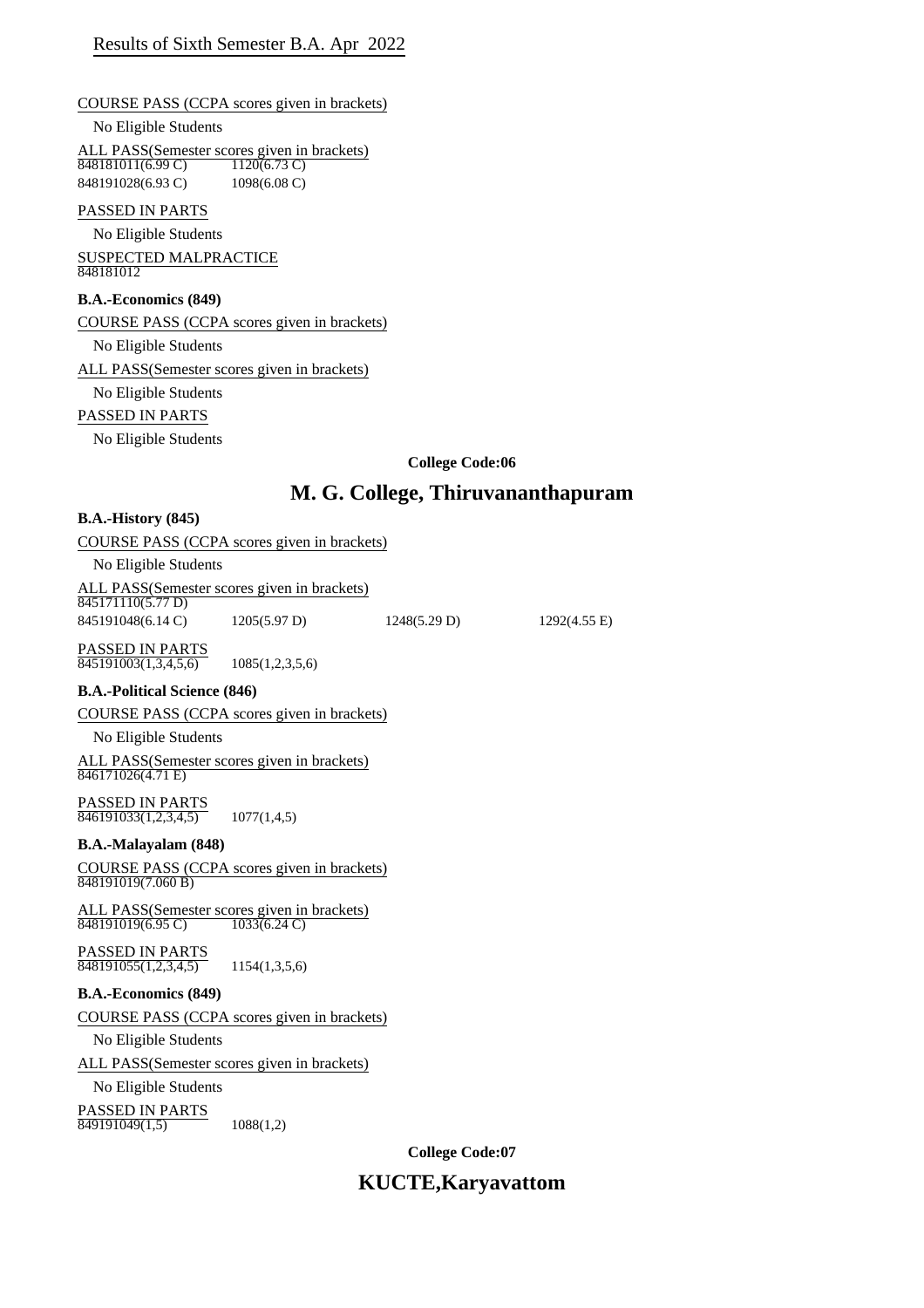COURSE PASS (CCPA scores given in brackets)

No Eligible Students

ALL PASS(Semester scores given in brackets)<br> $\frac{848181011(6.99 \text{ C})}{1120(6.73 \text{ C})}$ 848181011(6.99 C) 848191028(6.93 C) 1098(6.08 C)

## PASSED IN PARTS

No Eligible Students SUSPECTED MALPRACTICE

848181012

## **B.A.-Economics (849)**

COURSE PASS (CCPA scores given in brackets)

No Eligible Students

ALL PASS(Semester scores given in brackets)

No Eligible Students

## PASSED IN PARTS

No Eligible Students

## **College Code:06**

# **M. G. College, Thiruvananthapuram**

#### **B.A.-History (845)**

| COURSE PASS (CCPA scores given in brackets)                    |
|----------------------------------------------------------------|
| No Eligible Students                                           |
| ALL PASS(Semester scores given in brackets)<br>0.4517111005777 |

845171110(5.77 D) 845191048(6.14 C) 1205(5.97 D) 1248(5.29 D) 1292(4.55 E)

PASSED IN PARTS  $\overline{845191003(1,3,4,5,6)}$  1085(1,2,3,5,6)

## **B.A.-Political Science (846)**

COURSE PASS (CCPA scores given in brackets)

No Eligible Students

ALL PASS(Semester scores given in brackets)  $846171026(4.71 \text{ E})$ 

PASSED IN PARTS  $\overline{846191033(1,2,3,4,5)}$  1077(1,4,5)

## **B.A.-Malayalam (848)**

COURSE PASS (CCPA scores given in brackets) 848191019(7.060 B)

ALL PASS(Semester scores given in brackets)<br>848191019(6.95 C) 1033(6.24 C) 848191019(6.95 C)

PASSED IN PARTS  $\overline{848191055(1,2,3,4,5)}$  1154(1,3,5,6)

## **B.A.-Economics (849)**

COURSE PASS (CCPA scores given in brackets)

No Eligible Students

ALL PASS(Semester scores given in brackets)

## No Eligible Students

PASSED IN PARTS  $\overline{849191049(1,5)}$  1088(1,2)

**College Code:07**

# **KUCTE,Karyavattom**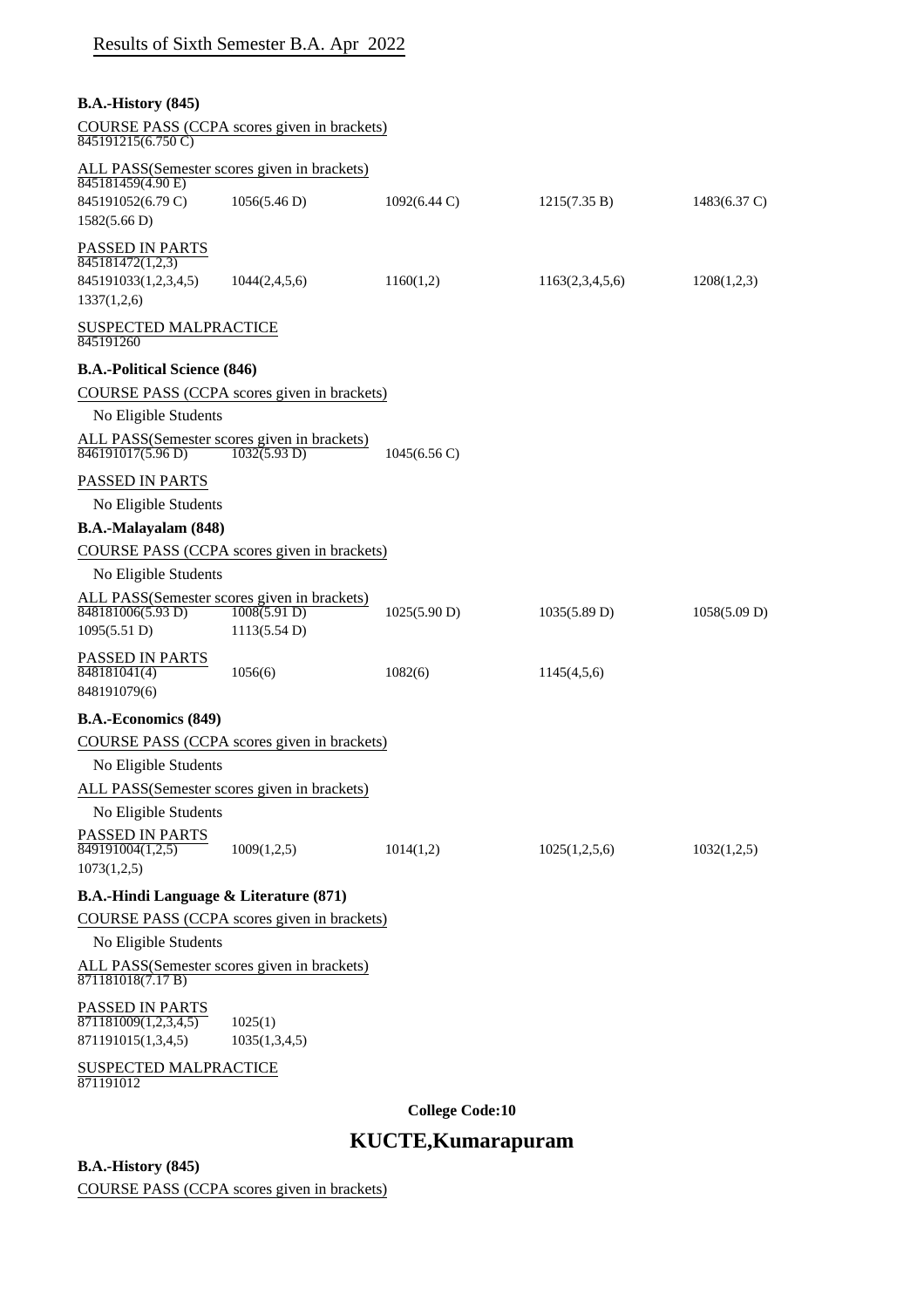| <b>B.A.-History</b> (845)<br>COURSE PASS (CCPA scores given in brackets)<br>$\overline{845191215(6.750 \text{ C})}$<br>ALL PASS(Semester scores given in brackets)<br>845181459(4.90 E)<br>845191052(6.79 C)<br>1056(5.46 D)<br>$1092(6.44 \text{ C})$<br>1215(7.35 B)<br>1582(5.66 D)<br>PASSED IN PARTS<br>845181472(1,2,3)<br>845191033(1,2,3,4,5)<br>1160(1,2)<br>1044(2,4,5,6)<br>1163(2,3,4,5,6)<br>1208(1,2,3)<br>1337(1,2,6)<br>SUSPECTED MALPRACTICE<br>845191260<br><b>B.A.-Political Science (846)</b><br>COURSE PASS (CCPA scores given in brackets)<br>No Eligible Students<br>ALL PASS(Semester scores given in brackets)<br>$\overline{846191017(5.96 \text{ D})}$<br>1032(5.93 D)<br>$1045(6.56 \text{ C})$<br>PASSED IN PARTS<br>No Eligible Students<br>B.A.-Malayalam (848)<br>COURSE PASS (CCPA scores given in brackets)<br>No Eligible Students<br>ALL PASS(Semester scores given in brackets)<br>$\overline{1008(5.91D)}$<br>848181006(5.93 D)<br>1025(5.90 D)<br>1035(5.89 D)<br>1095(5.51 D)<br>1113(5.54 D)<br>PASSED IN PARTS<br>848181041(4)<br>1082(6)<br>1056(6)<br>1145(4,5,6)<br>848191079(6)<br><b>B.A.-Economics (849)</b><br>COURSE PASS (CCPA scores given in brackets)<br>No Eligible Students<br>ALL PASS(Semester scores given in brackets)<br>No Eligible Students<br>PASSED IN PARTS<br>849191004(1,2,5)<br>1009(1,2,5)<br>1014(1,2)<br>1025(1,2,5,6)<br>1032(1,2,5)<br>1073(1,2,5)<br><b>B.A.-Hindi Language &amp; Literature (871)</b><br>COURSE PASS (CCPA scores given in brackets) |                      | Results of Sixth Semester B.A. Apr 2022 |  |                        |
|----------------------------------------------------------------------------------------------------------------------------------------------------------------------------------------------------------------------------------------------------------------------------------------------------------------------------------------------------------------------------------------------------------------------------------------------------------------------------------------------------------------------------------------------------------------------------------------------------------------------------------------------------------------------------------------------------------------------------------------------------------------------------------------------------------------------------------------------------------------------------------------------------------------------------------------------------------------------------------------------------------------------------------------------------------------------------------------------------------------------------------------------------------------------------------------------------------------------------------------------------------------------------------------------------------------------------------------------------------------------------------------------------------------------------------------------------------------------------------------------------------------------------------|----------------------|-----------------------------------------|--|------------------------|
|                                                                                                                                                                                                                                                                                                                                                                                                                                                                                                                                                                                                                                                                                                                                                                                                                                                                                                                                                                                                                                                                                                                                                                                                                                                                                                                                                                                                                                                                                                                                  |                      |                                         |  |                        |
|                                                                                                                                                                                                                                                                                                                                                                                                                                                                                                                                                                                                                                                                                                                                                                                                                                                                                                                                                                                                                                                                                                                                                                                                                                                                                                                                                                                                                                                                                                                                  |                      |                                         |  | $1483(6.37 \text{ C})$ |
|                                                                                                                                                                                                                                                                                                                                                                                                                                                                                                                                                                                                                                                                                                                                                                                                                                                                                                                                                                                                                                                                                                                                                                                                                                                                                                                                                                                                                                                                                                                                  |                      |                                         |  |                        |
|                                                                                                                                                                                                                                                                                                                                                                                                                                                                                                                                                                                                                                                                                                                                                                                                                                                                                                                                                                                                                                                                                                                                                                                                                                                                                                                                                                                                                                                                                                                                  |                      |                                         |  |                        |
|                                                                                                                                                                                                                                                                                                                                                                                                                                                                                                                                                                                                                                                                                                                                                                                                                                                                                                                                                                                                                                                                                                                                                                                                                                                                                                                                                                                                                                                                                                                                  |                      |                                         |  |                        |
|                                                                                                                                                                                                                                                                                                                                                                                                                                                                                                                                                                                                                                                                                                                                                                                                                                                                                                                                                                                                                                                                                                                                                                                                                                                                                                                                                                                                                                                                                                                                  |                      |                                         |  |                        |
|                                                                                                                                                                                                                                                                                                                                                                                                                                                                                                                                                                                                                                                                                                                                                                                                                                                                                                                                                                                                                                                                                                                                                                                                                                                                                                                                                                                                                                                                                                                                  |                      |                                         |  |                        |
|                                                                                                                                                                                                                                                                                                                                                                                                                                                                                                                                                                                                                                                                                                                                                                                                                                                                                                                                                                                                                                                                                                                                                                                                                                                                                                                                                                                                                                                                                                                                  |                      |                                         |  |                        |
|                                                                                                                                                                                                                                                                                                                                                                                                                                                                                                                                                                                                                                                                                                                                                                                                                                                                                                                                                                                                                                                                                                                                                                                                                                                                                                                                                                                                                                                                                                                                  |                      |                                         |  |                        |
|                                                                                                                                                                                                                                                                                                                                                                                                                                                                                                                                                                                                                                                                                                                                                                                                                                                                                                                                                                                                                                                                                                                                                                                                                                                                                                                                                                                                                                                                                                                                  |                      |                                         |  |                        |
|                                                                                                                                                                                                                                                                                                                                                                                                                                                                                                                                                                                                                                                                                                                                                                                                                                                                                                                                                                                                                                                                                                                                                                                                                                                                                                                                                                                                                                                                                                                                  |                      |                                         |  |                        |
|                                                                                                                                                                                                                                                                                                                                                                                                                                                                                                                                                                                                                                                                                                                                                                                                                                                                                                                                                                                                                                                                                                                                                                                                                                                                                                                                                                                                                                                                                                                                  |                      |                                         |  |                        |
|                                                                                                                                                                                                                                                                                                                                                                                                                                                                                                                                                                                                                                                                                                                                                                                                                                                                                                                                                                                                                                                                                                                                                                                                                                                                                                                                                                                                                                                                                                                                  |                      |                                         |  |                        |
|                                                                                                                                                                                                                                                                                                                                                                                                                                                                                                                                                                                                                                                                                                                                                                                                                                                                                                                                                                                                                                                                                                                                                                                                                                                                                                                                                                                                                                                                                                                                  |                      |                                         |  | 1058(5.09 D)           |
|                                                                                                                                                                                                                                                                                                                                                                                                                                                                                                                                                                                                                                                                                                                                                                                                                                                                                                                                                                                                                                                                                                                                                                                                                                                                                                                                                                                                                                                                                                                                  |                      |                                         |  |                        |
|                                                                                                                                                                                                                                                                                                                                                                                                                                                                                                                                                                                                                                                                                                                                                                                                                                                                                                                                                                                                                                                                                                                                                                                                                                                                                                                                                                                                                                                                                                                                  |                      |                                         |  |                        |
|                                                                                                                                                                                                                                                                                                                                                                                                                                                                                                                                                                                                                                                                                                                                                                                                                                                                                                                                                                                                                                                                                                                                                                                                                                                                                                                                                                                                                                                                                                                                  |                      |                                         |  |                        |
|                                                                                                                                                                                                                                                                                                                                                                                                                                                                                                                                                                                                                                                                                                                                                                                                                                                                                                                                                                                                                                                                                                                                                                                                                                                                                                                                                                                                                                                                                                                                  |                      |                                         |  |                        |
|                                                                                                                                                                                                                                                                                                                                                                                                                                                                                                                                                                                                                                                                                                                                                                                                                                                                                                                                                                                                                                                                                                                                                                                                                                                                                                                                                                                                                                                                                                                                  |                      |                                         |  |                        |
|                                                                                                                                                                                                                                                                                                                                                                                                                                                                                                                                                                                                                                                                                                                                                                                                                                                                                                                                                                                                                                                                                                                                                                                                                                                                                                                                                                                                                                                                                                                                  |                      |                                         |  |                        |
|                                                                                                                                                                                                                                                                                                                                                                                                                                                                                                                                                                                                                                                                                                                                                                                                                                                                                                                                                                                                                                                                                                                                                                                                                                                                                                                                                                                                                                                                                                                                  |                      |                                         |  |                        |
|                                                                                                                                                                                                                                                                                                                                                                                                                                                                                                                                                                                                                                                                                                                                                                                                                                                                                                                                                                                                                                                                                                                                                                                                                                                                                                                                                                                                                                                                                                                                  |                      |                                         |  |                        |
|                                                                                                                                                                                                                                                                                                                                                                                                                                                                                                                                                                                                                                                                                                                                                                                                                                                                                                                                                                                                                                                                                                                                                                                                                                                                                                                                                                                                                                                                                                                                  |                      |                                         |  |                        |
|                                                                                                                                                                                                                                                                                                                                                                                                                                                                                                                                                                                                                                                                                                                                                                                                                                                                                                                                                                                                                                                                                                                                                                                                                                                                                                                                                                                                                                                                                                                                  |                      |                                         |  |                        |
|                                                                                                                                                                                                                                                                                                                                                                                                                                                                                                                                                                                                                                                                                                                                                                                                                                                                                                                                                                                                                                                                                                                                                                                                                                                                                                                                                                                                                                                                                                                                  | No Eligible Students |                                         |  |                        |
| ALL PASS(Semester scores given in brackets)<br>871181018(7.17 B)                                                                                                                                                                                                                                                                                                                                                                                                                                                                                                                                                                                                                                                                                                                                                                                                                                                                                                                                                                                                                                                                                                                                                                                                                                                                                                                                                                                                                                                                 |                      |                                         |  |                        |
| PASSED IN PARTS<br>871181009(1,2,3,4,5)<br>1025(1)<br>871191015(1,3,4,5)<br>1035(1,3,4,5)                                                                                                                                                                                                                                                                                                                                                                                                                                                                                                                                                                                                                                                                                                                                                                                                                                                                                                                                                                                                                                                                                                                                                                                                                                                                                                                                                                                                                                        |                      |                                         |  |                        |
| SUSPECTED MALPRACTICE<br>871191012                                                                                                                                                                                                                                                                                                                                                                                                                                                                                                                                                                                                                                                                                                                                                                                                                                                                                                                                                                                                                                                                                                                                                                                                                                                                                                                                                                                                                                                                                               |                      |                                         |  |                        |

**College Code:10**

# **KUCTE,Kumarapuram**

**B.A.-History (845)**

COURSE PASS (CCPA scores given in brackets)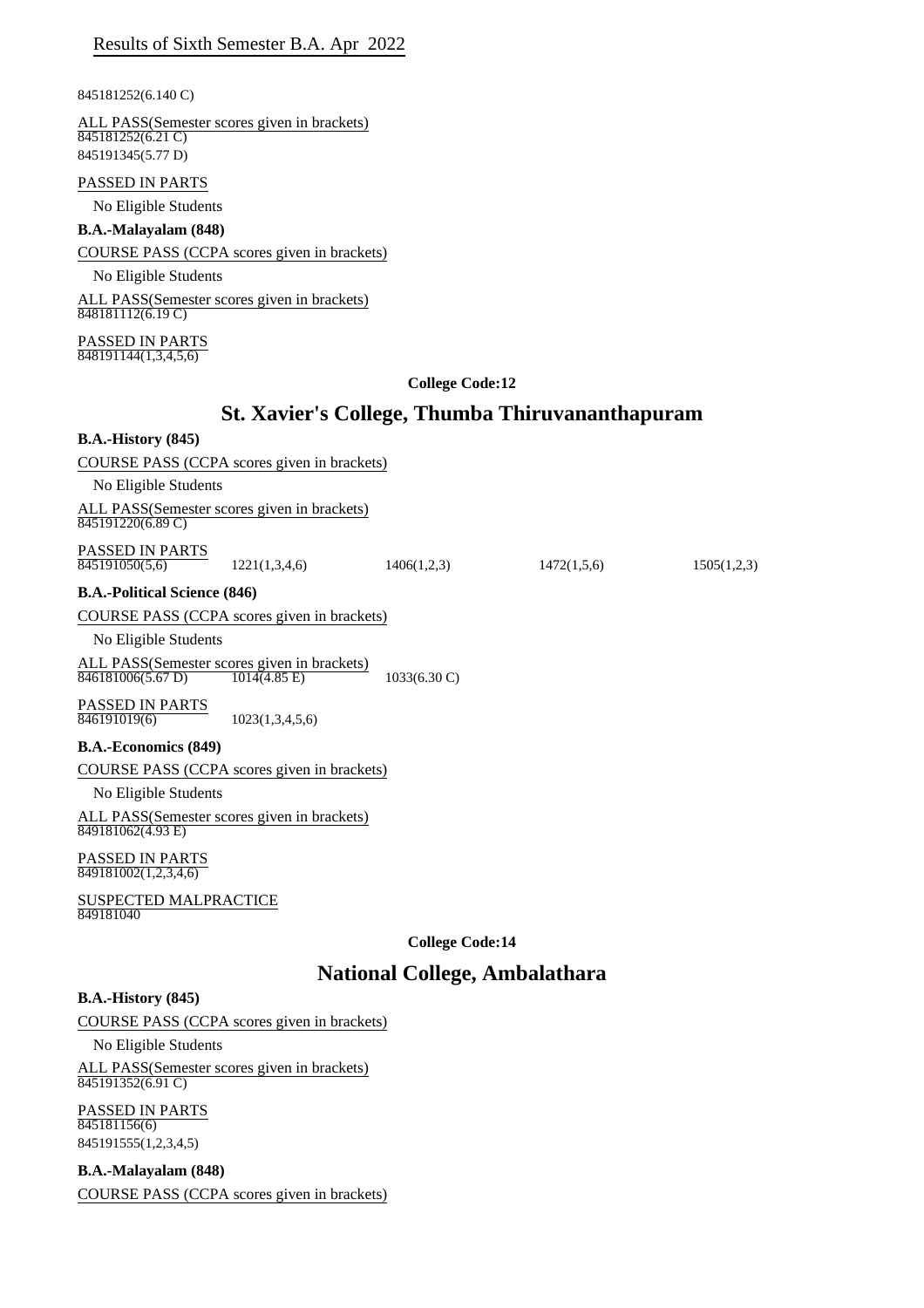845181252(6.140 C)

ALL PASS(Semester scores given in brackets)  $845181252(6.21 \text{ C})$ 845191345(5.77 D)

#### PASSED IN PARTS

No Eligible Students

#### **B.A.-Malayalam (848)**

COURSE PASS (CCPA scores given in brackets)

No Eligible Students

ALL PASS(Semester scores given in brackets)  $\overline{848181112(6.19C)}$ 

PASSED IN PARTS  $\frac{1}{848191144(1,3,4,5,6)}$ 

#### **College Code:12**

# **St. Xavier's College, Thumba Thiruvananthapuram**

#### **B.A.-History (845)**

COURSE PASS (CCPA scores given in brackets)

No Eligible Students

ALL PASS(Semester scores given in brackets) 845191220(6.89 C)

PASSED IN PARTS

 $\overline{845191050(5,6)}$  1221(1,3,4,6) 1406(1,2,3) 1472(1,5,6) 1505(1,2,3)

**B.A.-Political Science (846)**

COURSE PASS (CCPA scores given in brackets)

No Eligible Students

ALL PASS(Semester scores given in brackets)  $\overline{846181006(5.67 \text{ D})}$  1014(4.85 E) 1033(6.30 C)

**PASSED IN PARTS**<br>846191019(6) 846191019(6) 1023(1,3,4,5,6)

#### **B.A.-Economics (849)**

COURSE PASS (CCPA scores given in brackets)

No Eligible Students

ALL PASS(Semester scores given in brackets) 849181062(4.93 E)

PASSED IN PARTS 849181002(1,2,3,4,6)

SUSPECTED MALPRACTICE 849181040

**College Code:14**

## **National College, Ambalathara**

## **B.A.-History (845)**

COURSE PASS (CCPA scores given in brackets)

No Eligible Students

ALL PASS(Semester scores given in brackets) 845191352(6.91 C)

PASSED IN PARTS 845181156(6)

845191555(1,2,3,4,5)

**B.A.-Malayalam (848)**

COURSE PASS (CCPA scores given in brackets)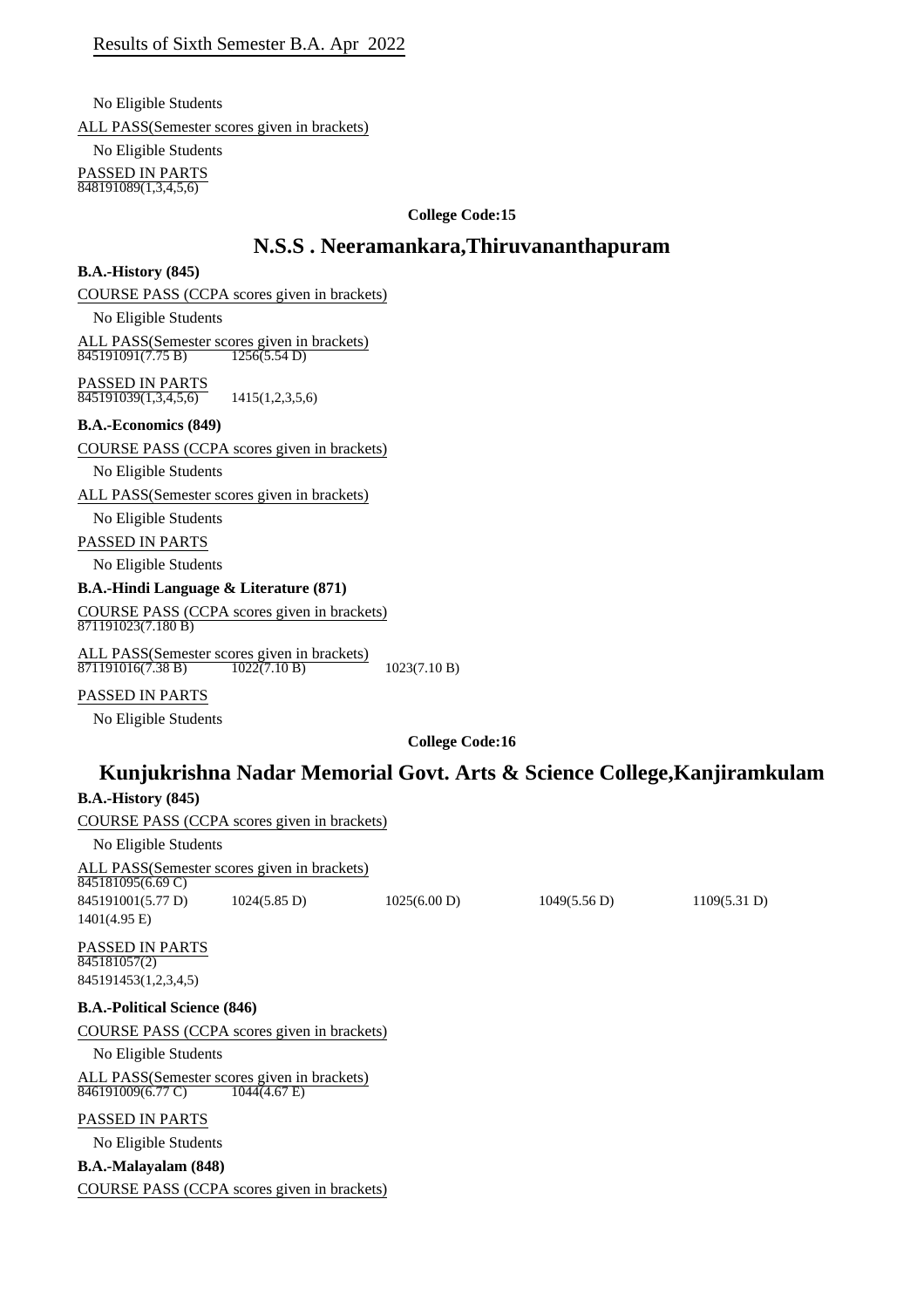No Eligible Students ALL PASS(Semester scores given in brackets)

No Eligible Students PASSED IN PARTS  $\overline{848191089(1,3,4,5,6)}$ 

## **College Code:15**

# **N.S.S . Neeramankara,Thiruvananthapuram**

## **B.A.-History (845)**

COURSE PASS (CCPA scores given in brackets)

No Eligible Students

ALL PASS(Semester scores given in brackets) 845191091(7.75 B) 1256(5.54 D)

PASSED IN PARTS  $\overline{845191039(1,3,4,5,6)}$  1415(1,2,3,5,6)

## **B.A.-Economics (849)**

COURSE PASS (CCPA scores given in brackets)

No Eligible Students

ALL PASS(Semester scores given in brackets)

No Eligible Students

PASSED IN PARTS

No Eligible Students

## **B.A.-Hindi Language & Literature (871)**

COURSE PASS (CCPA scores given in brackets)  $\frac{89.0183211888}{871191023(7.180 \text{ B})}$ 

ALL PASS(Semester scores given in brackets)  $871191016(7.38 \text{ B})$   $1022(7.10 \text{ B})$   $1023(7.10 \text{ B})$ 

## PASSED IN PARTS

No Eligible Students

**College Code:16**

# **Kunjukrishna Nadar Memorial Govt. Arts & Science College,Kanjiramkulam**

**B.A.-History (845)** COURSE PASS (CCPA scores given in brackets) No Eligible Students ALL PASS(Semester scores given in brackets) PASSED IN PARTS **B.A.-Political Science (846)** COURSE PASS (CCPA scores given in brackets) No Eligible Students ALL PASS(Semester scores given in brackets)<br>846191009(6.77 C) 1044(4.67 E) PASSED IN PARTS No Eligible Students **B.A.-Malayalam (848)** COURSE PASS (CCPA scores given in brackets) 845181095(6.69 C) 845191001(5.77 D) 1024(5.85 D) 1025(6.00 D) 1049(5.56 D) 1109(5.31 D) 1401(4.95 E) 845181057(2) 845191453(1,2,3,4,5) 846191009(6.77 C)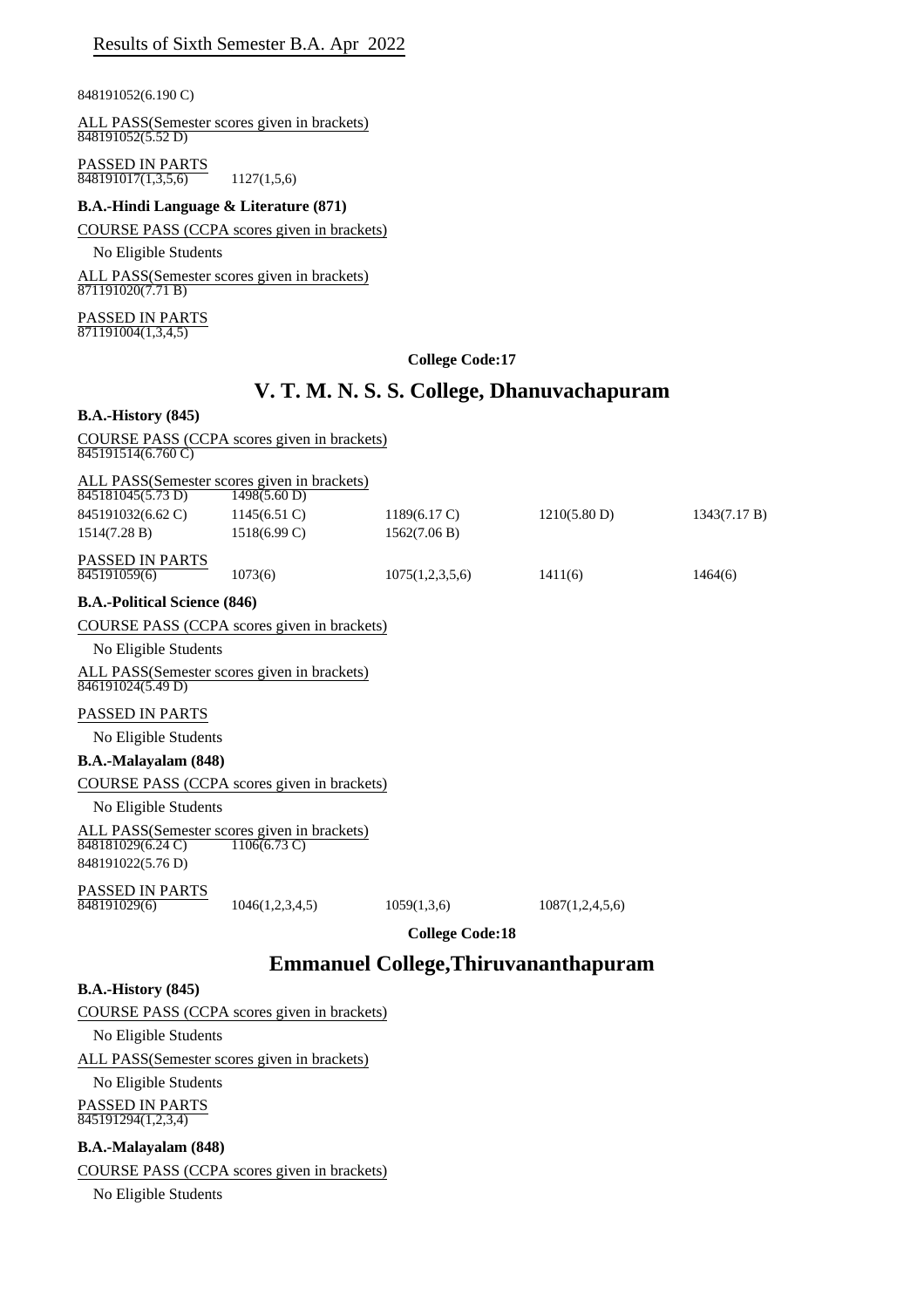848191052(6.190 C)

ALL PASS(Semester scores given in brackets) 848191052(5.52 D)

PASSED IN PARTS  $\overline{848191017(1,3,5,6)}$  1127(1,5,6)

### **B.A.-Hindi Language & Literature (871)**

COURSE PASS (CCPA scores given in brackets)

No Eligible Students

ALL PASS(Semester scores given in brackets) 871191020(7.71 B)

PASSED IN PARTS  $\frac{871191004(1,3,4,5)}{871191004(1,3,4,5)}$ 

## **College Code:17**

# **V. T. M. N. S. S. College, Dhanuvachapuram**

| $B.A.-History(845)$                                                                    |                        |                        |                 |              |
|----------------------------------------------------------------------------------------|------------------------|------------------------|-----------------|--------------|
| COURSE PASS (CCPA scores given in brackets)<br>$\overline{845191514(6.760 \text{ C})}$ |                        |                        |                 |              |
| ALL PASS (Semester scores given in brackets)<br>$\overline{845181045(5.73 \text{ D})}$ | 1498(5.60 D)           |                        |                 |              |
| 845191032(6.62 C)                                                                      | $1145(6.51)$ C)        | $1189(6.17 \text{ C})$ | 1210(5.80 D)    | 1343(7.17 B) |
| 1514(7.28 B)                                                                           | $1518(6.99 \text{ C})$ | 1562(7.06 B)           |                 |              |
| <b>PASSED IN PARTS</b><br>845191059(6)                                                 | 1073(6)                | 1075(1,2,3,5,6)        | 1411(6)         | 1464(6)      |
| <b>B.A.-Political Science (846)</b>                                                    |                        |                        |                 |              |
| COURSE PASS (CCPA scores given in brackets)                                            |                        |                        |                 |              |
| No Eligible Students                                                                   |                        |                        |                 |              |
| ALL PASS(Semester scores given in brackets)<br>$\sqrt{846191024(5.49 \text{ D})}$      |                        |                        |                 |              |
| <b>PASSED IN PARTS</b>                                                                 |                        |                        |                 |              |
| No Eligible Students                                                                   |                        |                        |                 |              |
| <b>B.A.-Malayalam (848)</b>                                                            |                        |                        |                 |              |
| COURSE PASS (CCPA scores given in brackets)                                            |                        |                        |                 |              |
| No Eligible Students                                                                   |                        |                        |                 |              |
| ALL PASS(Semester scores given in brackets)<br>848181029(6.24 C)<br>848191022(5.76 D)  | $1106(6.73 \text{ C})$ |                        |                 |              |
| <b>PASSED IN PARTS</b><br>848191029(6)                                                 | 1046(1,2,3,4,5)        | 1059(1,3,6)            | 1087(1,2,4,5,6) |              |

**College Code:18**

# **Emmanuel College,Thiruvananthapuram**

## **B.A.-History (845)**

COURSE PASS (CCPA scores given in brackets)

No Eligible Students

ALL PASS(Semester scores given in brackets)

No Eligible Students PASSED IN PARTS

 $\overline{845191294(1,2,3,4)}$ 

## **B.A.-Malayalam (848)**

COURSE PASS (CCPA scores given in brackets)

No Eligible Students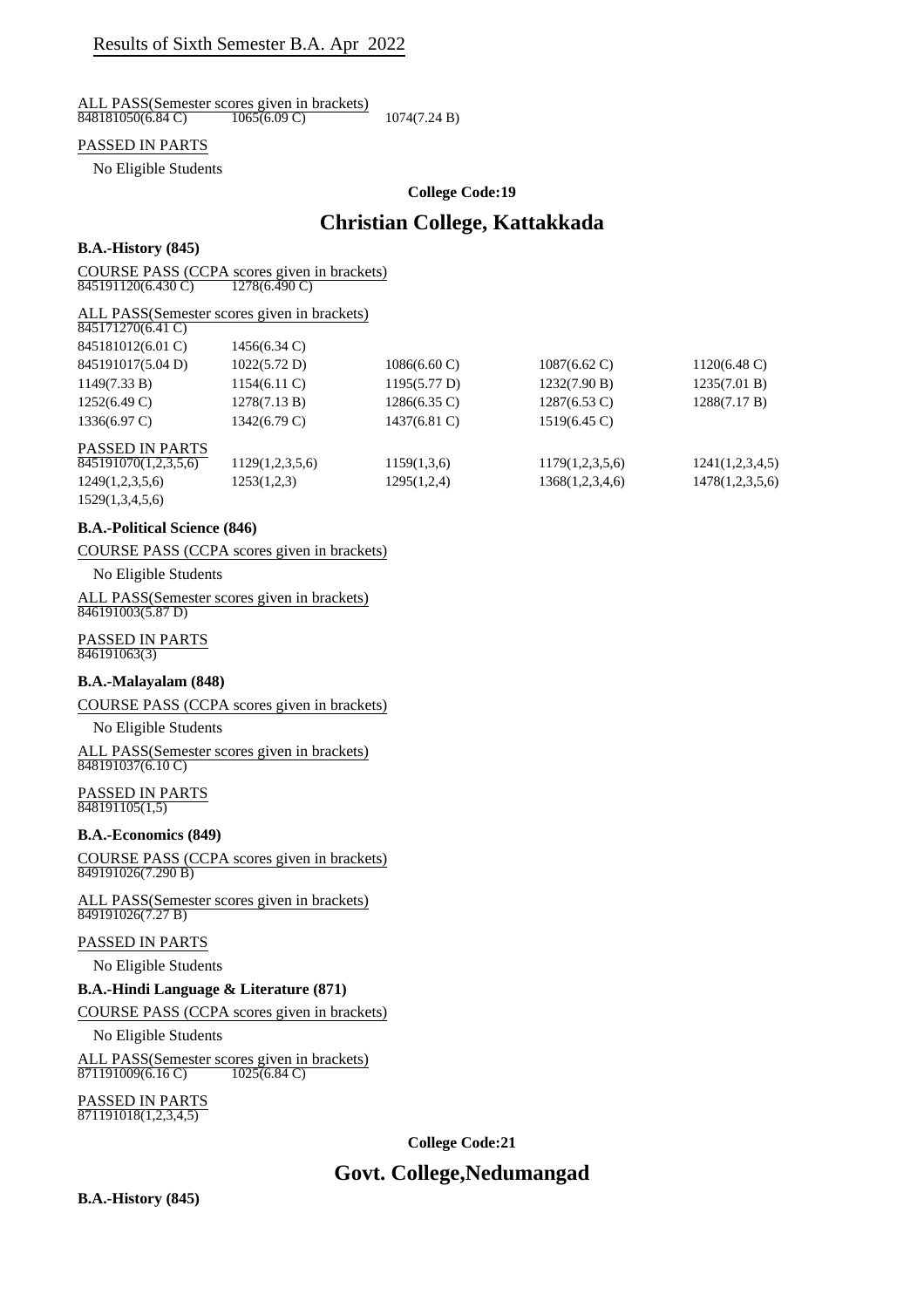ALL PASS(Semester scores given in brackets)<br> $\frac{848181050(6.84 \text{ C})}{1065(6.09 \text{ C})}$  $\overline{848181050(6.84 \text{ C})}$   $\overline{1065(6.09 \text{ C})}$   $1074(7.24 \text{ B})$ 

## PASSED IN PARTS

No Eligible Students

#### **College Code:19**

## **Christian College, Kattakkada**

#### **B.A.-History (845)**

COURSE PASS (CCPA scores given in brackets)

845191120(6.430 C) 1278(6.490 C)

#### ALL PASS(Semester scores given in brackets)

| 845171270(6.41 C)      |                 |                        |                        |                        |
|------------------------|-----------------|------------------------|------------------------|------------------------|
| 845181012(6.01 C)      | 1456(6.34 C)    |                        |                        |                        |
| 845191017(5.04 D)      | 1022(5.72 D)    | $1086(6.60 \text{ C})$ | $1087(6.62 \text{ C})$ | $1120(6.48 \text{ C})$ |
| 1149(7.33 B)           | $1154(6.11)$ C) | 1195(5.77 D)           | 1232(7.90 B)           | 1235(7.01 B)           |
| $1252(6.49 \text{ C})$ | 1278(7.13 B)    | $1286(6.35 \text{ C})$ | $1287(6.53 \text{ C})$ | 1288(7.17 B)           |
| $1336(6.97 \text{ C})$ | 1342(6.79 C)    | 1437(6.81 C)           | $1519(6.45 \text{ C})$ |                        |
| <b>PASSED IN PARTS</b> |                 |                        |                        |                        |
| 845191070(1,2,3,5,6)   | 1129(1,2,3,5,6) | 1159(1,3,6)            | 1179(1,2,3,5,6)        | 1241(1,2,3,4,5)        |
| 1249(1,2,3,5,6)        | 1253(1,2,3)     | 1295(1,2,4)            | 1368(1,2,3,4,6)        | 1478(1,2,3,5,6)        |
| 1529(1,3,4,5,6)        |                 |                        |                        |                        |

#### **B.A.-Political Science (846)**

### COURSE PASS (CCPA scores given in brackets)

#### No Eligible Students

#### ALL PASS(Semester scores given in brackets)  $\frac{846191003(5.87 \text{ D})}{846191003(5.87 \text{ D})}$

## PASSED IN PARTS

846191063(3)

#### **B.A.-Malayalam (848)**

COURSE PASS (CCPA scores given in brackets)

#### No Eligible Students

ALL PASS(Semester scores given in brackets) 848191037(6.10 C)

#### PASSED IN PARTS  $\frac{2222}{848191105(1,5)}$

#### **B.A.-Economics (849)**

COURSE PASS (CCPA scores given in brackets) 849191026(7.290 B)

ALL PASS(Semester scores given in brackets) 849191026(7.27 B)

## PASSED IN PARTS

No Eligible Students

#### **B.A.-Hindi Language & Literature (871)**

## COURSE PASS (CCPA scores given in brackets)

No Eligible Students

ALL PASS(Semester scores given in brackets) 871191009(6.16 C) 1025(6.84 C)

#### PASSED IN PARTS 871191018(1,2,3,4,5)

**College Code:21**

# **Govt. College,Nedumangad**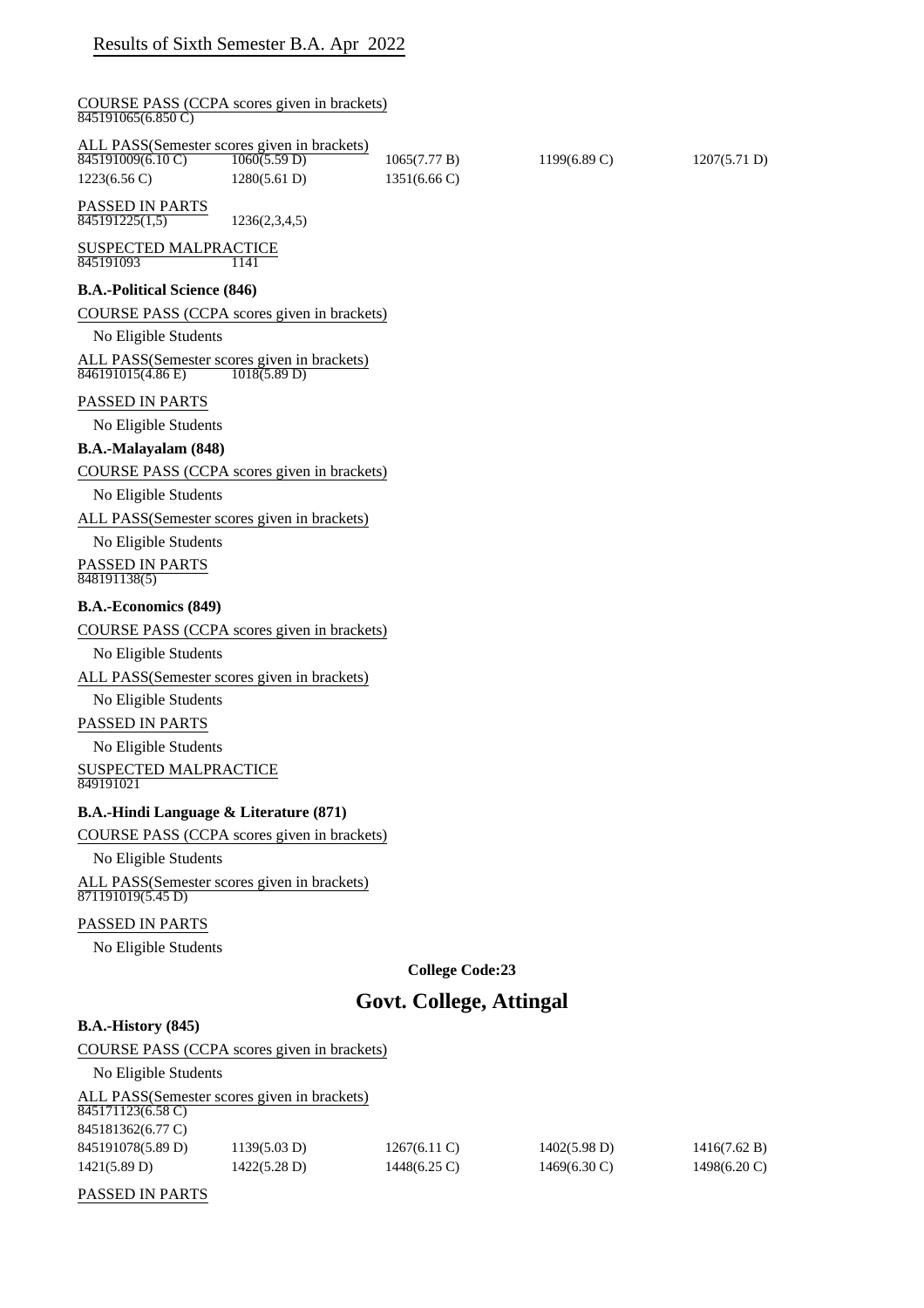| COURSE PASS (CCPA scores given in brackets)<br>845191065(6.850C)                                        |                 |                                        |                        |                  |
|---------------------------------------------------------------------------------------------------------|-----------------|----------------------------------------|------------------------|------------------|
| ALL PASS(Semester scores given in brackets)<br>845191009(6.10 C) 1060(5.59 D)<br>$1223(6.56 \text{ C})$ | 1280(5.61 D)    | 1065(7.77 B)<br>$1351(6.66 \text{ C})$ | $1199(6.89 \text{ C})$ | 1207(5.71 D)     |
| PASSED IN PARTS<br>845191225(1,5)                                                                       | 1236(2,3,4,5)   |                                        |                        |                  |
| <b>SUSPECTED MALPRACTICE</b><br>845191093                                                               | 1141            |                                        |                        |                  |
| <b>B.A.-Political Science (846)</b>                                                                     |                 |                                        |                        |                  |
| COURSE PASS (CCPA scores given in brackets)                                                             |                 |                                        |                        |                  |
| No Eligible Students                                                                                    |                 |                                        |                        |                  |
| ALL PASS(Semester scores given in brackets)<br>846191015(4.86 E)                                        | 1018(5.89 D)    |                                        |                        |                  |
| PASSED IN PARTS                                                                                         |                 |                                        |                        |                  |
| No Eligible Students                                                                                    |                 |                                        |                        |                  |
| B.A.-Malayalam (848)                                                                                    |                 |                                        |                        |                  |
| COURSE PASS (CCPA scores given in brackets)                                                             |                 |                                        |                        |                  |
| No Eligible Students                                                                                    |                 |                                        |                        |                  |
| ALL PASS(Semester scores given in brackets)                                                             |                 |                                        |                        |                  |
| No Eligible Students                                                                                    |                 |                                        |                        |                  |
| PASSED IN PARTS<br>848191138(5)                                                                         |                 |                                        |                        |                  |
| <b>B.A.-Economics (849)</b>                                                                             |                 |                                        |                        |                  |
| COURSE PASS (CCPA scores given in brackets)                                                             |                 |                                        |                        |                  |
| No Eligible Students                                                                                    |                 |                                        |                        |                  |
| ALL PASS(Semester scores given in brackets)                                                             |                 |                                        |                        |                  |
| No Eligible Students                                                                                    |                 |                                        |                        |                  |
| PASSED IN PARTS                                                                                         |                 |                                        |                        |                  |
| No Eligible Students                                                                                    |                 |                                        |                        |                  |
| <b>SUSPECTED MALPRACTICE</b><br>849191021                                                               |                 |                                        |                        |                  |
| <b>B.A.-Hindi Language &amp; Literature (871)</b>                                                       |                 |                                        |                        |                  |
| COURSE PASS (CCPA scores given in brackets)                                                             |                 |                                        |                        |                  |
| No Eligible Students                                                                                    |                 |                                        |                        |                  |
| ALL PASS(Semester scores given in brackets)<br>871191019(5.45 D)                                        |                 |                                        |                        |                  |
| PASSED IN PARTS                                                                                         |                 |                                        |                        |                  |
| No Eligible Students                                                                                    |                 |                                        |                        |                  |
|                                                                                                         |                 | <b>College Code:23</b>                 |                        |                  |
|                                                                                                         |                 | Govt. College, Attingal                |                        |                  |
| <b>B.A.-History (845)</b>                                                                               |                 |                                        |                        |                  |
| COURSE PASS (CCPA scores given in brackets)                                                             |                 |                                        |                        |                  |
| No Eligible Students                                                                                    |                 |                                        |                        |                  |
| ALL PASS(Semester scores given in brackets)<br>845171123(6.58 C)                                        |                 |                                        |                        |                  |
| 845181362(6.77 C)<br>0.45101070(5.00)                                                                   | $1120(5.02)$ D) | 1267(611)                              | $1402(5.09)$ D)        | $1.416(7.62)$ D) |

| 845191078(5.89 D) | 1139(5.03 D) | $1267(6.11 \text{ C})$ | $1402(5.98 \text{ D})$ | 1416(7.62 B)           |
|-------------------|--------------|------------------------|------------------------|------------------------|
| 1421(5.89 D)      | 1422(5.28 D) | 1448(6.25 C)           | $1469(6.30 \text{ C})$ | $1498(6.20 \text{ C})$ |

PASSED IN PARTS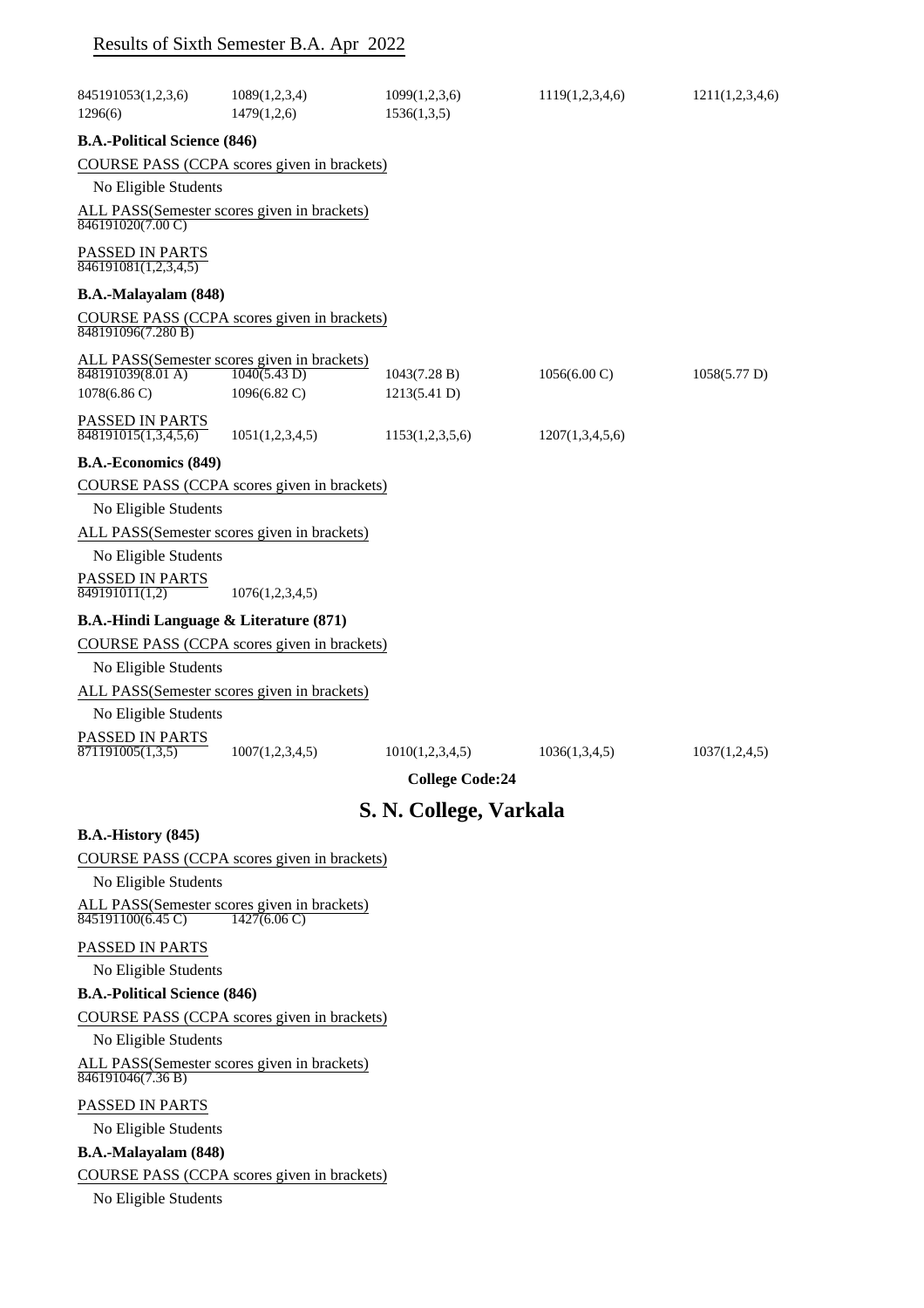|                                                        | Results of Sixth Semester B.A. Apr 2022                                     |                              |                        |                 |
|--------------------------------------------------------|-----------------------------------------------------------------------------|------------------------------|------------------------|-----------------|
| 845191053(1,2,3,6)<br>1296(6)                          | 1089(1,2,3,4)<br>1479(1,2,6)                                                | 1099(1,2,3,6)<br>1536(1,3,5) | 1119(1,2,3,4,6)        | 1211(1,2,3,4,6) |
| <b>B.A.-Political Science (846)</b>                    |                                                                             |                              |                        |                 |
|                                                        | COURSE PASS (CCPA scores given in brackets)                                 |                              |                        |                 |
| No Eligible Students                                   |                                                                             |                              |                        |                 |
| 846191020(7.00 C)                                      | ALL PASS(Semester scores given in brackets)                                 |                              |                        |                 |
| PASSED IN PARTS<br>$\overline{846191081(1,2,3,4,5)}$   |                                                                             |                              |                        |                 |
| B.A.-Malayalam (848)                                   |                                                                             |                              |                        |                 |
| 848191096(7.280 B)                                     | COURSE PASS (CCPA scores given in brackets)                                 |                              |                        |                 |
| $\overline{848191039(8.01 \text{ A})}$<br>1078(6.86 C) | ALL PASS(Semester scores given in brackets)<br>1040(5.43 D)<br>1096(6.82 C) | 1043(7.28 B)<br>1213(5.41 D) | $1056(6.00 \text{ C})$ | 1058(5.77 D)    |
| PASSED IN PARTS<br>848191015(1,3,4,5,6)                | 1051(1,2,3,4,5)                                                             | 1153(1,2,3,5,6)              | 1207(1,3,4,5,6)        |                 |
| <b>B.A.-Economics (849)</b>                            |                                                                             |                              |                        |                 |
|                                                        | COURSE PASS (CCPA scores given in brackets)                                 |                              |                        |                 |
| No Eligible Students                                   |                                                                             |                              |                        |                 |
|                                                        | ALL PASS(Semester scores given in brackets)                                 |                              |                        |                 |
| No Eligible Students                                   |                                                                             |                              |                        |                 |
| PASSED IN PARTS<br>849191011(1,2)                      | 1076(1,2,3,4,5)                                                             |                              |                        |                 |
|                                                        | <b>B.A.-Hindi Language &amp; Literature (871)</b>                           |                              |                        |                 |
|                                                        | COURSE PASS (CCPA scores given in brackets)                                 |                              |                        |                 |
| No Eligible Students                                   |                                                                             |                              |                        |                 |
|                                                        | ALL PASS(Semester scores given in brackets)                                 |                              |                        |                 |
| No Eligible Students                                   |                                                                             |                              |                        |                 |
| PASSED IN PARTS<br>871191005(1,3,5)                    | 1007(1,2,3,4,5)                                                             | 1010(1,2,3,4,5)              | 1036(1,3,4,5)          | 1037(1,2,4,5)   |
|                                                        |                                                                             | <b>College Code:24</b>       |                        |                 |
|                                                        |                                                                             | S. N. College, Varkala       |                        |                 |
| <b>B.A.-History</b> (845)                              |                                                                             |                              |                        |                 |
| No Eligible Students                                   | COURSE PASS (CCPA scores given in brackets)                                 |                              |                        |                 |
| 845191100(6.45 C)                                      | ALL PASS(Semester scores given in brackets)<br>$1427(6.06 \text{ C})$       |                              |                        |                 |
| PASSED IN PARTS                                        |                                                                             |                              |                        |                 |
| No Eligible Students                                   |                                                                             |                              |                        |                 |
| <b>B.A.-Political Science (846)</b>                    |                                                                             |                              |                        |                 |
|                                                        | COURSE PASS (CCPA scores given in brackets)                                 |                              |                        |                 |
| No Eligible Students                                   |                                                                             |                              |                        |                 |
| 846191046(7.36 B)                                      | ALL PASS(Semester scores given in brackets)                                 |                              |                        |                 |
| PASSED IN PARTS                                        |                                                                             |                              |                        |                 |
| No Eligible Students                                   |                                                                             |                              |                        |                 |
| B.A.-Malayalam (848)                                   |                                                                             |                              |                        |                 |
|                                                        | COURSE PASS (CCPA scores given in brackets)                                 |                              |                        |                 |

No Eligible Students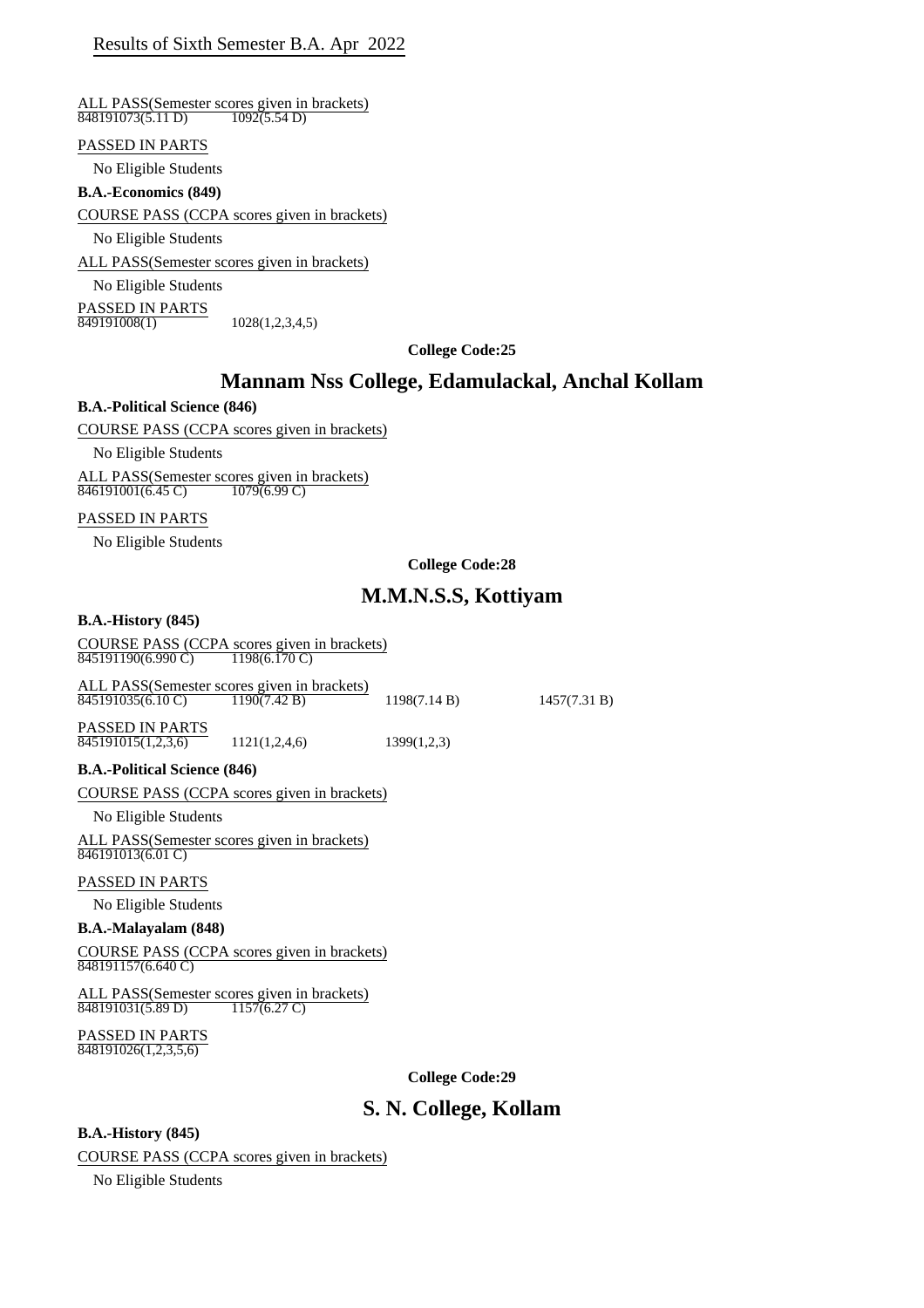#### ALL PASS(Semester scores given in brackets)<br> $\frac{848191073(5.11 \text{ D})}{1092(5.54 \text{ D})}$  $848191073(5.11 D)$

#### PASSED IN PARTS

No Eligible Students

### **B.A.-Economics (849)**

COURSE PASS (CCPA scores given in brackets)

No Eligible Students

ALL PASS(Semester scores given in brackets)

No Eligible Students

**PASSED IN PARTS**<br>849191008(1)  $1028(1,2,3,4,5)$ 

**College Code:25**

## **Mannam Nss College, Edamulackal, Anchal Kollam**

## **B.A.-Political Science (846)**

COURSE PASS (CCPA scores given in brackets)

No Eligible Students

ALL PASS(Semester scores given in brackets) 846191001(6.45 C) 1079(6.99 C)

#### PASSED IN PARTS

No Eligible Students

#### **College Code:28**

# **M.M.N.S.S, Kottiyam**

#### **B.A.-History (845)**

COURSE PASS (CCPA scores given in brackets)<br> $\frac{845191190(6.990 \text{ C})}{1198(6.170 \text{ C})}$ 845191190(6.990 C)

ALL PASS(Semester scores given in brackets)<br>845191035(6.10 C) 1190(7.42 B) 845191035(6.10 C) 1190(7.42 B) 1198(7.14 B) 1457(7.31 B)

PASSED IN PARTS  $\frac{845191015(1,2,3,6)}{845191015(1,2,3,6)}$  1121(1,2,4,6) 1399(1,2,3)

#### **B.A.-Political Science (846)**

COURSE PASS (CCPA scores given in brackets)

No Eligible Students

ALL PASS(Semester scores given in brackets) 846191013(6.01 C)

#### PASSED IN PARTS

No Eligible Students

#### **B.A.-Malayalam (848)**

COURSE PASS (CCPA scores given in brackets) 848191157(6.640 C)

ALL PASS(Semester scores given in brackets) 848191031(5.89 D) 1157(6.27 C)

PASSED IN PARTS 848191026(1,2,3,5,6)

**College Code:29**

## **S. N. College, Kollam**

### **B.A.-History (845)**

COURSE PASS (CCPA scores given in brackets)

No Eligible Students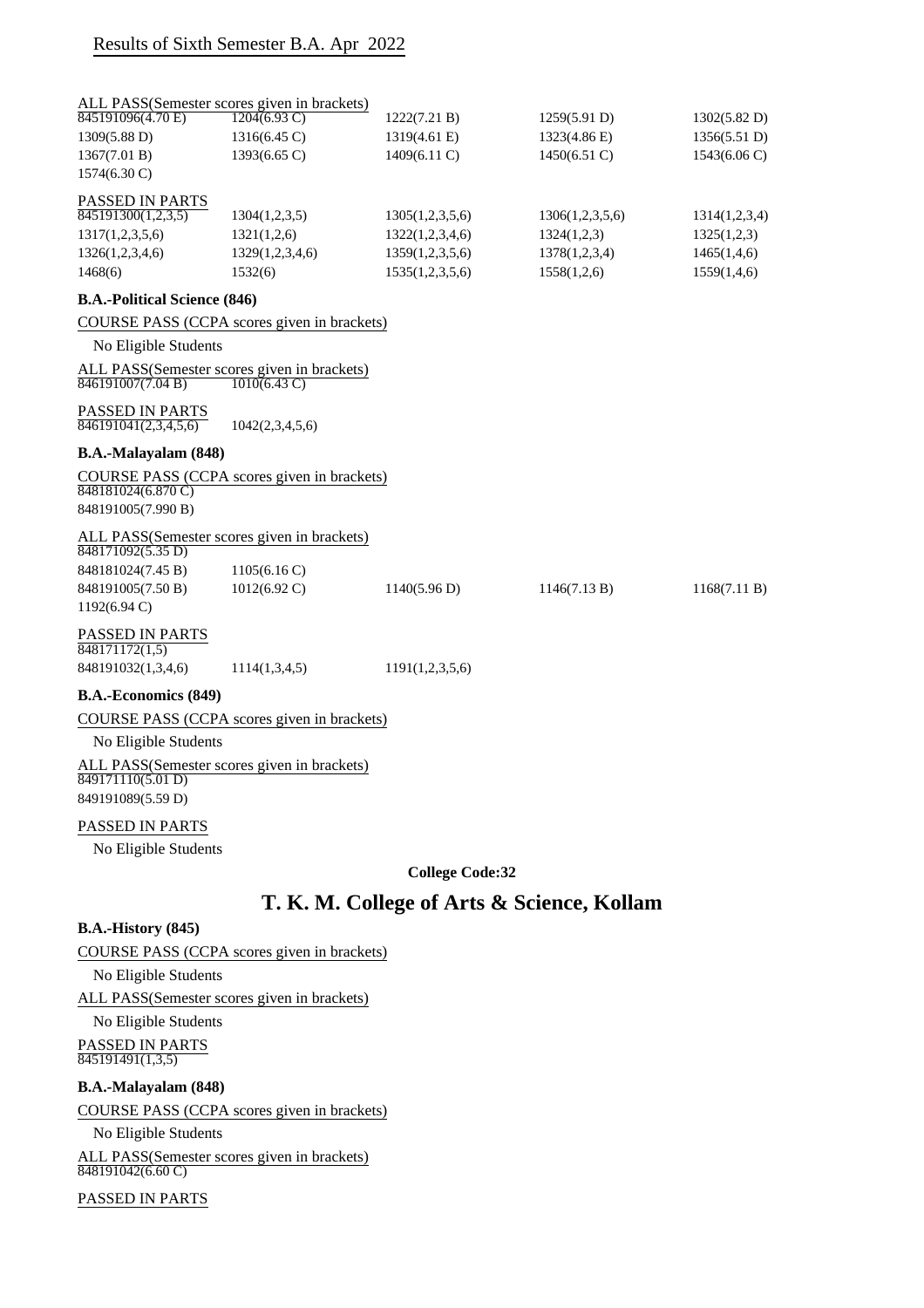| 845191096(4.70 E)                   | ALL PASS(Semester scores given in brackets)<br>$\overline{1204(6.93 \text{ C})}$ | 1222(7.21 B)    | 1259(5.91 D)    | 1302(5.82 D)           |
|-------------------------------------|----------------------------------------------------------------------------------|-----------------|-----------------|------------------------|
| 1309(5.88 D)                        | 1316(6.45 C)                                                                     | 1319(4.61 E)    | 1323(4.86 E)    | 1356(5.51 D)           |
| 1367(7.01 B)                        | $1393(6.65 \text{ C})$                                                           | $1409(6.11)$ C) | $1450(6.51)$ C) | $1543(6.06 \text{ C})$ |
| $1574(6.30 \text{ C})$              |                                                                                  |                 |                 |                        |
|                                     |                                                                                  |                 |                 |                        |
| PASSED IN PARTS                     |                                                                                  |                 |                 |                        |
| 845191300(1,2,3,5)                  | 1304(1,2,3,5)                                                                    | 1305(1,2,3,5,6) | 1306(1,2,3,5,6) | 1314(1,2,3,4)          |
| 1317(1,2,3,5,6)                     | 1321(1,2,6)                                                                      | 1322(1,2,3,4,6) | 1324(1,2,3)     | 1325(1,2,3)            |
| 1326(1,2,3,4,6)                     | 1329(1,2,3,4,6)                                                                  | 1359(1,2,3,5,6) | 1378(1,2,3,4)   | 1465(1,4,6)            |
| 1468(6)                             | 1532(6)                                                                          | 1535(1,2,3,5,6) | 1558(1,2,6)     | 1559(1,4,6)            |
| <b>B.A.-Political Science (846)</b> |                                                                                  |                 |                 |                        |
|                                     | COURSE PASS (CCPA scores given in brackets)                                      |                 |                 |                        |
| No Eligible Students                |                                                                                  |                 |                 |                        |
|                                     | ALL PASS(Semester scores given in brackets)                                      |                 |                 |                        |
| $\sqrt{846191007(7.04 B)}$          | $\overline{1010(6.43 \text{ C})}$                                                |                 |                 |                        |
| <b>PASSED IN PARTS</b>              |                                                                                  |                 |                 |                        |
| 846191041(2,3,4,5,6)                | 1042(2,3,4,5,6)                                                                  |                 |                 |                        |
| B.A.-Malayalam (848)                |                                                                                  |                 |                 |                        |
|                                     | COURSE PASS (CCPA scores given in brackets)                                      |                 |                 |                        |
| 848181024(6.870 C)                  |                                                                                  |                 |                 |                        |
| 848191005(7.990 B)                  |                                                                                  |                 |                 |                        |
| 848171092(5.35 D)                   | ALL PASS(Semester scores given in brackets)                                      |                 |                 |                        |
| 848181024(7.45 B)                   | 1105(6.16 C)                                                                     |                 |                 |                        |
| 848191005(7.50 B)                   | $1012(6.92 \text{ C})$                                                           | 1140(5.96 D)    | 1146(7.13 B)    | 1168(7.11 B)           |
| $1192(6.94 \text{ C})$              |                                                                                  |                 |                 |                        |
| PASSED IN PARTS<br>848171172(1,5)   |                                                                                  |                 |                 |                        |
| 848191032(1,3,4,6)                  | 1114(1,3,4,5)                                                                    | 1191(1,2,3,5,6) |                 |                        |
| <b>B.A.-Economics (849)</b>         |                                                                                  |                 |                 |                        |
|                                     | COURSE PASS (CCPA scores given in brackets)                                      |                 |                 |                        |
| No Eligible Students                |                                                                                  |                 |                 |                        |
|                                     | ALL PASS(Semester scores given in brackets)                                      |                 |                 |                        |
| 849171110(5.01 D)                   |                                                                                  |                 |                 |                        |
| 849191089(5.59 D)                   |                                                                                  |                 |                 |                        |
| PASSED IN PARTS                     |                                                                                  |                 |                 |                        |
| No Eligible Students                |                                                                                  |                 |                 |                        |
|                                     |                                                                                  |                 |                 |                        |

**College Code:32**

# **T. K. M. College of Arts & Science, Kollam**

## **B.A.-History (845)**

## COURSE PASS (CCPA scores given in brackets)

No Eligible Students

ALL PASS(Semester scores given in brackets)

No Eligible Students

PASSED IN PARTS 845191491(1,3,5)

## **B.A.-Malayalam (848)**

COURSE PASS (CCPA scores given in brackets)

No Eligible Students

ALL PASS(Semester scores given in brackets) 848191042(6.60 C)

PASSED IN PARTS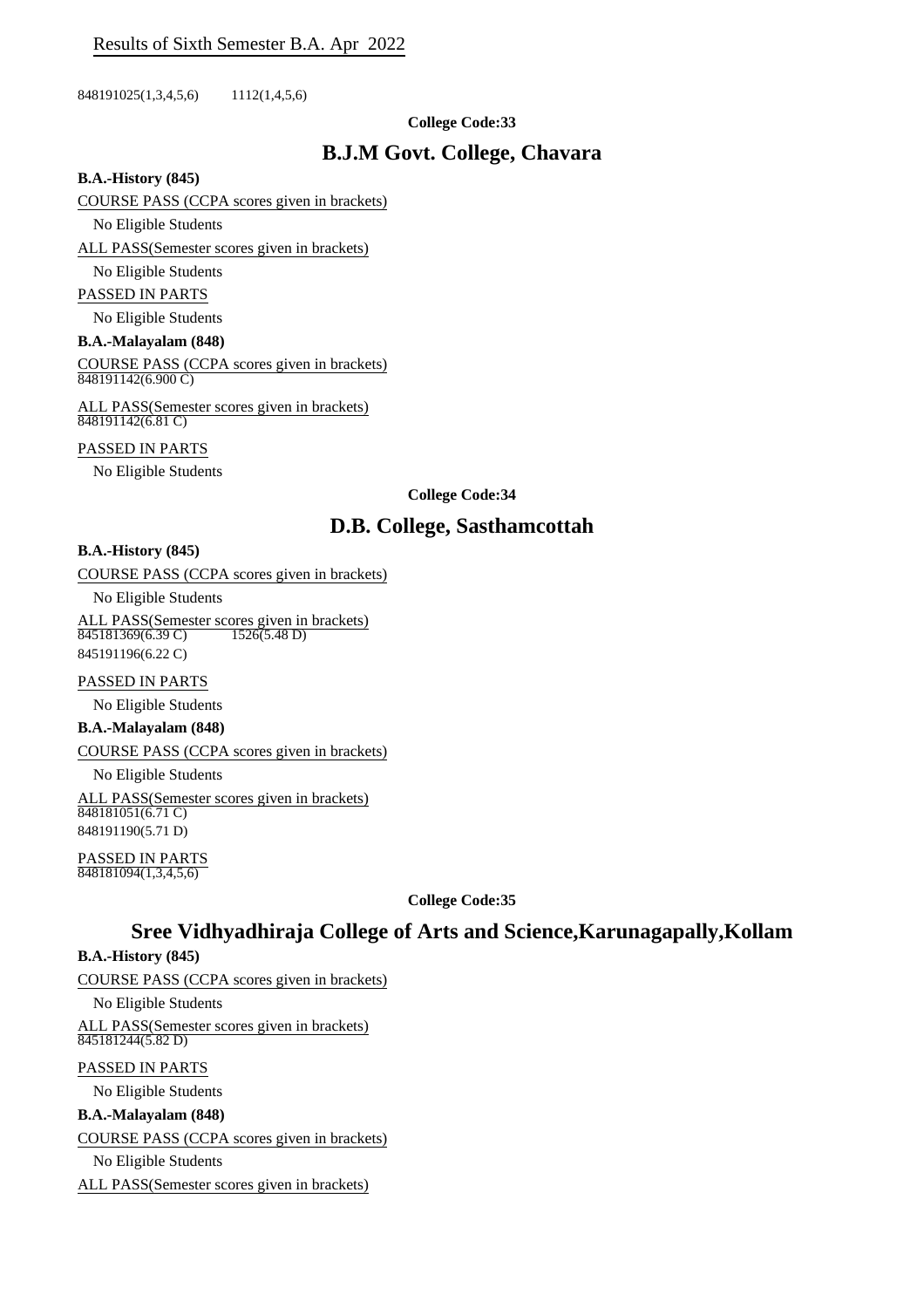848191025(1,3,4,5,6) 1112(1,4,5,6)

## **College Code:33**

## **B.J.M Govt. College, Chavara**

#### **B.A.-History (845)**

### COURSE PASS (CCPA scores given in brackets)

No Eligible Students

ALL PASS(Semester scores given in brackets)

#### No Eligible Students

PASSED IN PARTS

No Eligible Students

#### **B.A.-Malayalam (848)**

COURSE PASS (CCPA scores given in brackets)  $\overline{848191142(6.900 \text{ C})}$ 

ALL PASS(Semester scores given in brackets) 848191142(6.81 C)

#### PASSED IN PARTS

No Eligible Students

## **College Code:34**

# **D.B. College, Sasthamcottah**

## **B.A.-History (845)**

COURSE PASS (CCPA scores given in brackets)

No Eligible Students

ALL PASS(Semester scores given in brackets) 845181369(6.39 C) 1526(5.48 D) 845191196(6.22 C)

## PASSED IN PARTS

No Eligible Students

**B.A.-Malayalam (848)**

COURSE PASS (CCPA scores given in brackets)

No Eligible Students

ALL PASS(Semester scores given in brackets) 848181051(6.71 C) 848191190(5.71 D)

PASSED IN PARTS 848181094(1,3,4,5,6)

**College Code:35**

# **Sree Vidhyadhiraja College of Arts and Science,Karunagapally,Kollam**

## **B.A.-History (845)**

COURSE PASS (CCPA scores given in brackets)

No Eligible Students

ALL PASS(Semester scores given in brackets) 845181244(5.82 D)

## PASSED IN PARTS

No Eligible Students

## **B.A.-Malayalam (848)**

COURSE PASS (CCPA scores given in brackets)

No Eligible Students

ALL PASS(Semester scores given in brackets)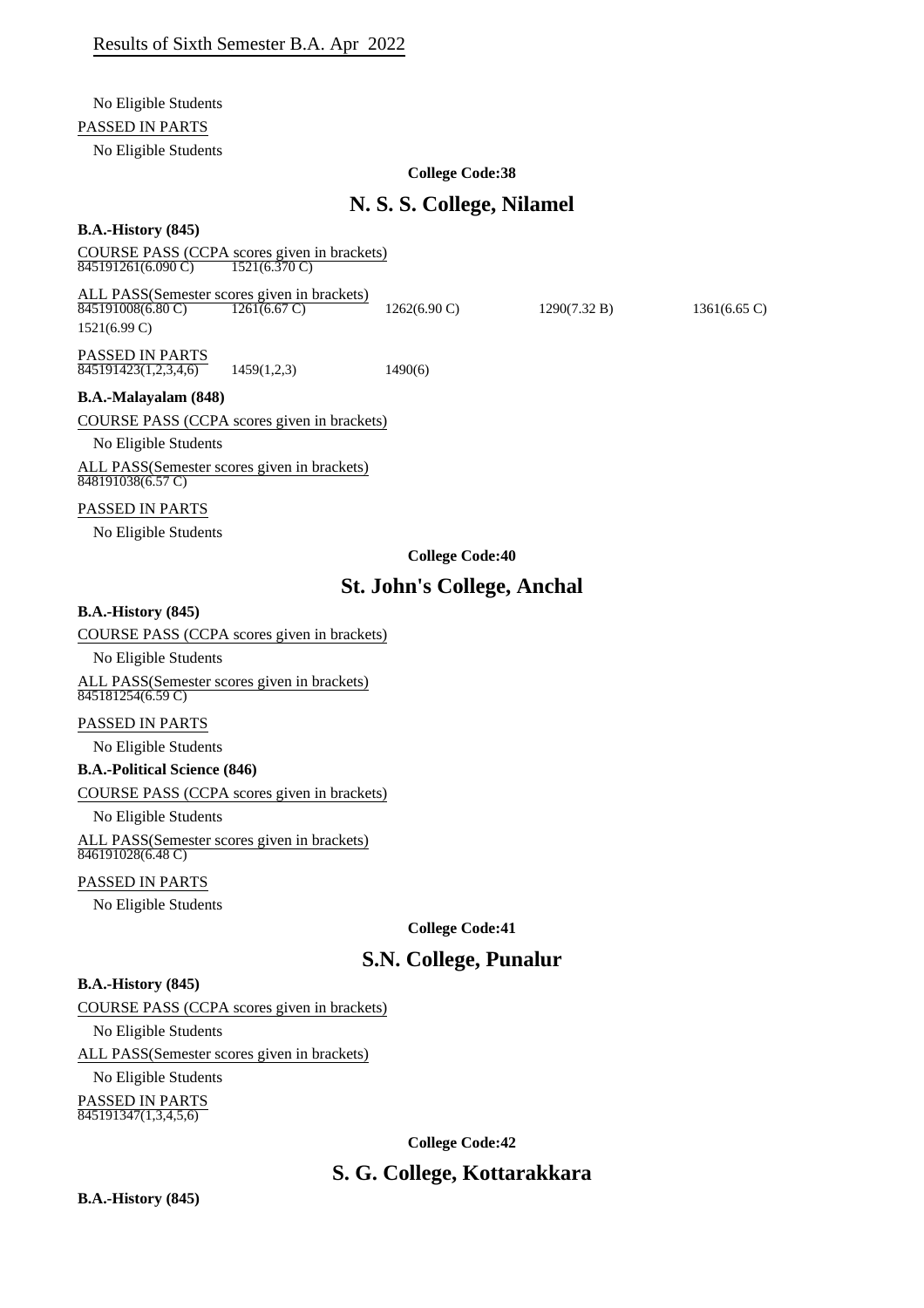## No Eligible Students

## PASSED IN PARTS

No Eligible Students

## **College Code:38**

# **N. S. S. College, Nilamel**

## **B.A.-History (845)**

COURSE PASS (CCPA scores given in brackets)<br> $\frac{845191261(6.090 \text{ C})}{1521(6.370 \text{ C})}$  $\frac{845191261(6.090 \text{ C})}{845191261(6.090 \text{ C})}$ 

ALL PASS(Semester scores given in brackets)<br> $\frac{845191008(6.80 \text{ C})}{845191008(6.80 \text{ C})}$ PASSED IN PARTS  $\overline{845191008(6.80 \text{ C})}$   $\overline{1261(6.67 \text{ C})}$   $\overline{1262(6.90 \text{ C})}$   $\overline{1290(7.32 \text{ B})}$   $\overline{1361(6.65 \text{ C})}$ 1521(6.99 C)

 $\overline{845191423(1,2,3,4,6)}$  1459(1,2,3) 1490(6)

**B.A.-Malayalam (848)**

COURSE PASS (CCPA scores given in brackets)

No Eligible Students

ALL PASS(Semester scores given in brackets) 848191038(6.57 C)

## PASSED IN PARTS

No Eligible Students

## **College Code:40**

# **St. John's College, Anchal**

### **B.A.-History (845)**

COURSE PASS (CCPA scores given in brackets)

No Eligible Students

ALL PASS(Semester scores given in brackets) 845181254(6.59 C)

## PASSED IN PARTS

No Eligible Students

## **B.A.-Political Science (846)**

COURSE PASS (CCPA scores given in brackets)

No Eligible Students

ALL PASS(Semester scores given in brackets) 846191028(6.48 C)

## PASSED IN PARTS

No Eligible Students

**College Code:41**

# **S.N. College, Punalur**

## **B.A.-History (845)**

## COURSE PASS (CCPA scores given in brackets)

No Eligible Students

ALL PASS(Semester scores given in brackets)

No Eligible Students

PASSED IN PARTS 845191347(1,3,4,5,6)

**College Code:42**

# **S. G. College, Kottarakkara**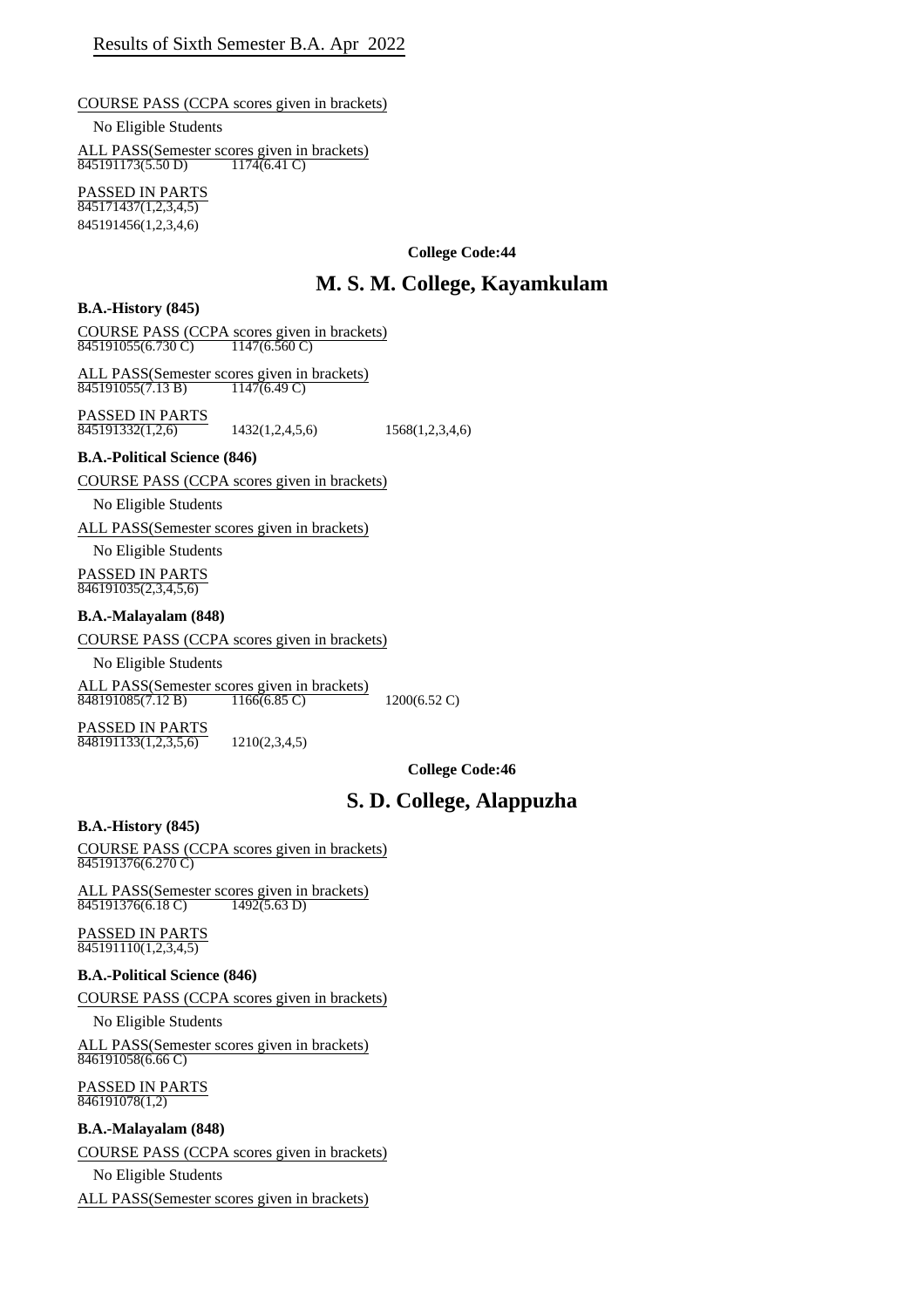## COURSE PASS (CCPA scores given in brackets)

No Eligible Students

ALL PASS(Semester scores given in brackets) 845191173(5.50 D) 1174(6.41 C)

PASSED IN PARTS  $845171437(1,2,3,4,5)$ 845191456(1,2,3,4,6)

**College Code:44**

# **M. S. M. College, Kayamkulam**

## **B.A.-History (845)**

COURSE PASS (CCPA scores given in brackets) 845191055(6.730 C) 1147(6.560 C)

ALL PASS(Semester scores given in brackets)<br> $\frac{845191055(7.13 B)}{1147(6.49 C)}$ 845191055(7.13 B)

PASSED IN PARTS  $\overline{845191332(1,2,6)}$  1432(1,2,4,5,6) 1568(1,2,3,4,6)

## **B.A.-Political Science (846)**

COURSE PASS (CCPA scores given in brackets)

No Eligible Students

ALL PASS(Semester scores given in brackets)

No Eligible Students PASSED IN PARTS

 $846191035(2,3,4,5,6)$ 

## **B.A.-Malayalam (848)**

COURSE PASS (CCPA scores given in brackets)

No Eligible Students

ALL PASS(Semester scores given in brackets)<br>848191085(7.12 B) 1166(6.85 C) 848191085(7.12 B) 1166(6.85 C) 1200(6.52 C)

PASSED IN PARTS  $\overline{848191133(1,2,3,5,6)}$  1210(2,3,4,5)

**College Code:46**

# **S. D. College, Alappuzha**

## **B.A.-History (845)**

COURSE PASS (CCPA scores given in brackets) 845191376(6.270 C)

ALL PASS(Semester scores given in brackets)<br>845191376(6.18 C) 1492(5.63 D) 845191376(6.18 C)

PASSED IN PARTS 845191110(1,2,3,4,5)

## **B.A.-Political Science (846)**

COURSE PASS (CCPA scores given in brackets)

No Eligible Students

ALL PASS(Semester scores given in brackets) 846191058(6.66 C)

PASSED IN PARTS 846191078(1,2)

## **B.A.-Malayalam (848)**

COURSE PASS (CCPA scores given in brackets)

No Eligible Students

ALL PASS(Semester scores given in brackets)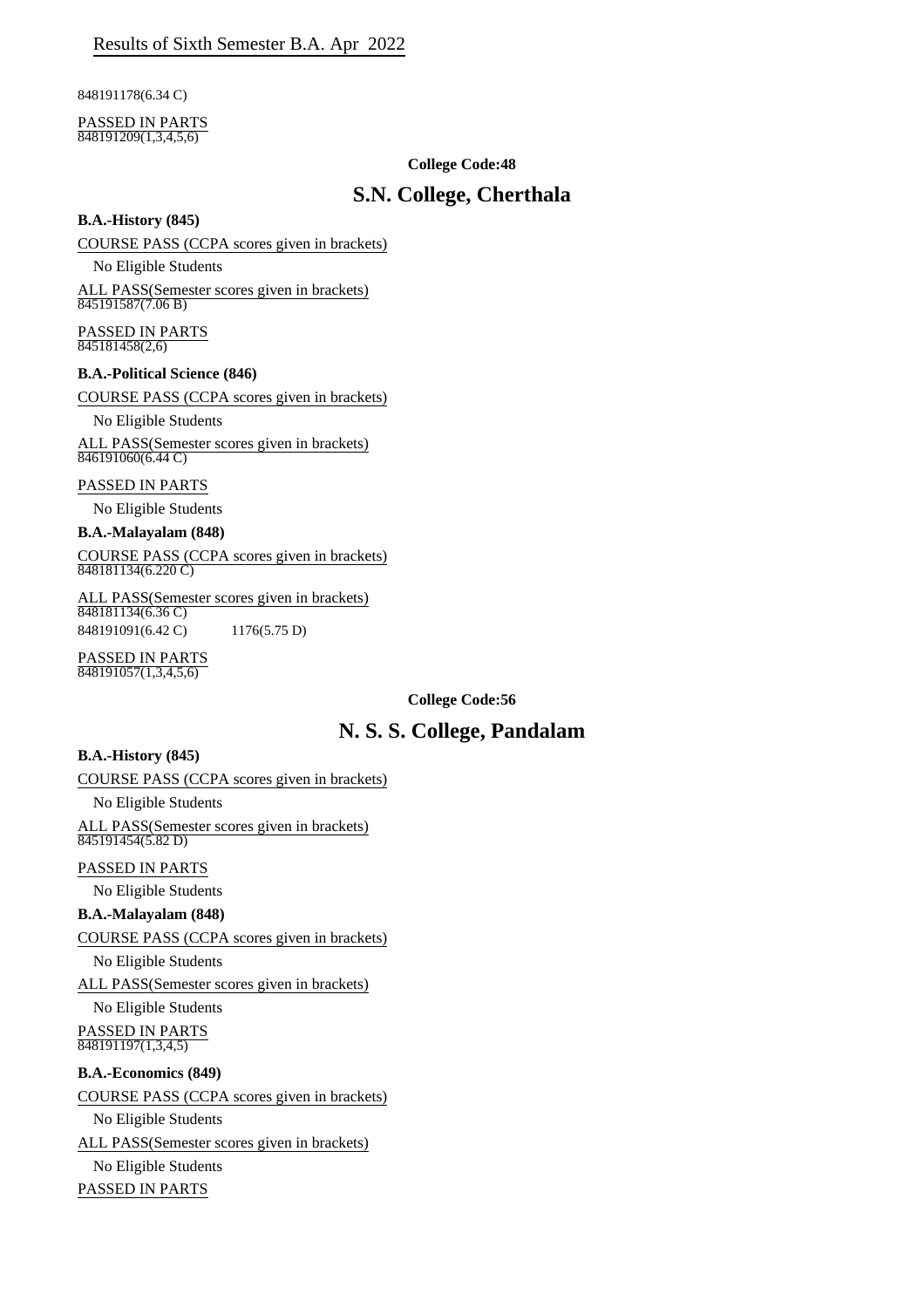848191178(6.34 C)

#### PASSED IN PARTS  $\frac{848191209(1,3,4,5,6)}{848191209(1,3,4,5,6)}$

## **College Code:48**

# **S.N. College, Cherthala**

## **B.A.-History (845)**

COURSE PASS (CCPA scores given in brackets)

No Eligible Students

ALL PASS(Semester scores given in brackets) 845191587(7.06 B)

PASSED IN PARTS  $\frac{1}{845181458(2,6)}$ 

## **B.A.-Political Science (846)**

COURSE PASS (CCPA scores given in brackets)

No Eligible Students

ALL PASS(Semester scores given in brackets)  $846191060(6.44 \text{ C})$ 

## PASSED IN PARTS

No Eligible Students

#### **B.A.-Malayalam (848)**

COURSE PASS (CCPA scores given in brackets)  $\overline{848181134(6.220 \text{ C})}$ 

ALL PASS(Semester scores given in brackets) 848181134(6.36 C) 848191091(6.42 C) 1176(5.75 D)

PASSED IN PARTS  $\frac{1}{848191057(1,3,4,5,6)}$ 

**College Code:56**

# **N. S. S. College, Pandalam**

## **B.A.-History (845)**

## COURSE PASS (CCPA scores given in brackets)

No Eligible Students

ALL PASS(Semester scores given in brackets)  $\sqrt{845191454(5.82 \text{ D})}$ 

PASSED IN PARTS

No Eligible Students

## **B.A.-Malayalam (848)**

COURSE PASS (CCPA scores given in brackets)

No Eligible Students

ALL PASS(Semester scores given in brackets)

No Eligible Students

PASSED IN PARTS  $848191197(1,3,4,5)$ 

## **B.A.-Economics (849)**

## COURSE PASS (CCPA scores given in brackets)

No Eligible Students

ALL PASS(Semester scores given in brackets)

No Eligible Students PASSED IN PARTS